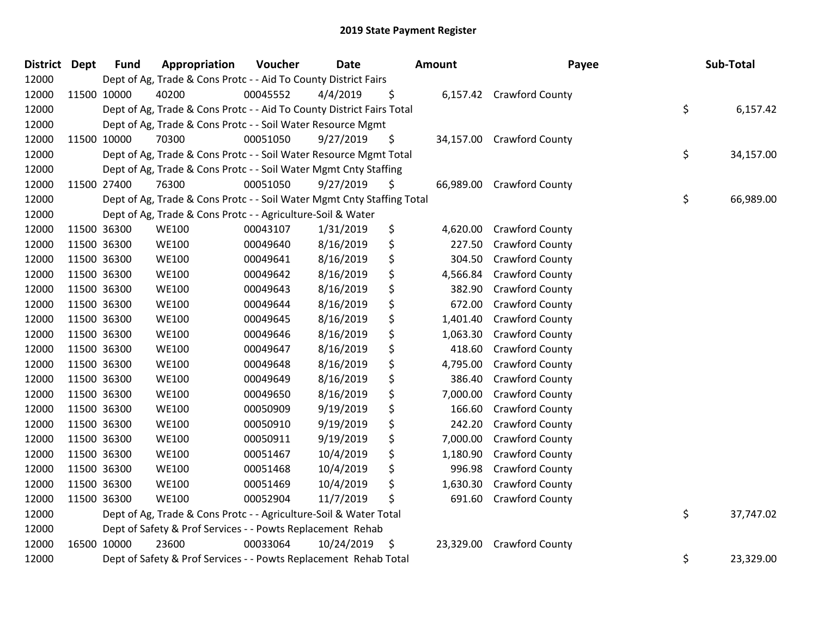| District Dept |             | <b>Fund</b> | Appropriation                                                          | Voucher  | Date       | Amount          | Payee                    | Sub-Total       |
|---------------|-------------|-------------|------------------------------------------------------------------------|----------|------------|-----------------|--------------------------|-----------------|
| 12000         |             |             | Dept of Ag, Trade & Cons Protc - - Aid To County District Fairs        |          |            |                 |                          |                 |
| 12000         |             | 11500 10000 | 40200                                                                  | 00045552 | 4/4/2019   | \$              | 6,157.42 Crawford County |                 |
| 12000         |             |             | Dept of Ag, Trade & Cons Protc - - Aid To County District Fairs Total  |          |            |                 |                          | \$<br>6,157.42  |
| 12000         |             |             | Dept of Ag, Trade & Cons Protc - - Soil Water Resource Mgmt            |          |            |                 |                          |                 |
| 12000         |             | 11500 10000 | 70300                                                                  | 00051050 | 9/27/2019  | \$<br>34,157.00 | <b>Crawford County</b>   |                 |
| 12000         |             |             | Dept of Ag, Trade & Cons Protc - - Soil Water Resource Mgmt Total      |          |            |                 |                          | \$<br>34,157.00 |
| 12000         |             |             | Dept of Ag, Trade & Cons Protc - - Soil Water Mgmt Cnty Staffing       |          |            |                 |                          |                 |
| 12000         |             | 11500 27400 | 76300                                                                  | 00051050 | 9/27/2019  | \$<br>66,989.00 | <b>Crawford County</b>   |                 |
| 12000         |             |             | Dept of Ag, Trade & Cons Protc - - Soil Water Mgmt Cnty Staffing Total |          |            |                 |                          | \$<br>66,989.00 |
| 12000         |             |             | Dept of Ag, Trade & Cons Protc - - Agriculture-Soil & Water            |          |            |                 |                          |                 |
| 12000         |             | 11500 36300 | <b>WE100</b>                                                           | 00043107 | 1/31/2019  | \$<br>4,620.00  | Crawford County          |                 |
| 12000         |             | 11500 36300 | <b>WE100</b>                                                           | 00049640 | 8/16/2019  | \$<br>227.50    | <b>Crawford County</b>   |                 |
| 12000         | 11500 36300 |             | <b>WE100</b>                                                           | 00049641 | 8/16/2019  | \$<br>304.50    | Crawford County          |                 |
| 12000         | 11500 36300 |             | <b>WE100</b>                                                           | 00049642 | 8/16/2019  | \$<br>4,566.84  | Crawford County          |                 |
| 12000         |             | 11500 36300 | <b>WE100</b>                                                           | 00049643 | 8/16/2019  | \$<br>382.90    | Crawford County          |                 |
| 12000         |             | 11500 36300 | <b>WE100</b>                                                           | 00049644 | 8/16/2019  | \$<br>672.00    | Crawford County          |                 |
| 12000         |             | 11500 36300 | <b>WE100</b>                                                           | 00049645 | 8/16/2019  | \$<br>1,401.40  | <b>Crawford County</b>   |                 |
| 12000         |             | 11500 36300 | <b>WE100</b>                                                           | 00049646 | 8/16/2019  | \$<br>1,063.30  | Crawford County          |                 |
| 12000         | 11500 36300 |             | <b>WE100</b>                                                           | 00049647 | 8/16/2019  | \$<br>418.60    | Crawford County          |                 |
| 12000         |             | 11500 36300 | <b>WE100</b>                                                           | 00049648 | 8/16/2019  | \$<br>4,795.00  | Crawford County          |                 |
| 12000         |             | 11500 36300 | <b>WE100</b>                                                           | 00049649 | 8/16/2019  | \$<br>386.40    | Crawford County          |                 |
| 12000         |             | 11500 36300 | <b>WE100</b>                                                           | 00049650 | 8/16/2019  | \$<br>7,000.00  | Crawford County          |                 |
| 12000         | 11500 36300 |             | <b>WE100</b>                                                           | 00050909 | 9/19/2019  | \$<br>166.60    | Crawford County          |                 |
| 12000         | 11500 36300 |             | <b>WE100</b>                                                           | 00050910 | 9/19/2019  | \$<br>242.20    | Crawford County          |                 |
| 12000         |             | 11500 36300 | <b>WE100</b>                                                           | 00050911 | 9/19/2019  | \$<br>7,000.00  | Crawford County          |                 |
| 12000         |             | 11500 36300 | <b>WE100</b>                                                           | 00051467 | 10/4/2019  | \$<br>1,180.90  | Crawford County          |                 |
| 12000         |             | 11500 36300 | <b>WE100</b>                                                           | 00051468 | 10/4/2019  | \$<br>996.98    | Crawford County          |                 |
| 12000         | 11500 36300 |             | <b>WE100</b>                                                           | 00051469 | 10/4/2019  | \$<br>1,630.30  | <b>Crawford County</b>   |                 |
| 12000         |             | 11500 36300 | <b>WE100</b>                                                           | 00052904 | 11/7/2019  | \$<br>691.60    | Crawford County          |                 |
| 12000         |             |             | Dept of Ag, Trade & Cons Protc - - Agriculture-Soil & Water Total      |          |            |                 |                          | \$<br>37,747.02 |
| 12000         |             |             | Dept of Safety & Prof Services - - Powts Replacement Rehab             |          |            |                 |                          |                 |
| 12000         |             | 16500 10000 | 23600                                                                  | 00033064 | 10/24/2019 | \$<br>23,329.00 | <b>Crawford County</b>   |                 |
| 12000         |             |             | Dept of Safety & Prof Services - - Powts Replacement Rehab Total       |          |            |                 |                          | \$<br>23,329.00 |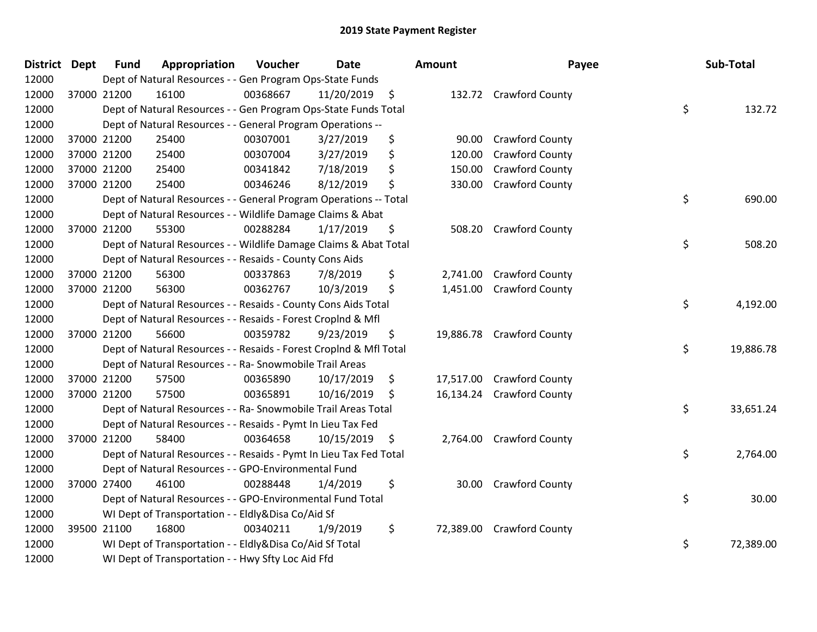| <b>District Dept</b> | <b>Fund</b> | Appropriation                                                      | Voucher  | <b>Date</b> | <b>Amount</b>  | Payee                     | Sub-Total       |
|----------------------|-------------|--------------------------------------------------------------------|----------|-------------|----------------|---------------------------|-----------------|
| 12000                |             | Dept of Natural Resources - - Gen Program Ops-State Funds          |          |             |                |                           |                 |
| 12000                | 37000 21200 | 16100                                                              | 00368667 | 11/20/2019  | \$             | 132.72 Crawford County    |                 |
| 12000                |             | Dept of Natural Resources - - Gen Program Ops-State Funds Total    |          |             |                |                           | \$<br>132.72    |
| 12000                |             | Dept of Natural Resources - - General Program Operations --        |          |             |                |                           |                 |
| 12000                | 37000 21200 | 25400                                                              | 00307001 | 3/27/2019   | \$<br>90.00    | <b>Crawford County</b>    |                 |
| 12000                | 37000 21200 | 25400                                                              | 00307004 | 3/27/2019   | \$<br>120.00   | <b>Crawford County</b>    |                 |
| 12000                | 37000 21200 | 25400                                                              | 00341842 | 7/18/2019   | \$<br>150.00   | Crawford County           |                 |
| 12000                | 37000 21200 | 25400                                                              | 00346246 | 8/12/2019   | \$<br>330.00   | <b>Crawford County</b>    |                 |
| 12000                |             | Dept of Natural Resources - - General Program Operations -- Total  |          |             |                |                           | \$<br>690.00    |
| 12000                |             | Dept of Natural Resources - - Wildlife Damage Claims & Abat        |          |             |                |                           |                 |
| 12000                | 37000 21200 | 55300                                                              | 00288284 | 1/17/2019   | \$<br>508.20   | <b>Crawford County</b>    |                 |
| 12000                |             | Dept of Natural Resources - - Wildlife Damage Claims & Abat Total  |          |             |                |                           | \$<br>508.20    |
| 12000                |             | Dept of Natural Resources - - Resaids - County Cons Aids           |          |             |                |                           |                 |
| 12000                | 37000 21200 | 56300                                                              | 00337863 | 7/8/2019    | \$             | 2,741.00 Crawford County  |                 |
| 12000                | 37000 21200 | 56300                                                              | 00362767 | 10/3/2019   | \$<br>1,451.00 | <b>Crawford County</b>    |                 |
| 12000                |             | Dept of Natural Resources - - Resaids - County Cons Aids Total     |          |             |                |                           | \$<br>4,192.00  |
| 12000                |             | Dept of Natural Resources - - Resaids - Forest CropInd & Mfl       |          |             |                |                           |                 |
| 12000                | 37000 21200 | 56600                                                              | 00359782 | 9/23/2019   | \$             | 19,886.78 Crawford County |                 |
| 12000                |             | Dept of Natural Resources - - Resaids - Forest CropInd & Mfl Total |          |             |                |                           | \$<br>19,886.78 |
| 12000                |             | Dept of Natural Resources - - Ra- Snowmobile Trail Areas           |          |             |                |                           |                 |
| 12000                | 37000 21200 | 57500                                                              | 00365890 | 10/17/2019  | \$             | 17,517.00 Crawford County |                 |
| 12000                | 37000 21200 | 57500                                                              | 00365891 | 10/16/2019  | \$             | 16,134.24 Crawford County |                 |
| 12000                |             | Dept of Natural Resources - - Ra- Snowmobile Trail Areas Total     |          |             |                |                           | \$<br>33,651.24 |
| 12000                |             | Dept of Natural Resources - - Resaids - Pymt In Lieu Tax Fed       |          |             |                |                           |                 |
| 12000                | 37000 21200 | 58400                                                              | 00364658 | 10/15/2019  | \$<br>2,764.00 | <b>Crawford County</b>    |                 |
| 12000                |             | Dept of Natural Resources - - Resaids - Pymt In Lieu Tax Fed Total |          |             |                |                           | \$<br>2,764.00  |
| 12000                |             | Dept of Natural Resources - - GPO-Environmental Fund               |          |             |                |                           |                 |
| 12000                | 37000 27400 | 46100                                                              | 00288448 | 1/4/2019    | \$             | 30.00 Crawford County     |                 |
| 12000                |             | Dept of Natural Resources - - GPO-Environmental Fund Total         |          |             |                |                           | \$<br>30.00     |
| 12000                |             | WI Dept of Transportation - - Eldly&Disa Co/Aid Sf                 |          |             |                |                           |                 |
| 12000                | 39500 21100 | 16800                                                              | 00340211 | 1/9/2019    | \$             | 72,389.00 Crawford County |                 |
| 12000                |             | WI Dept of Transportation - - Eldly&Disa Co/Aid Sf Total           |          |             |                |                           | \$<br>72,389.00 |
| 12000                |             | WI Dept of Transportation - - Hwy Sfty Loc Aid Ffd                 |          |             |                |                           |                 |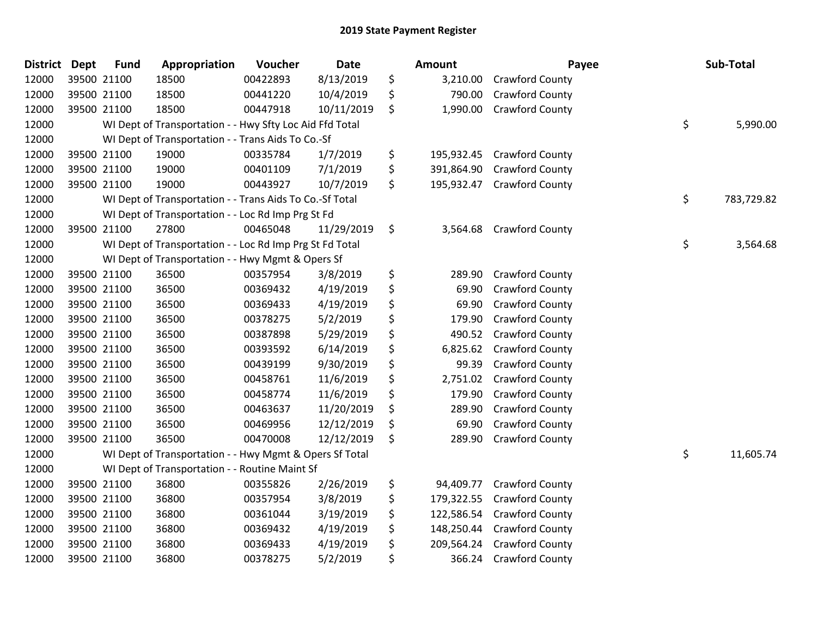| <b>District</b> | <b>Dept</b> | <b>Fund</b> | Appropriation                                            | Voucher  | Date       | <b>Amount</b>    | Payee                  | Sub-Total        |
|-----------------|-------------|-------------|----------------------------------------------------------|----------|------------|------------------|------------------------|------------------|
| 12000           |             | 39500 21100 | 18500                                                    | 00422893 | 8/13/2019  | \$<br>3,210.00   | <b>Crawford County</b> |                  |
| 12000           |             | 39500 21100 | 18500                                                    | 00441220 | 10/4/2019  | \$<br>790.00     | Crawford County        |                  |
| 12000           | 39500 21100 |             | 18500                                                    | 00447918 | 10/11/2019 | \$<br>1,990.00   | Crawford County        |                  |
| 12000           |             |             | WI Dept of Transportation - - Hwy Sfty Loc Aid Ffd Total |          |            |                  |                        | \$<br>5,990.00   |
| 12000           |             |             | WI Dept of Transportation - - Trans Aids To Co.-Sf       |          |            |                  |                        |                  |
| 12000           |             | 39500 21100 | 19000                                                    | 00335784 | 1/7/2019   | \$<br>195,932.45 | Crawford County        |                  |
| 12000           |             | 39500 21100 | 19000                                                    | 00401109 | 7/1/2019   | \$<br>391,864.90 | <b>Crawford County</b> |                  |
| 12000           |             | 39500 21100 | 19000                                                    | 00443927 | 10/7/2019  | \$<br>195,932.47 | Crawford County        |                  |
| 12000           |             |             | WI Dept of Transportation - - Trans Aids To Co.-Sf Total |          |            |                  |                        | \$<br>783,729.82 |
| 12000           |             |             | WI Dept of Transportation - - Loc Rd Imp Prg St Fd       |          |            |                  |                        |                  |
| 12000           |             | 39500 21100 | 27800                                                    | 00465048 | 11/29/2019 | \$<br>3,564.68   | Crawford County        |                  |
| 12000           |             |             | WI Dept of Transportation - - Loc Rd Imp Prg St Fd Total |          |            |                  |                        | \$<br>3,564.68   |
| 12000           |             |             | WI Dept of Transportation - - Hwy Mgmt & Opers Sf        |          |            |                  |                        |                  |
| 12000           |             | 39500 21100 | 36500                                                    | 00357954 | 3/8/2019   | \$<br>289.90     | <b>Crawford County</b> |                  |
| 12000           |             | 39500 21100 | 36500                                                    | 00369432 | 4/19/2019  | \$<br>69.90      | <b>Crawford County</b> |                  |
| 12000           |             | 39500 21100 | 36500                                                    | 00369433 | 4/19/2019  | \$<br>69.90      | Crawford County        |                  |
| 12000           |             | 39500 21100 | 36500                                                    | 00378275 | 5/2/2019   | \$<br>179.90     | Crawford County        |                  |
| 12000           |             | 39500 21100 | 36500                                                    | 00387898 | 5/29/2019  | \$<br>490.52     | Crawford County        |                  |
| 12000           |             | 39500 21100 | 36500                                                    | 00393592 | 6/14/2019  | \$<br>6,825.62   | Crawford County        |                  |
| 12000           |             | 39500 21100 | 36500                                                    | 00439199 | 9/30/2019  | \$<br>99.39      | Crawford County        |                  |
| 12000           | 39500 21100 |             | 36500                                                    | 00458761 | 11/6/2019  | \$<br>2,751.02   | Crawford County        |                  |
| 12000           |             | 39500 21100 | 36500                                                    | 00458774 | 11/6/2019  | \$<br>179.90     | Crawford County        |                  |
| 12000           |             | 39500 21100 | 36500                                                    | 00463637 | 11/20/2019 | \$<br>289.90     | Crawford County        |                  |
| 12000           |             | 39500 21100 | 36500                                                    | 00469956 | 12/12/2019 | \$<br>69.90      | Crawford County        |                  |
| 12000           |             | 39500 21100 | 36500                                                    | 00470008 | 12/12/2019 | \$<br>289.90     | Crawford County        |                  |
| 12000           |             |             | WI Dept of Transportation - - Hwy Mgmt & Opers Sf Total  |          |            |                  |                        | \$<br>11,605.74  |
| 12000           |             |             | WI Dept of Transportation - - Routine Maint Sf           |          |            |                  |                        |                  |
| 12000           |             | 39500 21100 | 36800                                                    | 00355826 | 2/26/2019  | \$<br>94,409.77  | Crawford County        |                  |
| 12000           |             | 39500 21100 | 36800                                                    | 00357954 | 3/8/2019   | \$<br>179,322.55 | Crawford County        |                  |
| 12000           |             | 39500 21100 | 36800                                                    | 00361044 | 3/19/2019  | \$<br>122,586.54 | Crawford County        |                  |
| 12000           |             | 39500 21100 | 36800                                                    | 00369432 | 4/19/2019  | \$<br>148,250.44 | Crawford County        |                  |
| 12000           |             | 39500 21100 | 36800                                                    | 00369433 | 4/19/2019  | \$<br>209,564.24 | Crawford County        |                  |
| 12000           |             | 39500 21100 | 36800                                                    | 00378275 | 5/2/2019   | \$<br>366.24     | <b>Crawford County</b> |                  |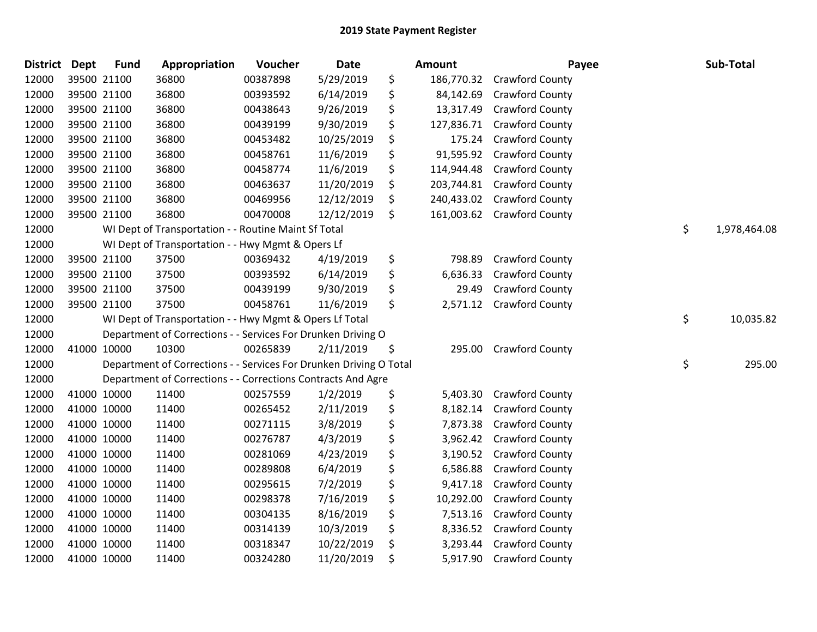| <b>District</b> | <b>Dept</b> | <b>Fund</b> | Appropriation                                                      | Voucher  | <b>Date</b> | <b>Amount</b>    | Payee                  | Sub-Total          |
|-----------------|-------------|-------------|--------------------------------------------------------------------|----------|-------------|------------------|------------------------|--------------------|
| 12000           |             | 39500 21100 | 36800                                                              | 00387898 | 5/29/2019   | \$<br>186,770.32 | Crawford County        |                    |
| 12000           |             | 39500 21100 | 36800                                                              | 00393592 | 6/14/2019   | \$<br>84,142.69  | Crawford County        |                    |
| 12000           |             | 39500 21100 | 36800                                                              | 00438643 | 9/26/2019   | \$<br>13,317.49  | Crawford County        |                    |
| 12000           |             | 39500 21100 | 36800                                                              | 00439199 | 9/30/2019   | \$<br>127,836.71 | Crawford County        |                    |
| 12000           |             | 39500 21100 | 36800                                                              | 00453482 | 10/25/2019  | \$<br>175.24     | Crawford County        |                    |
| 12000           |             | 39500 21100 | 36800                                                              | 00458761 | 11/6/2019   | \$<br>91,595.92  | Crawford County        |                    |
| 12000           |             | 39500 21100 | 36800                                                              | 00458774 | 11/6/2019   | \$<br>114,944.48 | Crawford County        |                    |
| 12000           |             | 39500 21100 | 36800                                                              | 00463637 | 11/20/2019  | \$<br>203,744.81 | Crawford County        |                    |
| 12000           |             | 39500 21100 | 36800                                                              | 00469956 | 12/12/2019  | \$<br>240,433.02 | Crawford County        |                    |
| 12000           | 39500 21100 |             | 36800                                                              | 00470008 | 12/12/2019  | \$<br>161,003.62 | Crawford County        |                    |
| 12000           |             |             | WI Dept of Transportation - - Routine Maint Sf Total               |          |             |                  |                        | \$<br>1,978,464.08 |
| 12000           |             |             | WI Dept of Transportation - - Hwy Mgmt & Opers Lf                  |          |             |                  |                        |                    |
| 12000           |             | 39500 21100 | 37500                                                              | 00369432 | 4/19/2019   | \$<br>798.89     | <b>Crawford County</b> |                    |
| 12000           |             | 39500 21100 | 37500                                                              | 00393592 | 6/14/2019   | \$<br>6,636.33   | <b>Crawford County</b> |                    |
| 12000           |             | 39500 21100 | 37500                                                              | 00439199 | 9/30/2019   | \$<br>29.49      | Crawford County        |                    |
| 12000           |             | 39500 21100 | 37500                                                              | 00458761 | 11/6/2019   | \$<br>2,571.12   | <b>Crawford County</b> |                    |
| 12000           |             |             | WI Dept of Transportation - - Hwy Mgmt & Opers Lf Total            |          |             |                  |                        | \$<br>10,035.82    |
| 12000           |             |             | Department of Corrections - - Services For Drunken Driving O       |          |             |                  |                        |                    |
| 12000           |             | 41000 10000 | 10300                                                              | 00265839 | 2/11/2019   | \$<br>295.00     | Crawford County        |                    |
| 12000           |             |             | Department of Corrections - - Services For Drunken Driving O Total |          |             |                  |                        | \$<br>295.00       |
| 12000           |             |             | Department of Corrections - - Corrections Contracts And Agre       |          |             |                  |                        |                    |
| 12000           |             | 41000 10000 | 11400                                                              | 00257559 | 1/2/2019    | \$<br>5,403.30   | Crawford County        |                    |
| 12000           | 41000 10000 |             | 11400                                                              | 00265452 | 2/11/2019   | \$<br>8,182.14   | <b>Crawford County</b> |                    |
| 12000           | 41000 10000 |             | 11400                                                              | 00271115 | 3/8/2019    | \$<br>7,873.38   | Crawford County        |                    |
| 12000           |             | 41000 10000 | 11400                                                              | 00276787 | 4/3/2019    | \$<br>3,962.42   | Crawford County        |                    |
| 12000           |             | 41000 10000 | 11400                                                              | 00281069 | 4/23/2019   | \$<br>3,190.52   | Crawford County        |                    |
| 12000           | 41000 10000 |             | 11400                                                              | 00289808 | 6/4/2019    | \$<br>6,586.88   | Crawford County        |                    |
| 12000           | 41000 10000 |             | 11400                                                              | 00295615 | 7/2/2019    | \$<br>9,417.18   | Crawford County        |                    |
| 12000           | 41000 10000 |             | 11400                                                              | 00298378 | 7/16/2019   | \$<br>10,292.00  | Crawford County        |                    |
| 12000           |             | 41000 10000 | 11400                                                              | 00304135 | 8/16/2019   | \$<br>7,513.16   | Crawford County        |                    |
| 12000           |             | 41000 10000 | 11400                                                              | 00314139 | 10/3/2019   | \$<br>8,336.52   | Crawford County        |                    |
| 12000           |             | 41000 10000 | 11400                                                              | 00318347 | 10/22/2019  | \$<br>3,293.44   | <b>Crawford County</b> |                    |
| 12000           | 41000 10000 |             | 11400                                                              | 00324280 | 11/20/2019  | \$<br>5,917.90   | <b>Crawford County</b> |                    |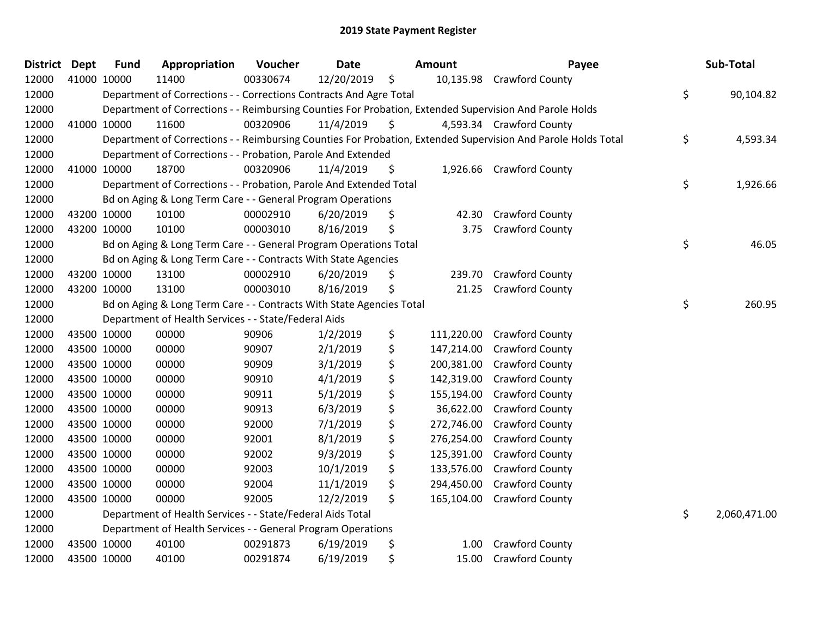| <b>District Dept</b> |             | <b>Fund</b> | Appropriation                                                        | Voucher  | <b>Date</b> | <b>Amount</b>    | Payee                                                                                                         | Sub-Total          |
|----------------------|-------------|-------------|----------------------------------------------------------------------|----------|-------------|------------------|---------------------------------------------------------------------------------------------------------------|--------------------|
| 12000                |             | 41000 10000 | 11400                                                                | 00330674 | 12/20/2019  | \$<br>10,135.98  | <b>Crawford County</b>                                                                                        |                    |
| 12000                |             |             | Department of Corrections - - Corrections Contracts And Agre Total   |          |             |                  |                                                                                                               | \$<br>90,104.82    |
| 12000                |             |             |                                                                      |          |             |                  | Department of Corrections - - Reimbursing Counties For Probation, Extended Supervision And Parole Holds       |                    |
| 12000                |             | 41000 10000 | 11600                                                                | 00320906 | 11/4/2019   | \$               | 4,593.34 Crawford County                                                                                      |                    |
| 12000                |             |             |                                                                      |          |             |                  | Department of Corrections - - Reimbursing Counties For Probation, Extended Supervision And Parole Holds Total | \$<br>4,593.34     |
| 12000                |             |             | Department of Corrections - - Probation, Parole And Extended         |          |             |                  |                                                                                                               |                    |
| 12000                |             | 41000 10000 | 18700                                                                | 00320906 | 11/4/2019   | \$<br>1,926.66   | <b>Crawford County</b>                                                                                        |                    |
| 12000                |             |             | Department of Corrections - - Probation, Parole And Extended Total   |          |             |                  |                                                                                                               | \$<br>1,926.66     |
| 12000                |             |             | Bd on Aging & Long Term Care - - General Program Operations          |          |             |                  |                                                                                                               |                    |
| 12000                |             | 43200 10000 | 10100                                                                | 00002910 | 6/20/2019   | \$<br>42.30      | Crawford County                                                                                               |                    |
| 12000                |             | 43200 10000 | 10100                                                                | 00003010 | 8/16/2019   | \$<br>3.75       | <b>Crawford County</b>                                                                                        |                    |
| 12000                |             |             | Bd on Aging & Long Term Care - - General Program Operations Total    |          |             |                  |                                                                                                               | \$<br>46.05        |
| 12000                |             |             | Bd on Aging & Long Term Care - - Contracts With State Agencies       |          |             |                  |                                                                                                               |                    |
| 12000                |             | 43200 10000 | 13100                                                                | 00002910 | 6/20/2019   | \$<br>239.70     | <b>Crawford County</b>                                                                                        |                    |
| 12000                |             | 43200 10000 | 13100                                                                | 00003010 | 8/16/2019   | \$<br>21.25      | <b>Crawford County</b>                                                                                        |                    |
| 12000                |             |             | Bd on Aging & Long Term Care - - Contracts With State Agencies Total |          |             |                  |                                                                                                               | \$<br>260.95       |
| 12000                |             |             | Department of Health Services - - State/Federal Aids                 |          |             |                  |                                                                                                               |                    |
| 12000                |             | 43500 10000 | 00000                                                                | 90906    | 1/2/2019    | \$<br>111,220.00 | Crawford County                                                                                               |                    |
| 12000                |             | 43500 10000 | 00000                                                                | 90907    | 2/1/2019    | \$<br>147,214.00 | Crawford County                                                                                               |                    |
| 12000                |             | 43500 10000 | 00000                                                                | 90909    | 3/1/2019    | \$<br>200,381.00 | Crawford County                                                                                               |                    |
| 12000                |             | 43500 10000 | 00000                                                                | 90910    | 4/1/2019    | \$<br>142,319.00 | <b>Crawford County</b>                                                                                        |                    |
| 12000                |             | 43500 10000 | 00000                                                                | 90911    | 5/1/2019    | \$<br>155,194.00 | <b>Crawford County</b>                                                                                        |                    |
| 12000                | 43500 10000 |             | 00000                                                                | 90913    | 6/3/2019    | \$<br>36,622.00  | <b>Crawford County</b>                                                                                        |                    |
| 12000                | 43500 10000 |             | 00000                                                                | 92000    | 7/1/2019    | \$<br>272,746.00 | Crawford County                                                                                               |                    |
| 12000                |             | 43500 10000 | 00000                                                                | 92001    | 8/1/2019    | \$<br>276,254.00 | Crawford County                                                                                               |                    |
| 12000                |             | 43500 10000 | 00000                                                                | 92002    | 9/3/2019    | \$<br>125,391.00 | <b>Crawford County</b>                                                                                        |                    |
| 12000                |             | 43500 10000 | 00000                                                                | 92003    | 10/1/2019   | \$<br>133,576.00 | Crawford County                                                                                               |                    |
| 12000                |             | 43500 10000 | 00000                                                                | 92004    | 11/1/2019   | \$<br>294,450.00 | <b>Crawford County</b>                                                                                        |                    |
| 12000                |             | 43500 10000 | 00000                                                                | 92005    | 12/2/2019   | \$<br>165,104.00 | Crawford County                                                                                               |                    |
| 12000                |             |             | Department of Health Services - - State/Federal Aids Total           |          |             |                  |                                                                                                               | \$<br>2,060,471.00 |
| 12000                |             |             | Department of Health Services - - General Program Operations         |          |             |                  |                                                                                                               |                    |
| 12000                |             | 43500 10000 | 40100                                                                | 00291873 | 6/19/2019   | \$<br>1.00       | <b>Crawford County</b>                                                                                        |                    |
| 12000                |             | 43500 10000 | 40100                                                                | 00291874 | 6/19/2019   | \$<br>15.00      | <b>Crawford County</b>                                                                                        |                    |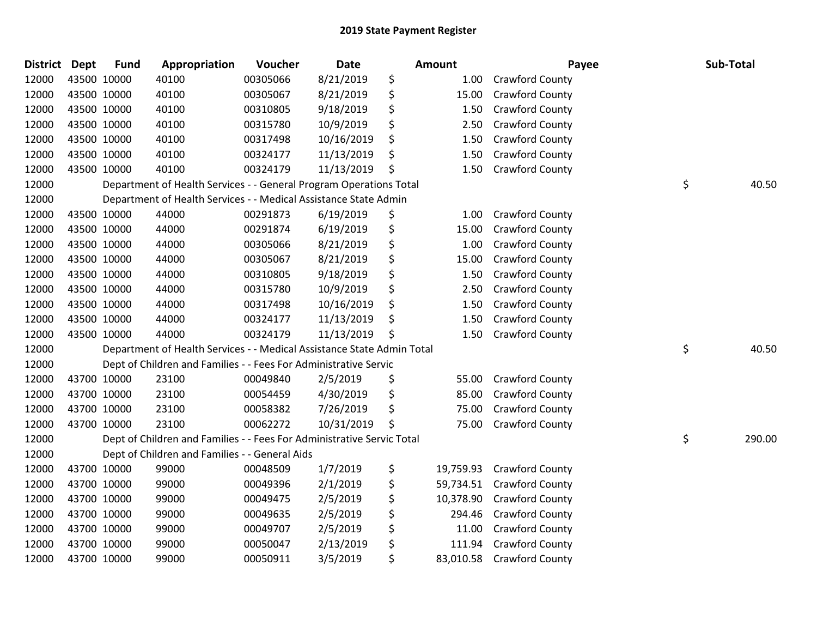| <b>District</b> | <b>Dept</b> | <b>Fund</b> | Appropriation                                                          | Voucher  | <b>Date</b> | Amount          | Payee                  | Sub-Total    |
|-----------------|-------------|-------------|------------------------------------------------------------------------|----------|-------------|-----------------|------------------------|--------------|
| 12000           |             | 43500 10000 | 40100                                                                  | 00305066 | 8/21/2019   | \$<br>1.00      | <b>Crawford County</b> |              |
| 12000           |             | 43500 10000 | 40100                                                                  | 00305067 | 8/21/2019   | \$<br>15.00     | Crawford County        |              |
| 12000           |             | 43500 10000 | 40100                                                                  | 00310805 | 9/18/2019   | \$<br>1.50      | Crawford County        |              |
| 12000           | 43500 10000 |             | 40100                                                                  | 00315780 | 10/9/2019   | \$<br>2.50      | Crawford County        |              |
| 12000           |             | 43500 10000 | 40100                                                                  | 00317498 | 10/16/2019  | \$<br>1.50      | Crawford County        |              |
| 12000           |             | 43500 10000 | 40100                                                                  | 00324177 | 11/13/2019  | \$<br>1.50      | Crawford County        |              |
| 12000           |             | 43500 10000 | 40100                                                                  | 00324179 | 11/13/2019  | \$<br>1.50      | Crawford County        |              |
| 12000           |             |             | Department of Health Services - - General Program Operations Total     |          |             |                 |                        | \$<br>40.50  |
| 12000           |             |             | Department of Health Services - - Medical Assistance State Admin       |          |             |                 |                        |              |
| 12000           |             | 43500 10000 | 44000                                                                  | 00291873 | 6/19/2019   | \$<br>1.00      | Crawford County        |              |
| 12000           |             | 43500 10000 | 44000                                                                  | 00291874 | 6/19/2019   | \$<br>15.00     | Crawford County        |              |
| 12000           |             | 43500 10000 | 44000                                                                  | 00305066 | 8/21/2019   | \$<br>1.00      | Crawford County        |              |
| 12000           |             | 43500 10000 | 44000                                                                  | 00305067 | 8/21/2019   | \$<br>15.00     | Crawford County        |              |
| 12000           |             | 43500 10000 | 44000                                                                  | 00310805 | 9/18/2019   | \$<br>1.50      | <b>Crawford County</b> |              |
| 12000           |             | 43500 10000 | 44000                                                                  | 00315780 | 10/9/2019   | \$<br>2.50      | Crawford County        |              |
| 12000           |             | 43500 10000 | 44000                                                                  | 00317498 | 10/16/2019  | \$<br>1.50      | Crawford County        |              |
| 12000           |             | 43500 10000 | 44000                                                                  | 00324177 | 11/13/2019  | \$<br>1.50      | Crawford County        |              |
| 12000           |             | 43500 10000 | 44000                                                                  | 00324179 | 11/13/2019  | \$<br>1.50      | Crawford County        |              |
| 12000           |             |             | Department of Health Services - - Medical Assistance State Admin Total |          |             |                 |                        | \$<br>40.50  |
| 12000           |             |             | Dept of Children and Families - - Fees For Administrative Servic       |          |             |                 |                        |              |
| 12000           |             | 43700 10000 | 23100                                                                  | 00049840 | 2/5/2019    | \$<br>55.00     | Crawford County        |              |
| 12000           |             | 43700 10000 | 23100                                                                  | 00054459 | 4/30/2019   | \$<br>85.00     | Crawford County        |              |
| 12000           |             | 43700 10000 | 23100                                                                  | 00058382 | 7/26/2019   | \$<br>75.00     | Crawford County        |              |
| 12000           |             | 43700 10000 | 23100                                                                  | 00062272 | 10/31/2019  | \$<br>75.00     | Crawford County        |              |
| 12000           |             |             | Dept of Children and Families - - Fees For Administrative Servic Total |          |             |                 |                        | \$<br>290.00 |
| 12000           |             |             | Dept of Children and Families - - General Aids                         |          |             |                 |                        |              |
| 12000           |             | 43700 10000 | 99000                                                                  | 00048509 | 1/7/2019    | \$<br>19,759.93 | Crawford County        |              |
| 12000           |             | 43700 10000 | 99000                                                                  | 00049396 | 2/1/2019    | \$<br>59,734.51 | Crawford County        |              |
| 12000           |             | 43700 10000 | 99000                                                                  | 00049475 | 2/5/2019    | \$<br>10,378.90 | Crawford County        |              |
| 12000           |             | 43700 10000 | 99000                                                                  | 00049635 | 2/5/2019    | \$<br>294.46    | Crawford County        |              |
| 12000           |             | 43700 10000 | 99000                                                                  | 00049707 | 2/5/2019    | \$<br>11.00     | Crawford County        |              |
| 12000           |             | 43700 10000 | 99000                                                                  | 00050047 | 2/13/2019   | \$<br>111.94    | Crawford County        |              |
| 12000           |             | 43700 10000 | 99000                                                                  | 00050911 | 3/5/2019    | \$<br>83,010.58 | <b>Crawford County</b> |              |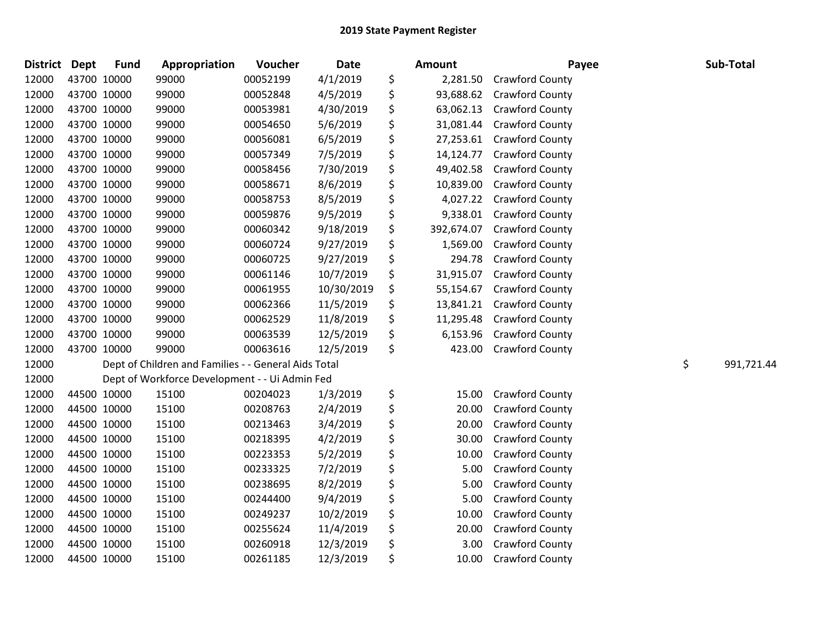| 00052199<br>4/1/2019<br>\$<br>12000<br>43700 10000<br>99000<br>2,281.50<br>Crawford County<br>43700 10000<br>99000<br>\$<br>12000<br>00052848<br>4/5/2019<br>Crawford County<br>93,688.62<br>\$<br>12000<br>43700 10000<br>99000<br>00053981<br>4/30/2019<br>63,062.13<br>Crawford County<br>\$<br>12000<br>43700 10000<br>99000<br>00054650<br>5/6/2019<br>31,081.44<br><b>Crawford County</b><br>\$<br>12000<br>43700 10000<br>99000<br>6/5/2019<br>00056081<br>27,253.61<br><b>Crawford County</b><br>\$<br>12000<br>43700 10000<br>99000<br>00057349<br>7/5/2019<br>14,124.77<br>Crawford County<br>\$<br>12000<br>43700 10000<br>7/30/2019<br>99000<br>00058456<br>49,402.58<br>Crawford County<br>\$<br>12000<br>43700 10000<br>99000<br>00058671<br>8/6/2019<br>10,839.00<br>Crawford County<br>\$<br>12000<br>43700 10000<br>Crawford County<br>99000<br>00058753<br>8/5/2019<br>4,027.22<br>\$<br>43700 10000<br>Crawford County<br>12000<br>99000<br>00059876<br>9/5/2019<br>9,338.01<br>\$<br>12000<br>43700 10000<br>99000<br>00060342<br>9/18/2019<br>392,674.07<br>Crawford County<br>\$<br>43700 10000<br>9/27/2019<br>12000<br>99000<br>00060724<br>1,569.00<br>Crawford County<br>\$<br>43700 10000<br>12000<br>99000<br>00060725<br>9/27/2019<br>294.78<br><b>Crawford County</b><br>\$<br>12000<br>43700 10000<br>99000<br>00061146<br>10/7/2019<br>31,915.07<br>Crawford County<br>\$<br>12000<br>43700 10000<br>99000<br>00061955<br>10/30/2019<br>55,154.67<br>Crawford County<br>\$<br>12000<br>43700 10000<br>99000<br>00062366<br>11/5/2019<br>13,841.21<br>Crawford County<br>\$<br>12000<br>43700 10000<br>99000<br>00062529<br>11/8/2019<br>Crawford County<br>11,295.48<br>\$<br>12000<br>43700 10000<br>99000<br>12/5/2019<br>Crawford County<br>00063539<br>6,153.96<br>\$<br>12000<br>43700 10000<br>99000<br>423.00<br>00063616<br>12/5/2019<br>Crawford County<br>\$<br>12000<br>Dept of Children and Families - - General Aids Total<br>12000<br>Dept of Workforce Development - - Ui Admin Fed<br>\$<br>12000<br>1/3/2019<br>Crawford County<br>44500 10000<br>15100<br>00204023<br>15.00<br>\$<br>12000<br>44500 10000<br>15100<br>2/4/2019<br>20.00<br>Crawford County<br>00208763<br>\$<br>12000<br>44500 10000<br>15100<br>3/4/2019<br>20.00<br>Crawford County<br>00213463<br>\$<br>44500 10000<br>12000<br>15100<br>00218395<br>4/2/2019<br>30.00<br>Crawford County<br>\$<br>44500 10000<br>12000<br>15100<br>00223353<br>5/2/2019<br>10.00<br>Crawford County<br>\$<br>44500 10000<br>12000<br>15100<br>00233325<br>7/2/2019<br>5.00<br>Crawford County<br>\$<br>12000<br>44500 10000<br>8/2/2019<br>15100<br>00238695<br>5.00<br>Crawford County<br>\$<br>12000<br>44500 10000<br>15100<br>00244400<br>9/4/2019<br>5.00<br>Crawford County<br>\$<br>12000<br>44500 10000<br>15100<br>00249237<br>10/2/2019<br>10.00<br>Crawford County<br>\$<br>44500 10000<br>15100<br>00255624<br>11/4/2019<br>Crawford County<br>12000<br>20.00<br>\$<br>12000<br>44500 10000<br>15100<br>00260918<br>12/3/2019<br>3.00<br>Crawford County<br>\$<br>12000<br>44500 10000<br>15100<br>00261185<br>12/3/2019<br>10.00<br>Crawford County | <b>District</b> | <b>Dept</b> | <b>Fund</b> | Appropriation | Voucher | <b>Date</b> | Amount | Payee | Sub-Total  |
|------------------------------------------------------------------------------------------------------------------------------------------------------------------------------------------------------------------------------------------------------------------------------------------------------------------------------------------------------------------------------------------------------------------------------------------------------------------------------------------------------------------------------------------------------------------------------------------------------------------------------------------------------------------------------------------------------------------------------------------------------------------------------------------------------------------------------------------------------------------------------------------------------------------------------------------------------------------------------------------------------------------------------------------------------------------------------------------------------------------------------------------------------------------------------------------------------------------------------------------------------------------------------------------------------------------------------------------------------------------------------------------------------------------------------------------------------------------------------------------------------------------------------------------------------------------------------------------------------------------------------------------------------------------------------------------------------------------------------------------------------------------------------------------------------------------------------------------------------------------------------------------------------------------------------------------------------------------------------------------------------------------------------------------------------------------------------------------------------------------------------------------------------------------------------------------------------------------------------------------------------------------------------------------------------------------------------------------------------------------------------------------------------------------------------------------------------------------------------------------------------------------------------------------------------------------------------------------------------------------------------------------------------------------------------------------------------------------------------------------------------------------------------------------------------------------------------------------------------------------------------------------------------------------------------------------------------------------------------------------------------------------------------------------------------------------------------------------------------------------------------------------------------------------------|-----------------|-------------|-------------|---------------|---------|-------------|--------|-------|------------|
|                                                                                                                                                                                                                                                                                                                                                                                                                                                                                                                                                                                                                                                                                                                                                                                                                                                                                                                                                                                                                                                                                                                                                                                                                                                                                                                                                                                                                                                                                                                                                                                                                                                                                                                                                                                                                                                                                                                                                                                                                                                                                                                                                                                                                                                                                                                                                                                                                                                                                                                                                                                                                                                                                                                                                                                                                                                                                                                                                                                                                                                                                                                                                                        |                 |             |             |               |         |             |        |       |            |
|                                                                                                                                                                                                                                                                                                                                                                                                                                                                                                                                                                                                                                                                                                                                                                                                                                                                                                                                                                                                                                                                                                                                                                                                                                                                                                                                                                                                                                                                                                                                                                                                                                                                                                                                                                                                                                                                                                                                                                                                                                                                                                                                                                                                                                                                                                                                                                                                                                                                                                                                                                                                                                                                                                                                                                                                                                                                                                                                                                                                                                                                                                                                                                        |                 |             |             |               |         |             |        |       |            |
|                                                                                                                                                                                                                                                                                                                                                                                                                                                                                                                                                                                                                                                                                                                                                                                                                                                                                                                                                                                                                                                                                                                                                                                                                                                                                                                                                                                                                                                                                                                                                                                                                                                                                                                                                                                                                                                                                                                                                                                                                                                                                                                                                                                                                                                                                                                                                                                                                                                                                                                                                                                                                                                                                                                                                                                                                                                                                                                                                                                                                                                                                                                                                                        |                 |             |             |               |         |             |        |       |            |
|                                                                                                                                                                                                                                                                                                                                                                                                                                                                                                                                                                                                                                                                                                                                                                                                                                                                                                                                                                                                                                                                                                                                                                                                                                                                                                                                                                                                                                                                                                                                                                                                                                                                                                                                                                                                                                                                                                                                                                                                                                                                                                                                                                                                                                                                                                                                                                                                                                                                                                                                                                                                                                                                                                                                                                                                                                                                                                                                                                                                                                                                                                                                                                        |                 |             |             |               |         |             |        |       |            |
|                                                                                                                                                                                                                                                                                                                                                                                                                                                                                                                                                                                                                                                                                                                                                                                                                                                                                                                                                                                                                                                                                                                                                                                                                                                                                                                                                                                                                                                                                                                                                                                                                                                                                                                                                                                                                                                                                                                                                                                                                                                                                                                                                                                                                                                                                                                                                                                                                                                                                                                                                                                                                                                                                                                                                                                                                                                                                                                                                                                                                                                                                                                                                                        |                 |             |             |               |         |             |        |       |            |
|                                                                                                                                                                                                                                                                                                                                                                                                                                                                                                                                                                                                                                                                                                                                                                                                                                                                                                                                                                                                                                                                                                                                                                                                                                                                                                                                                                                                                                                                                                                                                                                                                                                                                                                                                                                                                                                                                                                                                                                                                                                                                                                                                                                                                                                                                                                                                                                                                                                                                                                                                                                                                                                                                                                                                                                                                                                                                                                                                                                                                                                                                                                                                                        |                 |             |             |               |         |             |        |       |            |
|                                                                                                                                                                                                                                                                                                                                                                                                                                                                                                                                                                                                                                                                                                                                                                                                                                                                                                                                                                                                                                                                                                                                                                                                                                                                                                                                                                                                                                                                                                                                                                                                                                                                                                                                                                                                                                                                                                                                                                                                                                                                                                                                                                                                                                                                                                                                                                                                                                                                                                                                                                                                                                                                                                                                                                                                                                                                                                                                                                                                                                                                                                                                                                        |                 |             |             |               |         |             |        |       |            |
|                                                                                                                                                                                                                                                                                                                                                                                                                                                                                                                                                                                                                                                                                                                                                                                                                                                                                                                                                                                                                                                                                                                                                                                                                                                                                                                                                                                                                                                                                                                                                                                                                                                                                                                                                                                                                                                                                                                                                                                                                                                                                                                                                                                                                                                                                                                                                                                                                                                                                                                                                                                                                                                                                                                                                                                                                                                                                                                                                                                                                                                                                                                                                                        |                 |             |             |               |         |             |        |       |            |
|                                                                                                                                                                                                                                                                                                                                                                                                                                                                                                                                                                                                                                                                                                                                                                                                                                                                                                                                                                                                                                                                                                                                                                                                                                                                                                                                                                                                                                                                                                                                                                                                                                                                                                                                                                                                                                                                                                                                                                                                                                                                                                                                                                                                                                                                                                                                                                                                                                                                                                                                                                                                                                                                                                                                                                                                                                                                                                                                                                                                                                                                                                                                                                        |                 |             |             |               |         |             |        |       |            |
|                                                                                                                                                                                                                                                                                                                                                                                                                                                                                                                                                                                                                                                                                                                                                                                                                                                                                                                                                                                                                                                                                                                                                                                                                                                                                                                                                                                                                                                                                                                                                                                                                                                                                                                                                                                                                                                                                                                                                                                                                                                                                                                                                                                                                                                                                                                                                                                                                                                                                                                                                                                                                                                                                                                                                                                                                                                                                                                                                                                                                                                                                                                                                                        |                 |             |             |               |         |             |        |       |            |
|                                                                                                                                                                                                                                                                                                                                                                                                                                                                                                                                                                                                                                                                                                                                                                                                                                                                                                                                                                                                                                                                                                                                                                                                                                                                                                                                                                                                                                                                                                                                                                                                                                                                                                                                                                                                                                                                                                                                                                                                                                                                                                                                                                                                                                                                                                                                                                                                                                                                                                                                                                                                                                                                                                                                                                                                                                                                                                                                                                                                                                                                                                                                                                        |                 |             |             |               |         |             |        |       |            |
|                                                                                                                                                                                                                                                                                                                                                                                                                                                                                                                                                                                                                                                                                                                                                                                                                                                                                                                                                                                                                                                                                                                                                                                                                                                                                                                                                                                                                                                                                                                                                                                                                                                                                                                                                                                                                                                                                                                                                                                                                                                                                                                                                                                                                                                                                                                                                                                                                                                                                                                                                                                                                                                                                                                                                                                                                                                                                                                                                                                                                                                                                                                                                                        |                 |             |             |               |         |             |        |       |            |
|                                                                                                                                                                                                                                                                                                                                                                                                                                                                                                                                                                                                                                                                                                                                                                                                                                                                                                                                                                                                                                                                                                                                                                                                                                                                                                                                                                                                                                                                                                                                                                                                                                                                                                                                                                                                                                                                                                                                                                                                                                                                                                                                                                                                                                                                                                                                                                                                                                                                                                                                                                                                                                                                                                                                                                                                                                                                                                                                                                                                                                                                                                                                                                        |                 |             |             |               |         |             |        |       |            |
|                                                                                                                                                                                                                                                                                                                                                                                                                                                                                                                                                                                                                                                                                                                                                                                                                                                                                                                                                                                                                                                                                                                                                                                                                                                                                                                                                                                                                                                                                                                                                                                                                                                                                                                                                                                                                                                                                                                                                                                                                                                                                                                                                                                                                                                                                                                                                                                                                                                                                                                                                                                                                                                                                                                                                                                                                                                                                                                                                                                                                                                                                                                                                                        |                 |             |             |               |         |             |        |       |            |
|                                                                                                                                                                                                                                                                                                                                                                                                                                                                                                                                                                                                                                                                                                                                                                                                                                                                                                                                                                                                                                                                                                                                                                                                                                                                                                                                                                                                                                                                                                                                                                                                                                                                                                                                                                                                                                                                                                                                                                                                                                                                                                                                                                                                                                                                                                                                                                                                                                                                                                                                                                                                                                                                                                                                                                                                                                                                                                                                                                                                                                                                                                                                                                        |                 |             |             |               |         |             |        |       |            |
|                                                                                                                                                                                                                                                                                                                                                                                                                                                                                                                                                                                                                                                                                                                                                                                                                                                                                                                                                                                                                                                                                                                                                                                                                                                                                                                                                                                                                                                                                                                                                                                                                                                                                                                                                                                                                                                                                                                                                                                                                                                                                                                                                                                                                                                                                                                                                                                                                                                                                                                                                                                                                                                                                                                                                                                                                                                                                                                                                                                                                                                                                                                                                                        |                 |             |             |               |         |             |        |       |            |
|                                                                                                                                                                                                                                                                                                                                                                                                                                                                                                                                                                                                                                                                                                                                                                                                                                                                                                                                                                                                                                                                                                                                                                                                                                                                                                                                                                                                                                                                                                                                                                                                                                                                                                                                                                                                                                                                                                                                                                                                                                                                                                                                                                                                                                                                                                                                                                                                                                                                                                                                                                                                                                                                                                                                                                                                                                                                                                                                                                                                                                                                                                                                                                        |                 |             |             |               |         |             |        |       |            |
|                                                                                                                                                                                                                                                                                                                                                                                                                                                                                                                                                                                                                                                                                                                                                                                                                                                                                                                                                                                                                                                                                                                                                                                                                                                                                                                                                                                                                                                                                                                                                                                                                                                                                                                                                                                                                                                                                                                                                                                                                                                                                                                                                                                                                                                                                                                                                                                                                                                                                                                                                                                                                                                                                                                                                                                                                                                                                                                                                                                                                                                                                                                                                                        |                 |             |             |               |         |             |        |       |            |
|                                                                                                                                                                                                                                                                                                                                                                                                                                                                                                                                                                                                                                                                                                                                                                                                                                                                                                                                                                                                                                                                                                                                                                                                                                                                                                                                                                                                                                                                                                                                                                                                                                                                                                                                                                                                                                                                                                                                                                                                                                                                                                                                                                                                                                                                                                                                                                                                                                                                                                                                                                                                                                                                                                                                                                                                                                                                                                                                                                                                                                                                                                                                                                        |                 |             |             |               |         |             |        |       |            |
|                                                                                                                                                                                                                                                                                                                                                                                                                                                                                                                                                                                                                                                                                                                                                                                                                                                                                                                                                                                                                                                                                                                                                                                                                                                                                                                                                                                                                                                                                                                                                                                                                                                                                                                                                                                                                                                                                                                                                                                                                                                                                                                                                                                                                                                                                                                                                                                                                                                                                                                                                                                                                                                                                                                                                                                                                                                                                                                                                                                                                                                                                                                                                                        |                 |             |             |               |         |             |        |       | 991,721.44 |
|                                                                                                                                                                                                                                                                                                                                                                                                                                                                                                                                                                                                                                                                                                                                                                                                                                                                                                                                                                                                                                                                                                                                                                                                                                                                                                                                                                                                                                                                                                                                                                                                                                                                                                                                                                                                                                                                                                                                                                                                                                                                                                                                                                                                                                                                                                                                                                                                                                                                                                                                                                                                                                                                                                                                                                                                                                                                                                                                                                                                                                                                                                                                                                        |                 |             |             |               |         |             |        |       |            |
|                                                                                                                                                                                                                                                                                                                                                                                                                                                                                                                                                                                                                                                                                                                                                                                                                                                                                                                                                                                                                                                                                                                                                                                                                                                                                                                                                                                                                                                                                                                                                                                                                                                                                                                                                                                                                                                                                                                                                                                                                                                                                                                                                                                                                                                                                                                                                                                                                                                                                                                                                                                                                                                                                                                                                                                                                                                                                                                                                                                                                                                                                                                                                                        |                 |             |             |               |         |             |        |       |            |
|                                                                                                                                                                                                                                                                                                                                                                                                                                                                                                                                                                                                                                                                                                                                                                                                                                                                                                                                                                                                                                                                                                                                                                                                                                                                                                                                                                                                                                                                                                                                                                                                                                                                                                                                                                                                                                                                                                                                                                                                                                                                                                                                                                                                                                                                                                                                                                                                                                                                                                                                                                                                                                                                                                                                                                                                                                                                                                                                                                                                                                                                                                                                                                        |                 |             |             |               |         |             |        |       |            |
|                                                                                                                                                                                                                                                                                                                                                                                                                                                                                                                                                                                                                                                                                                                                                                                                                                                                                                                                                                                                                                                                                                                                                                                                                                                                                                                                                                                                                                                                                                                                                                                                                                                                                                                                                                                                                                                                                                                                                                                                                                                                                                                                                                                                                                                                                                                                                                                                                                                                                                                                                                                                                                                                                                                                                                                                                                                                                                                                                                                                                                                                                                                                                                        |                 |             |             |               |         |             |        |       |            |
|                                                                                                                                                                                                                                                                                                                                                                                                                                                                                                                                                                                                                                                                                                                                                                                                                                                                                                                                                                                                                                                                                                                                                                                                                                                                                                                                                                                                                                                                                                                                                                                                                                                                                                                                                                                                                                                                                                                                                                                                                                                                                                                                                                                                                                                                                                                                                                                                                                                                                                                                                                                                                                                                                                                                                                                                                                                                                                                                                                                                                                                                                                                                                                        |                 |             |             |               |         |             |        |       |            |
|                                                                                                                                                                                                                                                                                                                                                                                                                                                                                                                                                                                                                                                                                                                                                                                                                                                                                                                                                                                                                                                                                                                                                                                                                                                                                                                                                                                                                                                                                                                                                                                                                                                                                                                                                                                                                                                                                                                                                                                                                                                                                                                                                                                                                                                                                                                                                                                                                                                                                                                                                                                                                                                                                                                                                                                                                                                                                                                                                                                                                                                                                                                                                                        |                 |             |             |               |         |             |        |       |            |
|                                                                                                                                                                                                                                                                                                                                                                                                                                                                                                                                                                                                                                                                                                                                                                                                                                                                                                                                                                                                                                                                                                                                                                                                                                                                                                                                                                                                                                                                                                                                                                                                                                                                                                                                                                                                                                                                                                                                                                                                                                                                                                                                                                                                                                                                                                                                                                                                                                                                                                                                                                                                                                                                                                                                                                                                                                                                                                                                                                                                                                                                                                                                                                        |                 |             |             |               |         |             |        |       |            |
|                                                                                                                                                                                                                                                                                                                                                                                                                                                                                                                                                                                                                                                                                                                                                                                                                                                                                                                                                                                                                                                                                                                                                                                                                                                                                                                                                                                                                                                                                                                                                                                                                                                                                                                                                                                                                                                                                                                                                                                                                                                                                                                                                                                                                                                                                                                                                                                                                                                                                                                                                                                                                                                                                                                                                                                                                                                                                                                                                                                                                                                                                                                                                                        |                 |             |             |               |         |             |        |       |            |
|                                                                                                                                                                                                                                                                                                                                                                                                                                                                                                                                                                                                                                                                                                                                                                                                                                                                                                                                                                                                                                                                                                                                                                                                                                                                                                                                                                                                                                                                                                                                                                                                                                                                                                                                                                                                                                                                                                                                                                                                                                                                                                                                                                                                                                                                                                                                                                                                                                                                                                                                                                                                                                                                                                                                                                                                                                                                                                                                                                                                                                                                                                                                                                        |                 |             |             |               |         |             |        |       |            |
|                                                                                                                                                                                                                                                                                                                                                                                                                                                                                                                                                                                                                                                                                                                                                                                                                                                                                                                                                                                                                                                                                                                                                                                                                                                                                                                                                                                                                                                                                                                                                                                                                                                                                                                                                                                                                                                                                                                                                                                                                                                                                                                                                                                                                                                                                                                                                                                                                                                                                                                                                                                                                                                                                                                                                                                                                                                                                                                                                                                                                                                                                                                                                                        |                 |             |             |               |         |             |        |       |            |
|                                                                                                                                                                                                                                                                                                                                                                                                                                                                                                                                                                                                                                                                                                                                                                                                                                                                                                                                                                                                                                                                                                                                                                                                                                                                                                                                                                                                                                                                                                                                                                                                                                                                                                                                                                                                                                                                                                                                                                                                                                                                                                                                                                                                                                                                                                                                                                                                                                                                                                                                                                                                                                                                                                                                                                                                                                                                                                                                                                                                                                                                                                                                                                        |                 |             |             |               |         |             |        |       |            |
|                                                                                                                                                                                                                                                                                                                                                                                                                                                                                                                                                                                                                                                                                                                                                                                                                                                                                                                                                                                                                                                                                                                                                                                                                                                                                                                                                                                                                                                                                                                                                                                                                                                                                                                                                                                                                                                                                                                                                                                                                                                                                                                                                                                                                                                                                                                                                                                                                                                                                                                                                                                                                                                                                                                                                                                                                                                                                                                                                                                                                                                                                                                                                                        |                 |             |             |               |         |             |        |       |            |
|                                                                                                                                                                                                                                                                                                                                                                                                                                                                                                                                                                                                                                                                                                                                                                                                                                                                                                                                                                                                                                                                                                                                                                                                                                                                                                                                                                                                                                                                                                                                                                                                                                                                                                                                                                                                                                                                                                                                                                                                                                                                                                                                                                                                                                                                                                                                                                                                                                                                                                                                                                                                                                                                                                                                                                                                                                                                                                                                                                                                                                                                                                                                                                        |                 |             |             |               |         |             |        |       |            |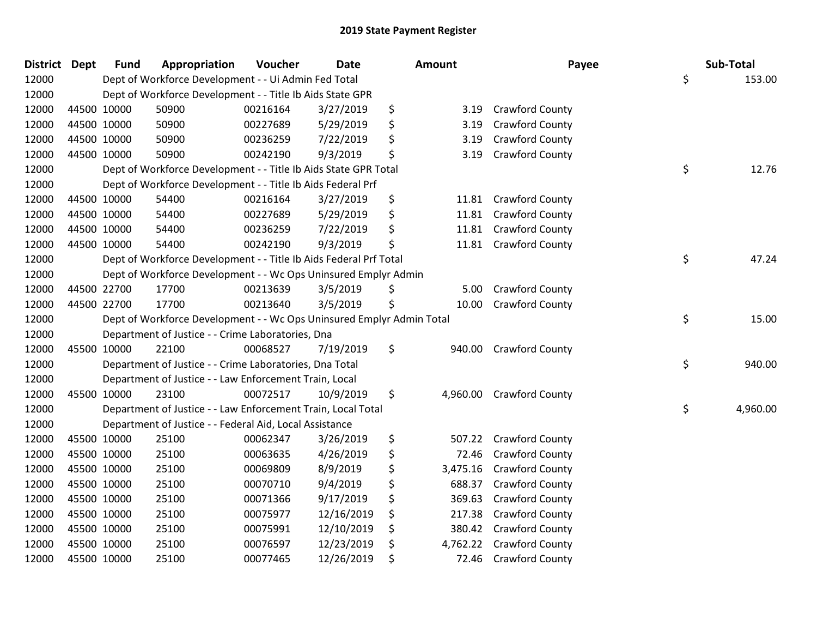| <b>District Dept</b> |             | <b>Fund</b> | Appropriation                                                         | Voucher  | <b>Date</b> | Amount         | Payee                  | Sub-Total      |
|----------------------|-------------|-------------|-----------------------------------------------------------------------|----------|-------------|----------------|------------------------|----------------|
| 12000                |             |             | Dept of Workforce Development - - Ui Admin Fed Total                  |          |             |                |                        | \$<br>153.00   |
| 12000                |             |             | Dept of Workforce Development - - Title Ib Aids State GPR             |          |             |                |                        |                |
| 12000                | 44500 10000 |             | 50900                                                                 | 00216164 | 3/27/2019   | \$<br>3.19     | Crawford County        |                |
| 12000                | 44500 10000 |             | 50900                                                                 | 00227689 | 5/29/2019   | \$<br>3.19     | Crawford County        |                |
| 12000                | 44500 10000 |             | 50900                                                                 | 00236259 | 7/22/2019   | \$<br>3.19     | Crawford County        |                |
| 12000                | 44500 10000 |             | 50900                                                                 | 00242190 | 9/3/2019    | \$<br>3.19     | Crawford County        |                |
| 12000                |             |             | Dept of Workforce Development - - Title Ib Aids State GPR Total       |          |             |                |                        | \$<br>12.76    |
| 12000                |             |             | Dept of Workforce Development - - Title Ib Aids Federal Prf           |          |             |                |                        |                |
| 12000                | 44500 10000 |             | 54400                                                                 | 00216164 | 3/27/2019   | \$<br>11.81    | Crawford County        |                |
| 12000                | 44500 10000 |             | 54400                                                                 | 00227689 | 5/29/2019   | \$<br>11.81    | Crawford County        |                |
| 12000                | 44500 10000 |             | 54400                                                                 | 00236259 | 7/22/2019   | \$<br>11.81    | Crawford County        |                |
| 12000                | 44500 10000 |             | 54400                                                                 | 00242190 | 9/3/2019    | \$<br>11.81    | Crawford County        |                |
| 12000                |             |             | Dept of Workforce Development - - Title Ib Aids Federal Prf Total     |          |             |                |                        | \$<br>47.24    |
| 12000                |             |             | Dept of Workforce Development - - Wc Ops Uninsured Emplyr Admin       |          |             |                |                        |                |
| 12000                | 44500 22700 |             | 17700                                                                 | 00213639 | 3/5/2019    | \$<br>5.00     | Crawford County        |                |
| 12000                |             | 44500 22700 | 17700                                                                 | 00213640 | 3/5/2019    | \$<br>10.00    | Crawford County        |                |
| 12000                |             |             | Dept of Workforce Development - - Wc Ops Uninsured Emplyr Admin Total |          |             |                |                        | \$<br>15.00    |
| 12000                |             |             | Department of Justice - - Crime Laboratories, Dna                     |          |             |                |                        |                |
| 12000                | 45500 10000 |             | 22100                                                                 | 00068527 | 7/19/2019   | \$<br>940.00   | <b>Crawford County</b> |                |
| 12000                |             |             | Department of Justice - - Crime Laboratories, Dna Total               |          |             |                |                        | \$<br>940.00   |
| 12000                |             |             | Department of Justice - - Law Enforcement Train, Local                |          |             |                |                        |                |
| 12000                | 45500 10000 |             | 23100                                                                 | 00072517 | 10/9/2019   | \$<br>4,960.00 | <b>Crawford County</b> |                |
| 12000                |             |             | Department of Justice - - Law Enforcement Train, Local Total          |          |             |                |                        | \$<br>4,960.00 |
| 12000                |             |             | Department of Justice - - Federal Aid, Local Assistance               |          |             |                |                        |                |
| 12000                | 45500 10000 |             | 25100                                                                 | 00062347 | 3/26/2019   | \$<br>507.22   | Crawford County        |                |
| 12000                | 45500 10000 |             | 25100                                                                 | 00063635 | 4/26/2019   | \$<br>72.46    | Crawford County        |                |
| 12000                | 45500 10000 |             | 25100                                                                 | 00069809 | 8/9/2019    | \$<br>3,475.16 | Crawford County        |                |
| 12000                | 45500 10000 |             | 25100                                                                 | 00070710 | 9/4/2019    | \$<br>688.37   | Crawford County        |                |
| 12000                | 45500 10000 |             | 25100                                                                 | 00071366 | 9/17/2019   | \$<br>369.63   | Crawford County        |                |
| 12000                | 45500 10000 |             | 25100                                                                 | 00075977 | 12/16/2019  | \$<br>217.38   | Crawford County        |                |
| 12000                | 45500 10000 |             | 25100                                                                 | 00075991 | 12/10/2019  | \$<br>380.42   | Crawford County        |                |
| 12000                |             | 45500 10000 | 25100                                                                 | 00076597 | 12/23/2019  | \$<br>4,762.22 | Crawford County        |                |
| 12000                | 45500 10000 |             | 25100                                                                 | 00077465 | 12/26/2019  | \$<br>72.46    | <b>Crawford County</b> |                |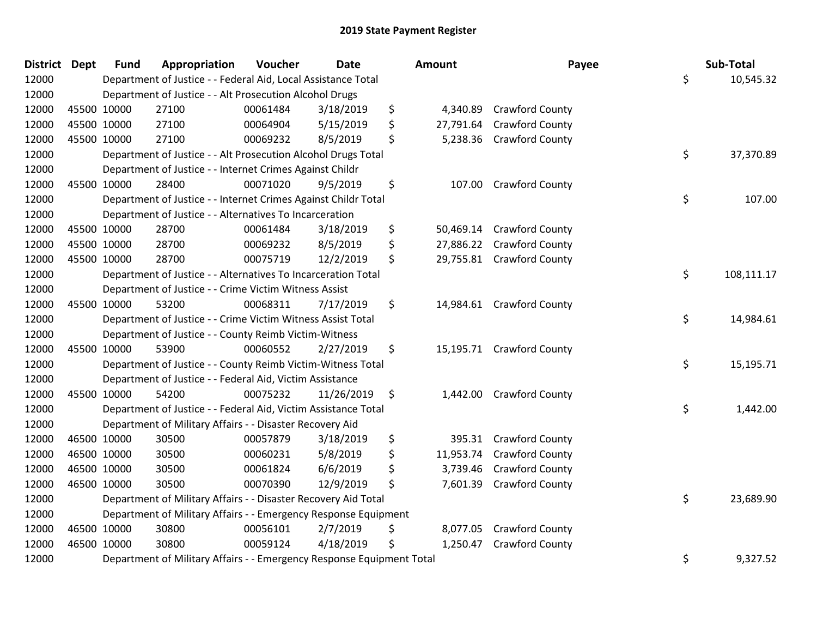| District Dept |             | <b>Fund</b> | Appropriation                                                         | Voucher  | <b>Date</b> |    | Amount    | Payee                     | Sub-Total        |
|---------------|-------------|-------------|-----------------------------------------------------------------------|----------|-------------|----|-----------|---------------------------|------------------|
| 12000         |             |             | Department of Justice - - Federal Aid, Local Assistance Total         |          |             |    |           |                           | \$<br>10,545.32  |
| 12000         |             |             | Department of Justice - - Alt Prosecution Alcohol Drugs               |          |             |    |           |                           |                  |
| 12000         |             | 45500 10000 | 27100                                                                 | 00061484 | 3/18/2019   | \$ | 4,340.89  | <b>Crawford County</b>    |                  |
| 12000         | 45500 10000 |             | 27100                                                                 | 00064904 | 5/15/2019   | \$ | 27,791.64 | Crawford County           |                  |
| 12000         |             | 45500 10000 | 27100                                                                 | 00069232 | 8/5/2019    | \$ | 5,238.36  | <b>Crawford County</b>    |                  |
| 12000         |             |             | Department of Justice - - Alt Prosecution Alcohol Drugs Total         |          |             |    |           |                           | \$<br>37,370.89  |
| 12000         |             |             | Department of Justice - - Internet Crimes Against Childr              |          |             |    |           |                           |                  |
| 12000         |             | 45500 10000 | 28400                                                                 | 00071020 | 9/5/2019    | \$ | 107.00    | <b>Crawford County</b>    |                  |
| 12000         |             |             | Department of Justice - - Internet Crimes Against Childr Total        |          |             |    |           |                           | \$<br>107.00     |
| 12000         |             |             | Department of Justice - - Alternatives To Incarceration               |          |             |    |           |                           |                  |
| 12000         |             | 45500 10000 | 28700                                                                 | 00061484 | 3/18/2019   | \$ | 50,469.14 | <b>Crawford County</b>    |                  |
| 12000         |             | 45500 10000 | 28700                                                                 | 00069232 | 8/5/2019    | \$ | 27,886.22 | <b>Crawford County</b>    |                  |
| 12000         | 45500 10000 |             | 28700                                                                 | 00075719 | 12/2/2019   | \$ |           | 29,755.81 Crawford County |                  |
| 12000         |             |             | Department of Justice - - Alternatives To Incarceration Total         |          |             |    |           |                           | \$<br>108,111.17 |
| 12000         |             |             | Department of Justice - - Crime Victim Witness Assist                 |          |             |    |           |                           |                  |
| 12000         |             | 45500 10000 | 53200                                                                 | 00068311 | 7/17/2019   | \$ |           | 14,984.61 Crawford County |                  |
| 12000         |             |             | Department of Justice - - Crime Victim Witness Assist Total           |          |             |    |           |                           | \$<br>14,984.61  |
| 12000         |             |             | Department of Justice - - County Reimb Victim-Witness                 |          |             |    |           |                           |                  |
| 12000         |             | 45500 10000 | 53900                                                                 | 00060552 | 2/27/2019   | \$ |           | 15,195.71 Crawford County |                  |
| 12000         |             |             | Department of Justice - - County Reimb Victim-Witness Total           |          |             |    |           |                           | \$<br>15,195.71  |
| 12000         |             |             | Department of Justice - - Federal Aid, Victim Assistance              |          |             |    |           |                           |                  |
| 12000         |             | 45500 10000 | 54200                                                                 | 00075232 | 11/26/2019  | \$ |           | 1,442.00 Crawford County  |                  |
| 12000         |             |             | Department of Justice - - Federal Aid, Victim Assistance Total        |          |             |    |           |                           | \$<br>1,442.00   |
| 12000         |             |             | Department of Military Affairs - - Disaster Recovery Aid              |          |             |    |           |                           |                  |
| 12000         |             | 46500 10000 | 30500                                                                 | 00057879 | 3/18/2019   | \$ | 395.31    | Crawford County           |                  |
| 12000         |             | 46500 10000 | 30500                                                                 | 00060231 | 5/8/2019    | \$ | 11,953.74 | Crawford County           |                  |
| 12000         |             | 46500 10000 | 30500                                                                 | 00061824 | 6/6/2019    | \$ | 3,739.46  | Crawford County           |                  |
| 12000         |             | 46500 10000 | 30500                                                                 | 00070390 | 12/9/2019   | \$ | 7,601.39  | <b>Crawford County</b>    |                  |
| 12000         |             |             | Department of Military Affairs - - Disaster Recovery Aid Total        |          |             |    |           |                           | \$<br>23,689.90  |
| 12000         |             |             | Department of Military Affairs - - Emergency Response Equipment       |          |             |    |           |                           |                  |
| 12000         |             | 46500 10000 | 30800                                                                 | 00056101 | 2/7/2019    | \$ | 8,077.05  | <b>Crawford County</b>    |                  |
| 12000         |             | 46500 10000 | 30800                                                                 | 00059124 | 4/18/2019   | Ś  | 1,250.47  | <b>Crawford County</b>    |                  |
| 12000         |             |             | Department of Military Affairs - - Emergency Response Equipment Total |          |             |    |           |                           | \$<br>9,327.52   |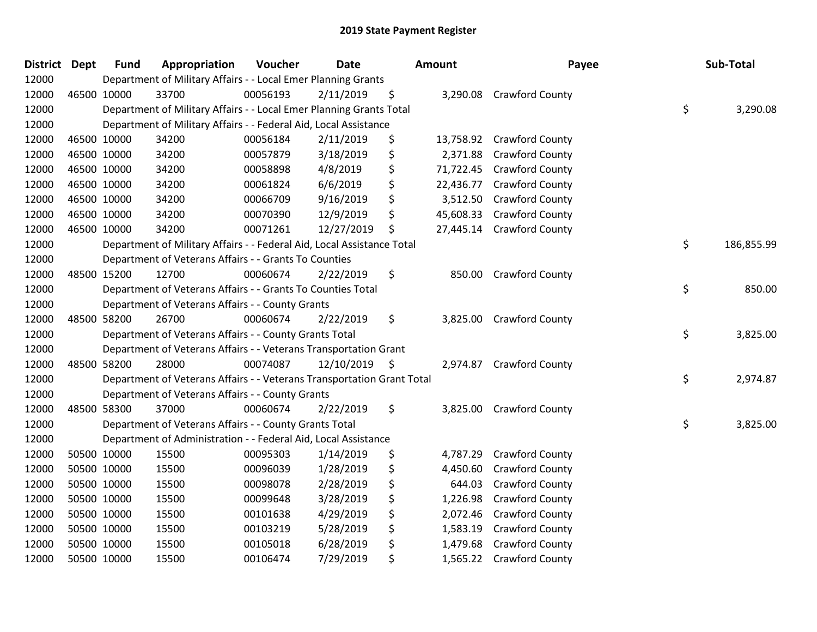| District Dept | <b>Fund</b> | Appropriation                                                          | Voucher  | <b>Date</b> | Amount          | Payee                    | Sub-Total        |
|---------------|-------------|------------------------------------------------------------------------|----------|-------------|-----------------|--------------------------|------------------|
| 12000         |             | Department of Military Affairs - - Local Emer Planning Grants          |          |             |                 |                          |                  |
| 12000         | 46500 10000 | 33700                                                                  | 00056193 | 2/11/2019   | \$<br>3,290.08  | <b>Crawford County</b>   |                  |
| 12000         |             | Department of Military Affairs - - Local Emer Planning Grants Total    |          |             |                 |                          | \$<br>3,290.08   |
| 12000         |             | Department of Military Affairs - - Federal Aid, Local Assistance       |          |             |                 |                          |                  |
| 12000         | 46500 10000 | 34200                                                                  | 00056184 | 2/11/2019   | \$<br>13,758.92 | <b>Crawford County</b>   |                  |
| 12000         | 46500 10000 | 34200                                                                  | 00057879 | 3/18/2019   | \$<br>2,371.88  | Crawford County          |                  |
| 12000         | 46500 10000 | 34200                                                                  | 00058898 | 4/8/2019    | \$<br>71,722.45 | <b>Crawford County</b>   |                  |
| 12000         | 46500 10000 | 34200                                                                  | 00061824 | 6/6/2019    | \$<br>22,436.77 | <b>Crawford County</b>   |                  |
| 12000         | 46500 10000 | 34200                                                                  | 00066709 | 9/16/2019   | \$<br>3,512.50  | Crawford County          |                  |
| 12000         | 46500 10000 | 34200                                                                  | 00070390 | 12/9/2019   | \$<br>45,608.33 | Crawford County          |                  |
| 12000         | 46500 10000 | 34200                                                                  | 00071261 | 12/27/2019  | \$<br>27,445.14 | Crawford County          |                  |
| 12000         |             | Department of Military Affairs - - Federal Aid, Local Assistance Total |          |             |                 |                          | \$<br>186,855.99 |
| 12000         |             | Department of Veterans Affairs - - Grants To Counties                  |          |             |                 |                          |                  |
| 12000         | 48500 15200 | 12700                                                                  | 00060674 | 2/22/2019   | \$<br>850.00    | <b>Crawford County</b>   |                  |
| 12000         |             | Department of Veterans Affairs - - Grants To Counties Total            |          |             |                 |                          | \$<br>850.00     |
| 12000         |             | Department of Veterans Affairs - - County Grants                       |          |             |                 |                          |                  |
| 12000         | 48500 58200 | 26700                                                                  | 00060674 | 2/22/2019   | \$<br>3,825.00  | Crawford County          |                  |
| 12000         |             | Department of Veterans Affairs - - County Grants Total                 |          |             |                 |                          | \$<br>3,825.00   |
| 12000         |             | Department of Veterans Affairs - - Veterans Transportation Grant       |          |             |                 |                          |                  |
| 12000         | 48500 58200 | 28000                                                                  | 00074087 | 12/10/2019  | \$<br>2,974.87  | Crawford County          |                  |
| 12000         |             | Department of Veterans Affairs - - Veterans Transportation Grant Total |          |             |                 |                          | \$<br>2,974.87   |
| 12000         |             | Department of Veterans Affairs - - County Grants                       |          |             |                 |                          |                  |
| 12000         | 48500 58300 | 37000                                                                  | 00060674 | 2/22/2019   | \$              | 3,825.00 Crawford County |                  |
| 12000         |             | Department of Veterans Affairs - - County Grants Total                 |          |             |                 |                          | \$<br>3,825.00   |
| 12000         |             | Department of Administration - - Federal Aid, Local Assistance         |          |             |                 |                          |                  |
| 12000         | 50500 10000 | 15500                                                                  | 00095303 | 1/14/2019   | \$<br>4,787.29  | Crawford County          |                  |
| 12000         | 50500 10000 | 15500                                                                  | 00096039 | 1/28/2019   | \$<br>4,450.60  | Crawford County          |                  |
| 12000         | 50500 10000 | 15500                                                                  | 00098078 | 2/28/2019   | \$<br>644.03    | <b>Crawford County</b>   |                  |
| 12000         | 50500 10000 | 15500                                                                  | 00099648 | 3/28/2019   | \$<br>1,226.98  | <b>Crawford County</b>   |                  |
| 12000         | 50500 10000 | 15500                                                                  | 00101638 | 4/29/2019   | \$<br>2,072.46  | Crawford County          |                  |
| 12000         | 50500 10000 | 15500                                                                  | 00103219 | 5/28/2019   | \$<br>1,583.19  | Crawford County          |                  |
| 12000         | 50500 10000 | 15500                                                                  | 00105018 | 6/28/2019   | \$<br>1,479.68  | Crawford County          |                  |
| 12000         | 50500 10000 | 15500                                                                  | 00106474 | 7/29/2019   | \$<br>1,565.22  | <b>Crawford County</b>   |                  |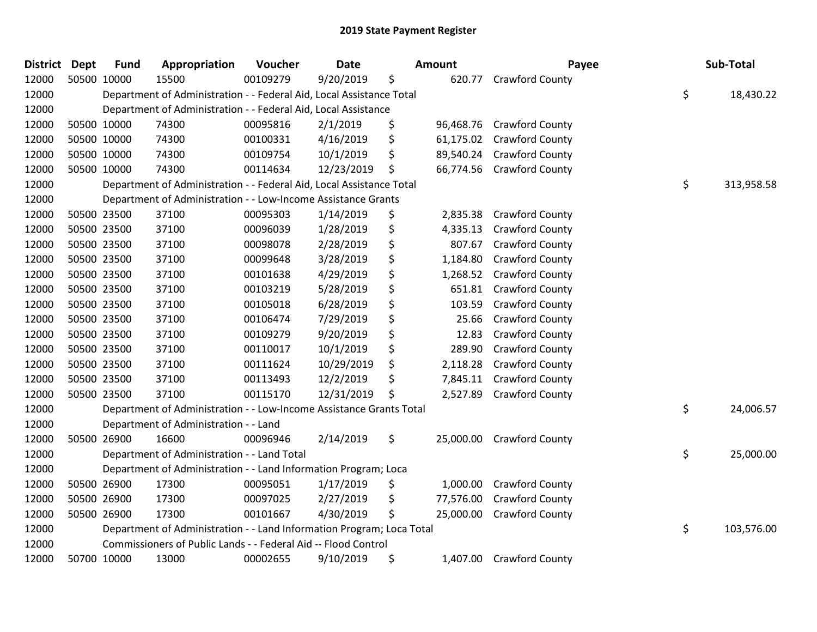| <b>District</b> | <b>Dept</b> | <b>Fund</b> | Appropriation                                                         | Voucher  | <b>Date</b> | Amount          | Payee                  | Sub-Total        |
|-----------------|-------------|-------------|-----------------------------------------------------------------------|----------|-------------|-----------------|------------------------|------------------|
| 12000           |             | 50500 10000 | 15500                                                                 | 00109279 | 9/20/2019   | \$<br>620.77    | Crawford County        |                  |
| 12000           |             |             | Department of Administration - - Federal Aid, Local Assistance Total  |          |             |                 |                        | \$<br>18,430.22  |
| 12000           |             |             | Department of Administration - - Federal Aid, Local Assistance        |          |             |                 |                        |                  |
| 12000           | 50500 10000 |             | 74300                                                                 | 00095816 | 2/1/2019    | \$<br>96,468.76 | <b>Crawford County</b> |                  |
| 12000           |             | 50500 10000 | 74300                                                                 | 00100331 | 4/16/2019   | \$<br>61,175.02 | Crawford County        |                  |
| 12000           |             | 50500 10000 | 74300                                                                 | 00109754 | 10/1/2019   | \$<br>89,540.24 | Crawford County        |                  |
| 12000           |             | 50500 10000 | 74300                                                                 | 00114634 | 12/23/2019  | \$<br>66,774.56 | <b>Crawford County</b> |                  |
| 12000           |             |             | Department of Administration - - Federal Aid, Local Assistance Total  |          |             |                 |                        | \$<br>313,958.58 |
| 12000           |             |             | Department of Administration - - Low-Income Assistance Grants         |          |             |                 |                        |                  |
| 12000           |             | 50500 23500 | 37100                                                                 | 00095303 | 1/14/2019   | \$<br>2,835.38  | Crawford County        |                  |
| 12000           |             | 50500 23500 | 37100                                                                 | 00096039 | 1/28/2019   | \$<br>4,335.13  | Crawford County        |                  |
| 12000           |             | 50500 23500 | 37100                                                                 | 00098078 | 2/28/2019   | \$<br>807.67    | <b>Crawford County</b> |                  |
| 12000           | 50500 23500 |             | 37100                                                                 | 00099648 | 3/28/2019   | \$<br>1,184.80  | Crawford County        |                  |
| 12000           | 50500 23500 |             | 37100                                                                 | 00101638 | 4/29/2019   | \$<br>1,268.52  | Crawford County        |                  |
| 12000           | 50500 23500 |             | 37100                                                                 | 00103219 | 5/28/2019   | \$<br>651.81    | Crawford County        |                  |
| 12000           |             | 50500 23500 | 37100                                                                 | 00105018 | 6/28/2019   | \$<br>103.59    | Crawford County        |                  |
| 12000           |             | 50500 23500 | 37100                                                                 | 00106474 | 7/29/2019   | \$<br>25.66     | Crawford County        |                  |
| 12000           | 50500 23500 |             | 37100                                                                 | 00109279 | 9/20/2019   | \$<br>12.83     | Crawford County        |                  |
| 12000           | 50500 23500 |             | 37100                                                                 | 00110017 | 10/1/2019   | \$<br>289.90    | Crawford County        |                  |
| 12000           |             | 50500 23500 | 37100                                                                 | 00111624 | 10/29/2019  | \$<br>2,118.28  | Crawford County        |                  |
| 12000           |             | 50500 23500 | 37100                                                                 | 00113493 | 12/2/2019   | \$<br>7,845.11  | <b>Crawford County</b> |                  |
| 12000           |             | 50500 23500 | 37100                                                                 | 00115170 | 12/31/2019  | \$<br>2,527.89  | Crawford County        |                  |
| 12000           |             |             | Department of Administration - - Low-Income Assistance Grants Total   |          |             |                 |                        | \$<br>24,006.57  |
| 12000           |             |             | Department of Administration - - Land                                 |          |             |                 |                        |                  |
| 12000           |             | 50500 26900 | 16600                                                                 | 00096946 | 2/14/2019   | \$<br>25,000.00 | <b>Crawford County</b> |                  |
| 12000           |             |             | Department of Administration - - Land Total                           |          |             |                 |                        | \$<br>25,000.00  |
| 12000           |             |             | Department of Administration - - Land Information Program; Loca       |          |             |                 |                        |                  |
| 12000           | 50500 26900 |             | 17300                                                                 | 00095051 | 1/17/2019   | \$<br>1,000.00  | <b>Crawford County</b> |                  |
| 12000           | 50500 26900 |             | 17300                                                                 | 00097025 | 2/27/2019   | \$<br>77,576.00 | Crawford County        |                  |
| 12000           |             | 50500 26900 | 17300                                                                 | 00101667 | 4/30/2019   | \$<br>25,000.00 | Crawford County        |                  |
| 12000           |             |             | Department of Administration - - Land Information Program; Loca Total |          |             |                 |                        | \$<br>103,576.00 |
| 12000           |             |             | Commissioners of Public Lands - - Federal Aid -- Flood Control        |          |             |                 |                        |                  |
| 12000           |             | 50700 10000 | 13000                                                                 | 00002655 | 9/10/2019   | \$<br>1,407.00  | <b>Crawford County</b> |                  |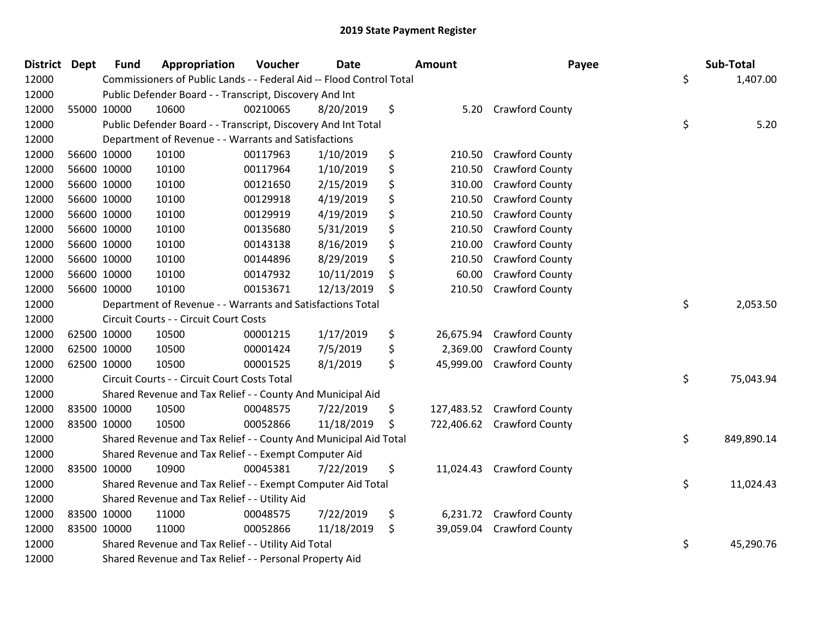| <b>District Dept</b> |             | <b>Fund</b> | Appropriation                                                        | Voucher  | <b>Date</b> | <b>Amount</b>    | Payee                      | Sub-Total        |
|----------------------|-------------|-------------|----------------------------------------------------------------------|----------|-------------|------------------|----------------------------|------------------|
| 12000                |             |             | Commissioners of Public Lands - - Federal Aid -- Flood Control Total |          |             |                  |                            | \$<br>1,407.00   |
| 12000                |             |             | Public Defender Board - - Transcript, Discovery And Int              |          |             |                  |                            |                  |
| 12000                | 55000 10000 |             | 10600                                                                | 00210065 | 8/20/2019   | \$               | 5.20 Crawford County       |                  |
| 12000                |             |             | Public Defender Board - - Transcript, Discovery And Int Total        |          |             |                  |                            | \$<br>5.20       |
| 12000                |             |             | Department of Revenue - - Warrants and Satisfactions                 |          |             |                  |                            |                  |
| 12000                | 56600 10000 |             | 10100                                                                | 00117963 | 1/10/2019   | \$<br>210.50     | <b>Crawford County</b>     |                  |
| 12000                | 56600 10000 |             | 10100                                                                | 00117964 | 1/10/2019   | \$<br>210.50     | Crawford County            |                  |
| 12000                | 56600 10000 |             | 10100                                                                | 00121650 | 2/15/2019   | \$<br>310.00     | <b>Crawford County</b>     |                  |
| 12000                | 56600 10000 |             | 10100                                                                | 00129918 | 4/19/2019   | \$<br>210.50     | Crawford County            |                  |
| 12000                | 56600 10000 |             | 10100                                                                | 00129919 | 4/19/2019   | \$<br>210.50     | Crawford County            |                  |
| 12000                | 56600 10000 |             | 10100                                                                | 00135680 | 5/31/2019   | \$<br>210.50     | <b>Crawford County</b>     |                  |
| 12000                | 56600 10000 |             | 10100                                                                | 00143138 | 8/16/2019   | \$<br>210.00     | <b>Crawford County</b>     |                  |
| 12000                | 56600 10000 |             | 10100                                                                | 00144896 | 8/29/2019   | \$<br>210.50     | <b>Crawford County</b>     |                  |
| 12000                | 56600 10000 |             | 10100                                                                | 00147932 | 10/11/2019  | \$<br>60.00      | Crawford County            |                  |
| 12000                | 56600 10000 |             | 10100                                                                | 00153671 | 12/13/2019  | \$<br>210.50     | <b>Crawford County</b>     |                  |
| 12000                |             |             | Department of Revenue - - Warrants and Satisfactions Total           |          |             |                  |                            | \$<br>2,053.50   |
| 12000                |             |             | Circuit Courts - - Circuit Court Costs                               |          |             |                  |                            |                  |
| 12000                | 62500 10000 |             | 10500                                                                | 00001215 | 1/17/2019   | \$<br>26,675.94  | <b>Crawford County</b>     |                  |
| 12000                | 62500 10000 |             | 10500                                                                | 00001424 | 7/5/2019    | \$<br>2,369.00   | Crawford County            |                  |
| 12000                | 62500 10000 |             | 10500                                                                | 00001525 | 8/1/2019    | \$<br>45,999.00  | <b>Crawford County</b>     |                  |
| 12000                |             |             | Circuit Courts - - Circuit Court Costs Total                         |          |             |                  |                            | \$<br>75,043.94  |
| 12000                |             |             | Shared Revenue and Tax Relief - - County And Municipal Aid           |          |             |                  |                            |                  |
| 12000                | 83500 10000 |             | 10500                                                                | 00048575 | 7/22/2019   | \$               | 127,483.52 Crawford County |                  |
| 12000                | 83500 10000 |             | 10500                                                                | 00052866 | 11/18/2019  | \$<br>722,406.62 | <b>Crawford County</b>     |                  |
| 12000                |             |             | Shared Revenue and Tax Relief - - County And Municipal Aid Total     |          |             |                  |                            | \$<br>849,890.14 |
| 12000                |             |             | Shared Revenue and Tax Relief - - Exempt Computer Aid                |          |             |                  |                            |                  |
| 12000                | 83500 10000 |             | 10900                                                                | 00045381 | 7/22/2019   | \$               | 11,024.43 Crawford County  |                  |
| 12000                |             |             | Shared Revenue and Tax Relief - - Exempt Computer Aid Total          |          |             |                  |                            | \$<br>11,024.43  |
| 12000                |             |             | Shared Revenue and Tax Relief - - Utility Aid                        |          |             |                  |                            |                  |
| 12000                | 83500 10000 |             | 11000                                                                | 00048575 | 7/22/2019   | \$               | 6,231.72 Crawford County   |                  |
| 12000                | 83500 10000 |             | 11000                                                                | 00052866 | 11/18/2019  | \$               | 39,059.04 Crawford County  |                  |
| 12000                |             |             | Shared Revenue and Tax Relief - - Utility Aid Total                  |          |             |                  |                            | \$<br>45,290.76  |
| 12000                |             |             | Shared Revenue and Tax Relief - - Personal Property Aid              |          |             |                  |                            |                  |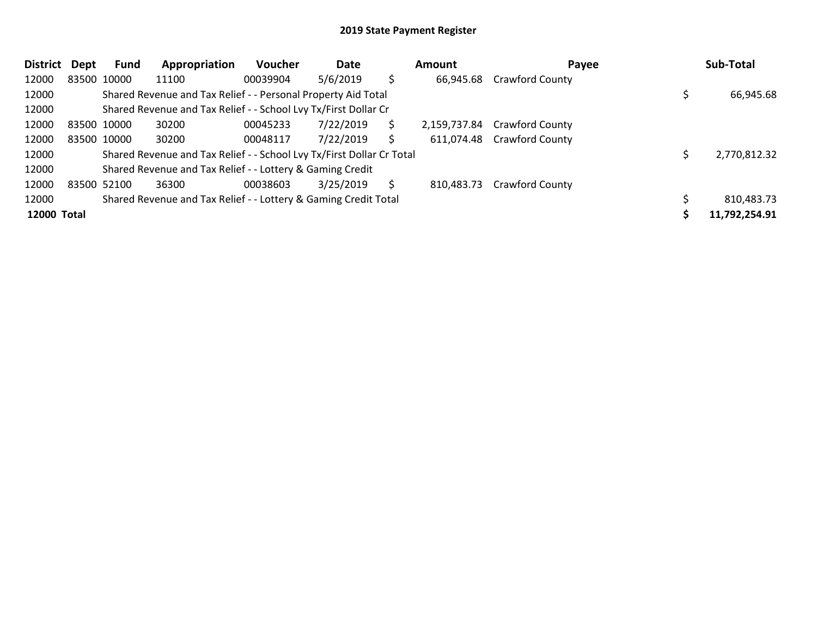| <b>District</b> | Dept        | <b>Fund</b> | Appropriation                                                         | Voucher  | Date      |    | <b>Amount</b> | Payee                      | Sub-Total     |
|-----------------|-------------|-------------|-----------------------------------------------------------------------|----------|-----------|----|---------------|----------------------------|---------------|
| 12000           |             | 83500 10000 | 11100                                                                 | 00039904 | 5/6/2019  | \$ | 66,945.68     | <b>Crawford County</b>     |               |
| 12000           |             |             | Shared Revenue and Tax Relief - - Personal Property Aid Total         |          |           |    |               |                            | 66,945.68     |
| 12000           |             |             | Shared Revenue and Tax Relief - - School Lvy Tx/First Dollar Cr       |          |           |    |               |                            |               |
| 12000           | 83500 10000 |             | 30200                                                                 | 00045233 | 7/22/2019 | S  | 2,159,737.84  | <b>Crawford County</b>     |               |
| 12000           |             | 83500 10000 | 30200                                                                 | 00048117 | 7/22/2019 |    |               | 611,074.48 Crawford County |               |
| 12000           |             |             | Shared Revenue and Tax Relief - - School Lvy Tx/First Dollar Cr Total |          |           |    |               |                            | 2,770,812.32  |
| 12000           |             |             | Shared Revenue and Tax Relief - - Lottery & Gaming Credit             |          |           |    |               |                            |               |
| 12000           |             | 83500 52100 | 36300                                                                 | 00038603 | 3/25/2019 | Ś. | 810,483.73    | <b>Crawford County</b>     |               |
| 12000           |             |             | Shared Revenue and Tax Relief - - Lottery & Gaming Credit Total       |          |           |    |               |                            | 810,483.73    |
| 12000 Total     |             |             |                                                                       |          |           |    |               |                            | 11,792,254.91 |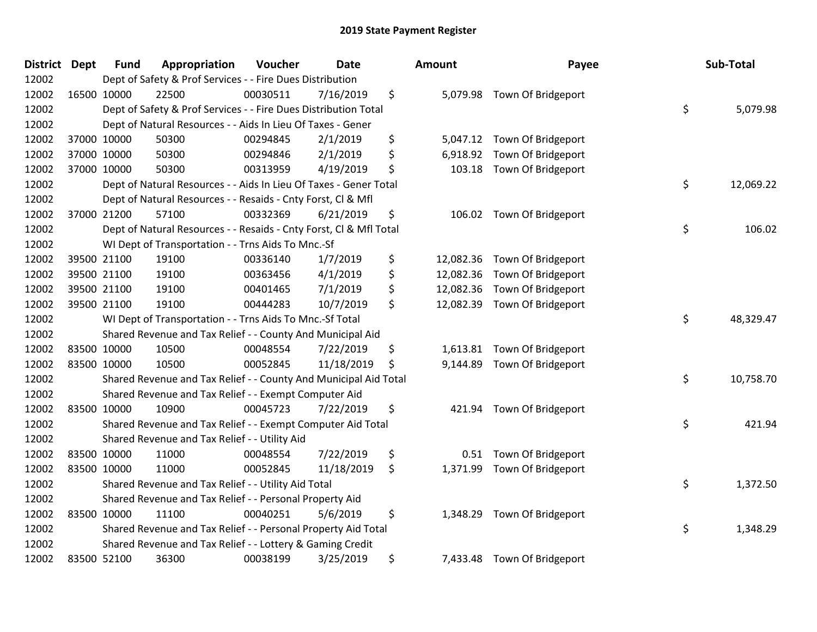| <b>District Dept</b> |             | <b>Fund</b> | Appropriation                                                      | Voucher  | <b>Date</b> | Amount          | Payee                        | Sub-Total       |
|----------------------|-------------|-------------|--------------------------------------------------------------------|----------|-------------|-----------------|------------------------------|-----------------|
| 12002                |             |             | Dept of Safety & Prof Services - - Fire Dues Distribution          |          |             |                 |                              |                 |
| 12002                | 16500 10000 |             | 22500                                                              | 00030511 | 7/16/2019   | \$              | 5,079.98 Town Of Bridgeport  |                 |
| 12002                |             |             | Dept of Safety & Prof Services - - Fire Dues Distribution Total    |          |             |                 |                              | \$<br>5,079.98  |
| 12002                |             |             | Dept of Natural Resources - - Aids In Lieu Of Taxes - Gener        |          |             |                 |                              |                 |
| 12002                |             | 37000 10000 | 50300                                                              | 00294845 | 2/1/2019    | \$<br>5,047.12  | Town Of Bridgeport           |                 |
| 12002                |             | 37000 10000 | 50300                                                              | 00294846 | 2/1/2019    | \$<br>6,918.92  | Town Of Bridgeport           |                 |
| 12002                |             | 37000 10000 | 50300                                                              | 00313959 | 4/19/2019   | \$<br>103.18    | Town Of Bridgeport           |                 |
| 12002                |             |             | Dept of Natural Resources - - Aids In Lieu Of Taxes - Gener Total  |          |             |                 |                              | \$<br>12,069.22 |
| 12002                |             |             | Dept of Natural Resources - - Resaids - Cnty Forst, Cl & Mfl       |          |             |                 |                              |                 |
| 12002                |             | 37000 21200 | 57100                                                              | 00332369 | 6/21/2019   | \$              | 106.02 Town Of Bridgeport    |                 |
| 12002                |             |             | Dept of Natural Resources - - Resaids - Cnty Forst, Cl & Mfl Total |          |             |                 |                              | \$<br>106.02    |
| 12002                |             |             | WI Dept of Transportation - - Trns Aids To Mnc.-Sf                 |          |             |                 |                              |                 |
| 12002                |             | 39500 21100 | 19100                                                              | 00336140 | 1/7/2019    | \$              | 12,082.36 Town Of Bridgeport |                 |
| 12002                |             | 39500 21100 | 19100                                                              | 00363456 | 4/1/2019    | \$<br>12,082.36 | Town Of Bridgeport           |                 |
| 12002                |             | 39500 21100 | 19100                                                              | 00401465 | 7/1/2019    | \$<br>12,082.36 | Town Of Bridgeport           |                 |
| 12002                |             | 39500 21100 | 19100                                                              | 00444283 | 10/7/2019   | \$<br>12,082.39 | Town Of Bridgeport           |                 |
| 12002                |             |             | WI Dept of Transportation - - Trns Aids To Mnc.-Sf Total           |          |             |                 |                              | \$<br>48,329.47 |
| 12002                |             |             | Shared Revenue and Tax Relief - - County And Municipal Aid         |          |             |                 |                              |                 |
| 12002                | 83500 10000 |             | 10500                                                              | 00048554 | 7/22/2019   | \$<br>1,613.81  | Town Of Bridgeport           |                 |
| 12002                | 83500 10000 |             | 10500                                                              | 00052845 | 11/18/2019  | \$<br>9,144.89  | Town Of Bridgeport           |                 |
| 12002                |             |             | Shared Revenue and Tax Relief - - County And Municipal Aid Total   |          |             |                 |                              | \$<br>10,758.70 |
| 12002                |             |             | Shared Revenue and Tax Relief - - Exempt Computer Aid              |          |             |                 |                              |                 |
| 12002                | 83500 10000 |             | 10900                                                              | 00045723 | 7/22/2019   | \$<br>421.94    | Town Of Bridgeport           |                 |
| 12002                |             |             | Shared Revenue and Tax Relief - - Exempt Computer Aid Total        |          |             |                 |                              | \$<br>421.94    |
| 12002                |             |             | Shared Revenue and Tax Relief - - Utility Aid                      |          |             |                 |                              |                 |
| 12002                | 83500 10000 |             | 11000                                                              | 00048554 | 7/22/2019   | \$<br>0.51      | Town Of Bridgeport           |                 |
| 12002                | 83500 10000 |             | 11000                                                              | 00052845 | 11/18/2019  | \$<br>1,371.99  | Town Of Bridgeport           |                 |
| 12002                |             |             | Shared Revenue and Tax Relief - - Utility Aid Total                |          |             |                 |                              | \$<br>1,372.50  |
| 12002                |             |             | Shared Revenue and Tax Relief - - Personal Property Aid            |          |             |                 |                              |                 |
| 12002                | 83500 10000 |             | 11100                                                              | 00040251 | 5/6/2019    | \$<br>1,348.29  | Town Of Bridgeport           |                 |
| 12002                |             |             | Shared Revenue and Tax Relief - - Personal Property Aid Total      |          |             |                 |                              | \$<br>1,348.29  |
| 12002                |             |             | Shared Revenue and Tax Relief - - Lottery & Gaming Credit          |          |             |                 |                              |                 |
| 12002                | 83500 52100 |             | 36300                                                              | 00038199 | 3/25/2019   | \$<br>7,433.48  | Town Of Bridgeport           |                 |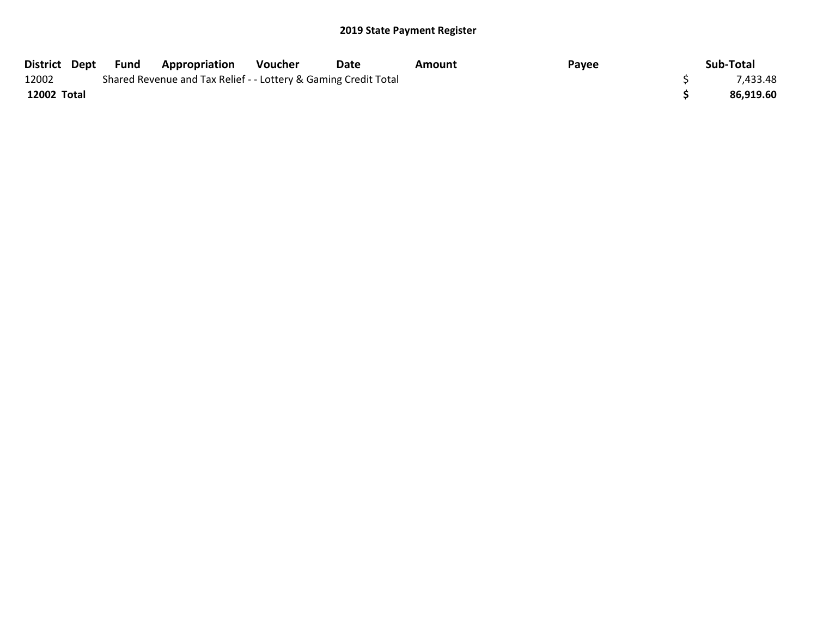| District Dept | Fund | <b>Appropriation</b>                                            | Voucher | Date | Amount | Pavee | Sub-Total |
|---------------|------|-----------------------------------------------------------------|---------|------|--------|-------|-----------|
| 12002         |      | Shared Revenue and Tax Relief - - Lottery & Gaming Credit Total |         |      |        |       | 7,433.48  |
| 12002 Total   |      |                                                                 |         |      |        |       | 86,919.60 |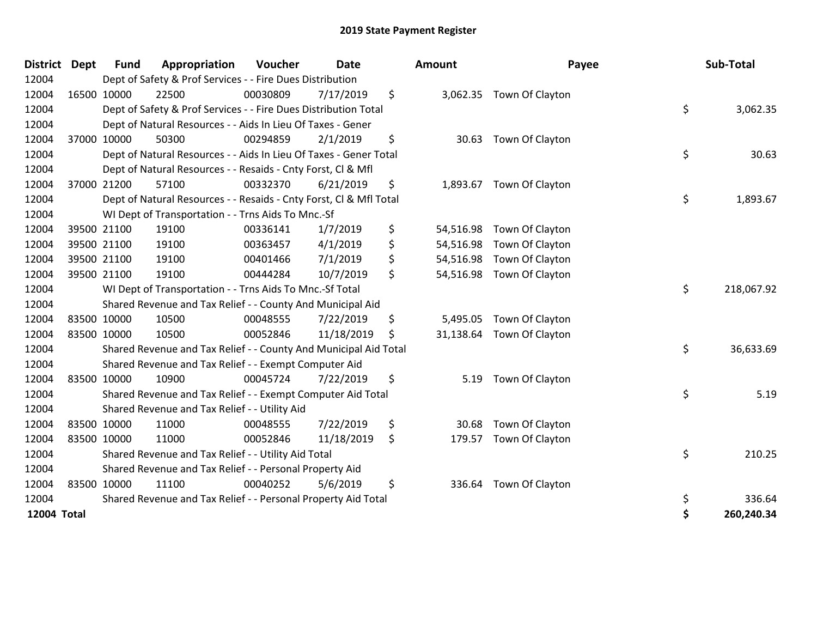| District    | <b>Dept</b> | <b>Fund</b> | Appropriation                                                      | Voucher  | <b>Date</b> | <b>Amount</b>   | Payee                    | Sub-Total        |
|-------------|-------------|-------------|--------------------------------------------------------------------|----------|-------------|-----------------|--------------------------|------------------|
| 12004       |             |             | Dept of Safety & Prof Services - - Fire Dues Distribution          |          |             |                 |                          |                  |
| 12004       |             | 16500 10000 | 22500                                                              | 00030809 | 7/17/2019   | \$              | 3,062.35 Town Of Clayton |                  |
| 12004       |             |             | Dept of Safety & Prof Services - - Fire Dues Distribution Total    |          |             |                 |                          | \$<br>3,062.35   |
| 12004       |             |             | Dept of Natural Resources - - Aids In Lieu Of Taxes - Gener        |          |             |                 |                          |                  |
| 12004       |             | 37000 10000 | 50300                                                              | 00294859 | 2/1/2019    | \$              | 30.63 Town Of Clayton    |                  |
| 12004       |             |             | Dept of Natural Resources - - Aids In Lieu Of Taxes - Gener Total  |          |             |                 |                          | \$<br>30.63      |
| 12004       |             |             | Dept of Natural Resources - - Resaids - Cnty Forst, CI & Mfl       |          |             |                 |                          |                  |
| 12004       |             | 37000 21200 | 57100                                                              | 00332370 | 6/21/2019   | \$<br>1,893.67  | Town Of Clayton          |                  |
| 12004       |             |             | Dept of Natural Resources - - Resaids - Cnty Forst, Cl & Mfl Total |          |             |                 |                          | \$<br>1,893.67   |
| 12004       |             |             | WI Dept of Transportation - - Trns Aids To Mnc.-Sf                 |          |             |                 |                          |                  |
| 12004       |             | 39500 21100 | 19100                                                              | 00336141 | 1/7/2019    | \$<br>54,516.98 | Town Of Clayton          |                  |
| 12004       |             | 39500 21100 | 19100                                                              | 00363457 | 4/1/2019    | \$<br>54,516.98 | Town Of Clayton          |                  |
| 12004       |             | 39500 21100 | 19100                                                              | 00401466 | 7/1/2019    | \$<br>54,516.98 | Town Of Clayton          |                  |
| 12004       |             | 39500 21100 | 19100                                                              | 00444284 | 10/7/2019   | \$<br>54,516.98 | Town Of Clayton          |                  |
| 12004       |             |             | WI Dept of Transportation - - Trns Aids To Mnc.-Sf Total           |          |             |                 |                          | \$<br>218,067.92 |
| 12004       |             |             | Shared Revenue and Tax Relief - - County And Municipal Aid         |          |             |                 |                          |                  |
| 12004       |             | 83500 10000 | 10500                                                              | 00048555 | 7/22/2019   | \$<br>5,495.05  | Town Of Clayton          |                  |
| 12004       | 83500 10000 |             | 10500                                                              | 00052846 | 11/18/2019  | \$<br>31,138.64 | Town Of Clayton          |                  |
| 12004       |             |             | Shared Revenue and Tax Relief - - County And Municipal Aid Total   |          |             |                 |                          | \$<br>36,633.69  |
| 12004       |             |             | Shared Revenue and Tax Relief - - Exempt Computer Aid              |          |             |                 |                          |                  |
| 12004       |             | 83500 10000 | 10900                                                              | 00045724 | 7/22/2019   | \$<br>5.19      | Town Of Clayton          |                  |
| 12004       |             |             | Shared Revenue and Tax Relief - - Exempt Computer Aid Total        |          |             |                 |                          | \$<br>5.19       |
| 12004       |             |             | Shared Revenue and Tax Relief - - Utility Aid                      |          |             |                 |                          |                  |
| 12004       |             | 83500 10000 | 11000                                                              | 00048555 | 7/22/2019   | \$<br>30.68     | Town Of Clayton          |                  |
| 12004       | 83500 10000 |             | 11000                                                              | 00052846 | 11/18/2019  | \$              | 179.57 Town Of Clayton   |                  |
| 12004       |             |             | Shared Revenue and Tax Relief - - Utility Aid Total                |          |             |                 |                          | \$<br>210.25     |
| 12004       |             |             | Shared Revenue and Tax Relief - - Personal Property Aid            |          |             |                 |                          |                  |
| 12004       |             | 83500 10000 | 11100                                                              | 00040252 | 5/6/2019    | \$<br>336.64    | Town Of Clayton          |                  |
| 12004       |             |             | Shared Revenue and Tax Relief - - Personal Property Aid Total      |          |             |                 |                          | \$<br>336.64     |
| 12004 Total |             |             |                                                                    |          |             |                 |                          | \$<br>260,240.34 |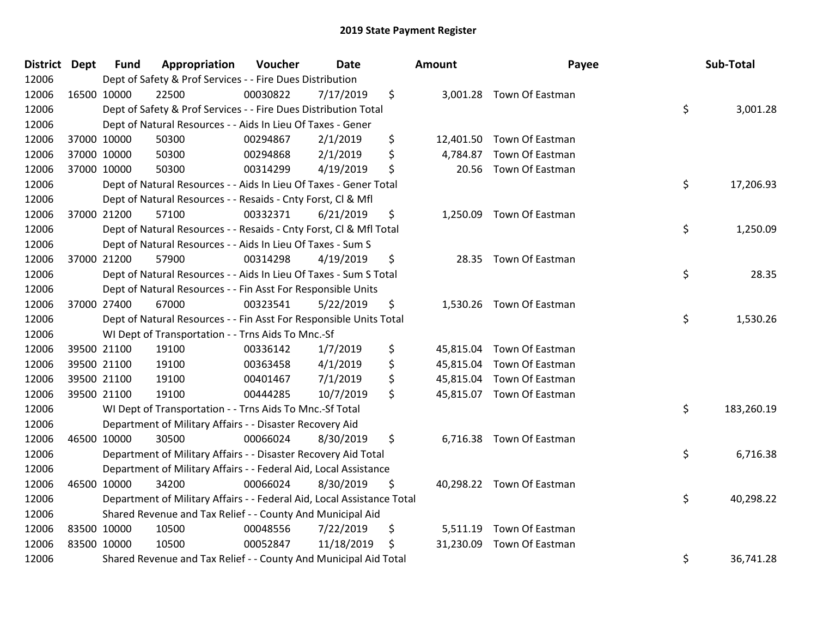| District Dept |             | <b>Fund</b> | Appropriation                                                          | Voucher  | <b>Date</b> | <b>Amount</b> | Payee                     | Sub-Total        |
|---------------|-------------|-------------|------------------------------------------------------------------------|----------|-------------|---------------|---------------------------|------------------|
| 12006         |             |             | Dept of Safety & Prof Services - - Fire Dues Distribution              |          |             |               |                           |                  |
| 12006         | 16500 10000 |             | 22500                                                                  | 00030822 | 7/17/2019   | \$            | 3,001.28 Town Of Eastman  |                  |
| 12006         |             |             | Dept of Safety & Prof Services - - Fire Dues Distribution Total        |          |             |               |                           | \$<br>3,001.28   |
| 12006         |             |             | Dept of Natural Resources - - Aids In Lieu Of Taxes - Gener            |          |             |               |                           |                  |
| 12006         |             | 37000 10000 | 50300                                                                  | 00294867 | 2/1/2019    | \$            | 12,401.50 Town Of Eastman |                  |
| 12006         |             | 37000 10000 | 50300                                                                  | 00294868 | 2/1/2019    | \$            | 4,784.87 Town Of Eastman  |                  |
| 12006         |             | 37000 10000 | 50300                                                                  | 00314299 | 4/19/2019   | \$            | 20.56 Town Of Eastman     |                  |
| 12006         |             |             | Dept of Natural Resources - - Aids In Lieu Of Taxes - Gener Total      |          |             |               |                           | \$<br>17,206.93  |
| 12006         |             |             | Dept of Natural Resources - - Resaids - Cnty Forst, Cl & Mfl           |          |             |               |                           |                  |
| 12006         | 37000 21200 |             | 57100                                                                  | 00332371 | 6/21/2019   | \$            | 1,250.09 Town Of Eastman  |                  |
| 12006         |             |             | Dept of Natural Resources - - Resaids - Cnty Forst, CI & Mfl Total     |          |             |               |                           | \$<br>1,250.09   |
| 12006         |             |             | Dept of Natural Resources - - Aids In Lieu Of Taxes - Sum S            |          |             |               |                           |                  |
| 12006         |             | 37000 21200 | 57900                                                                  | 00314298 | 4/19/2019   | \$            | 28.35 Town Of Eastman     |                  |
| 12006         |             |             | Dept of Natural Resources - - Aids In Lieu Of Taxes - Sum S Total      |          |             |               |                           | \$<br>28.35      |
| 12006         |             |             | Dept of Natural Resources - - Fin Asst For Responsible Units           |          |             |               |                           |                  |
| 12006         | 37000 27400 |             | 67000                                                                  | 00323541 | 5/22/2019   | \$            | 1,530.26 Town Of Eastman  |                  |
| 12006         |             |             | Dept of Natural Resources - - Fin Asst For Responsible Units Total     |          |             |               |                           | \$<br>1,530.26   |
| 12006         |             |             | WI Dept of Transportation - - Trns Aids To Mnc.-Sf                     |          |             |               |                           |                  |
| 12006         |             | 39500 21100 | 19100                                                                  | 00336142 | 1/7/2019    | \$            | 45,815.04 Town Of Eastman |                  |
| 12006         |             | 39500 21100 | 19100                                                                  | 00363458 | 4/1/2019    | \$            | 45,815.04 Town Of Eastman |                  |
| 12006         |             | 39500 21100 | 19100                                                                  | 00401467 | 7/1/2019    | \$            | 45,815.04 Town Of Eastman |                  |
| 12006         |             | 39500 21100 | 19100                                                                  | 00444285 | 10/7/2019   | \$            | 45,815.07 Town Of Eastman |                  |
| 12006         |             |             | WI Dept of Transportation - - Trns Aids To Mnc.-Sf Total               |          |             |               |                           | \$<br>183,260.19 |
| 12006         |             |             | Department of Military Affairs - - Disaster Recovery Aid               |          |             |               |                           |                  |
| 12006         | 46500 10000 |             | 30500                                                                  | 00066024 | 8/30/2019   | \$            | 6,716.38 Town Of Eastman  |                  |
| 12006         |             |             | Department of Military Affairs - - Disaster Recovery Aid Total         |          |             |               |                           | \$<br>6,716.38   |
| 12006         |             |             | Department of Military Affairs - - Federal Aid, Local Assistance       |          |             |               |                           |                  |
| 12006         | 46500 10000 |             | 34200                                                                  | 00066024 | 8/30/2019   | \$            | 40,298.22 Town Of Eastman |                  |
| 12006         |             |             | Department of Military Affairs - - Federal Aid, Local Assistance Total |          |             |               |                           | \$<br>40,298.22  |
| 12006         |             |             | Shared Revenue and Tax Relief - - County And Municipal Aid             |          |             |               |                           |                  |
| 12006         | 83500 10000 |             | 10500                                                                  | 00048556 | 7/22/2019   | \$            | 5,511.19 Town Of Eastman  |                  |
| 12006         | 83500 10000 |             | 10500                                                                  | 00052847 | 11/18/2019  | \$            | 31,230.09 Town Of Eastman |                  |
| 12006         |             |             | Shared Revenue and Tax Relief - - County And Municipal Aid Total       |          |             |               |                           | \$<br>36,741.28  |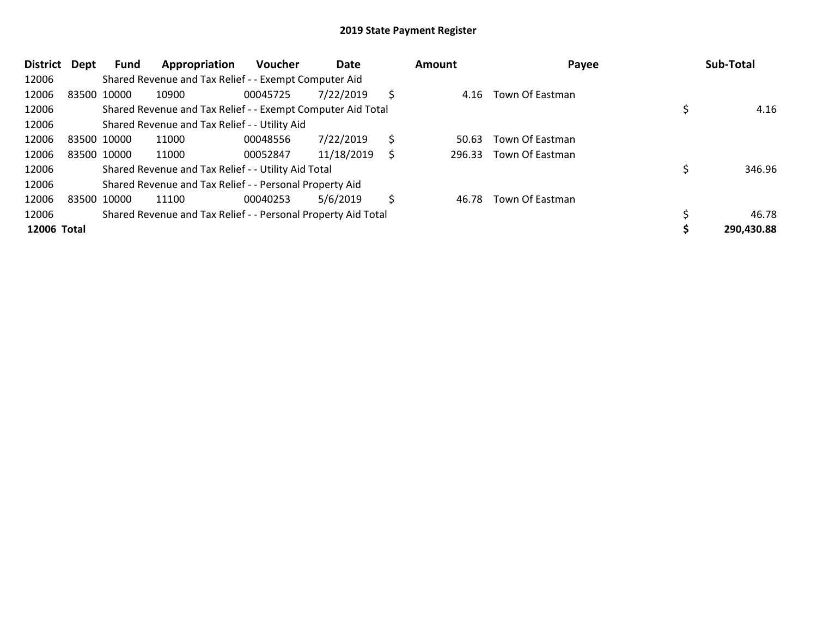| <b>District</b> | Dept        | Fund        | Appropriation                                                 | <b>Voucher</b> | Date       |    | Amount | Payee                  | Sub-Total  |
|-----------------|-------------|-------------|---------------------------------------------------------------|----------------|------------|----|--------|------------------------|------------|
| 12006           |             |             | Shared Revenue and Tax Relief - - Exempt Computer Aid         |                |            |    |        |                        |            |
| 12006           |             | 83500 10000 | 10900                                                         | 00045725       | 7/22/2019  | S  | 4.16   | Town Of Eastman        |            |
| 12006           |             |             | Shared Revenue and Tax Relief - - Exempt Computer Aid Total   |                |            |    |        |                        | 4.16       |
| 12006           |             |             | Shared Revenue and Tax Relief - - Utility Aid                 |                |            |    |        |                        |            |
| 12006           | 83500 10000 |             | 11000                                                         | 00048556       | 7/22/2019  | \$ | 50.63  | Town Of Eastman        |            |
| 12006           |             | 83500 10000 | 11000                                                         | 00052847       | 11/18/2019 | S  | 296.33 | Town Of Eastman        |            |
| 12006           |             |             | Shared Revenue and Tax Relief - - Utility Aid Total           |                |            |    |        |                        | 346.96     |
| 12006           |             |             | Shared Revenue and Tax Relief - - Personal Property Aid       |                |            |    |        |                        |            |
| 12006           |             | 83500 10000 | 11100                                                         | 00040253       | 5/6/2019   | Ś  | 46.78  | <b>Town Of Eastman</b> |            |
| 12006           |             |             | Shared Revenue and Tax Relief - - Personal Property Aid Total |                |            |    |        |                        | 46.78      |
| 12006 Total     |             |             |                                                               |                |            |    |        |                        | 290,430.88 |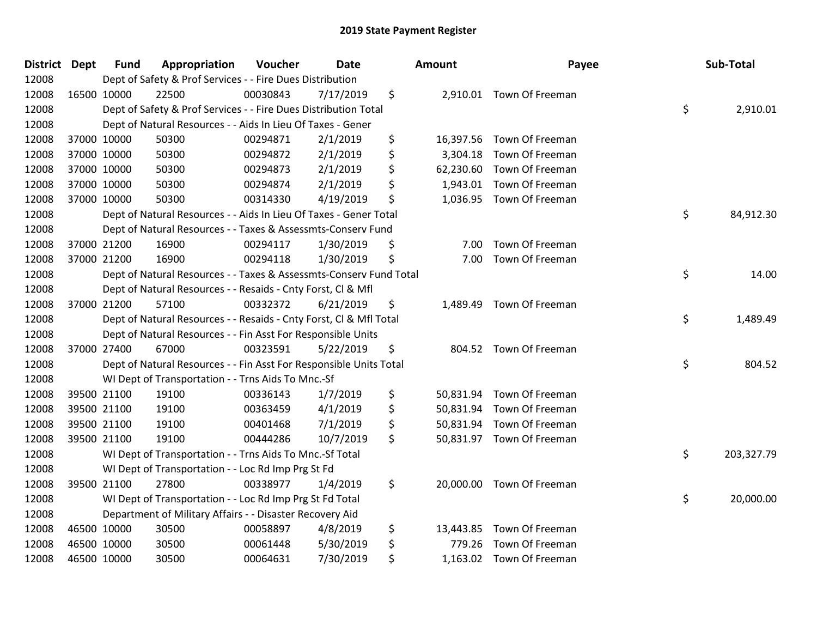| <b>District Dept</b> |             | <b>Fund</b> | Appropriation                                                      | Voucher  | <b>Date</b> | <b>Amount</b>   | Payee                     | Sub-Total        |
|----------------------|-------------|-------------|--------------------------------------------------------------------|----------|-------------|-----------------|---------------------------|------------------|
| 12008                |             |             | Dept of Safety & Prof Services - - Fire Dues Distribution          |          |             |                 |                           |                  |
| 12008                | 16500 10000 |             | 22500                                                              | 00030843 | 7/17/2019   | \$              | 2,910.01 Town Of Freeman  |                  |
| 12008                |             |             | Dept of Safety & Prof Services - - Fire Dues Distribution Total    |          |             |                 |                           | \$<br>2,910.01   |
| 12008                |             |             | Dept of Natural Resources - - Aids In Lieu Of Taxes - Gener        |          |             |                 |                           |                  |
| 12008                | 37000 10000 |             | 50300                                                              | 00294871 | 2/1/2019    | \$<br>16,397.56 | Town Of Freeman           |                  |
| 12008                | 37000 10000 |             | 50300                                                              | 00294872 | 2/1/2019    | \$<br>3,304.18  | Town Of Freeman           |                  |
| 12008                | 37000 10000 |             | 50300                                                              | 00294873 | 2/1/2019    | \$<br>62,230.60 | Town Of Freeman           |                  |
| 12008                | 37000 10000 |             | 50300                                                              | 00294874 | 2/1/2019    | \$              | 1,943.01 Town Of Freeman  |                  |
| 12008                | 37000 10000 |             | 50300                                                              | 00314330 | 4/19/2019   | \$              | 1,036.95 Town Of Freeman  |                  |
| 12008                |             |             | Dept of Natural Resources - - Aids In Lieu Of Taxes - Gener Total  |          |             |                 |                           | \$<br>84,912.30  |
| 12008                |             |             | Dept of Natural Resources - - Taxes & Assessmts-Conserv Fund       |          |             |                 |                           |                  |
| 12008                | 37000 21200 |             | 16900                                                              | 00294117 | 1/30/2019   | \$<br>7.00      | Town Of Freeman           |                  |
| 12008                | 37000 21200 |             | 16900                                                              | 00294118 | 1/30/2019   | \$<br>7.00      | Town Of Freeman           |                  |
| 12008                |             |             | Dept of Natural Resources - - Taxes & Assessmts-Conserv Fund Total |          |             |                 |                           | \$<br>14.00      |
| 12008                |             |             | Dept of Natural Resources - - Resaids - Cnty Forst, Cl & Mfl       |          |             |                 |                           |                  |
| 12008                | 37000 21200 |             | 57100                                                              | 00332372 | 6/21/2019   | \$<br>1,489.49  | Town Of Freeman           |                  |
| 12008                |             |             | Dept of Natural Resources - - Resaids - Cnty Forst, Cl & Mfl Total |          |             |                 |                           | \$<br>1,489.49   |
| 12008                |             |             | Dept of Natural Resources - - Fin Asst For Responsible Units       |          |             |                 |                           |                  |
| 12008                | 37000 27400 |             | 67000                                                              | 00323591 | 5/22/2019   | \$              | 804.52 Town Of Freeman    |                  |
| 12008                |             |             | Dept of Natural Resources - - Fin Asst For Responsible Units Total |          |             |                 |                           | \$<br>804.52     |
| 12008                |             |             | WI Dept of Transportation - - Trns Aids To Mnc.-Sf                 |          |             |                 |                           |                  |
| 12008                | 39500 21100 |             | 19100                                                              | 00336143 | 1/7/2019    | \$              | 50,831.94 Town Of Freeman |                  |
| 12008                | 39500 21100 |             | 19100                                                              | 00363459 | 4/1/2019    | \$              | 50,831.94 Town Of Freeman |                  |
| 12008                | 39500 21100 |             | 19100                                                              | 00401468 | 7/1/2019    | \$              | 50,831.94 Town Of Freeman |                  |
| 12008                | 39500 21100 |             | 19100                                                              | 00444286 | 10/7/2019   | \$              | 50,831.97 Town Of Freeman |                  |
| 12008                |             |             | WI Dept of Transportation - - Trns Aids To Mnc.-Sf Total           |          |             |                 |                           | \$<br>203,327.79 |
| 12008                |             |             | WI Dept of Transportation - - Loc Rd Imp Prg St Fd                 |          |             |                 |                           |                  |
| 12008                | 39500 21100 |             | 27800                                                              | 00338977 | 1/4/2019    | \$<br>20,000.00 | Town Of Freeman           |                  |
| 12008                |             |             | WI Dept of Transportation - - Loc Rd Imp Prg St Fd Total           |          |             |                 |                           | \$<br>20,000.00  |
| 12008                |             |             | Department of Military Affairs - - Disaster Recovery Aid           |          |             |                 |                           |                  |
| 12008                | 46500 10000 |             | 30500                                                              | 00058897 | 4/8/2019    | \$<br>13,443.85 | Town Of Freeman           |                  |
| 12008                | 46500 10000 |             | 30500                                                              | 00061448 | 5/30/2019   | \$<br>779.26    | Town Of Freeman           |                  |
| 12008                | 46500 10000 |             | 30500                                                              | 00064631 | 7/30/2019   | \$              | 1,163.02 Town Of Freeman  |                  |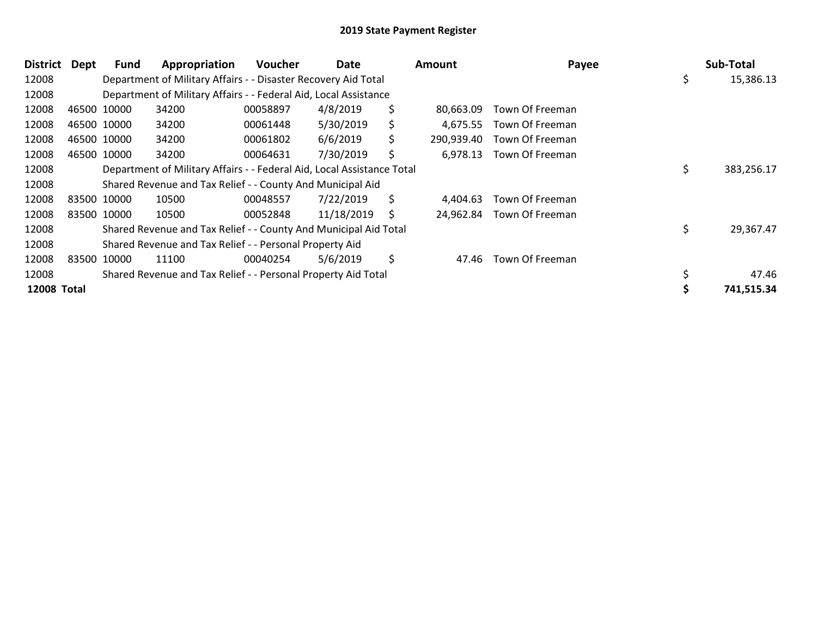| <b>District</b> | Dept | <b>Fund</b> | Appropriation                                                          | <b>Voucher</b> | Date       |    | <b>Amount</b> | Payee           | Sub-Total        |
|-----------------|------|-------------|------------------------------------------------------------------------|----------------|------------|----|---------------|-----------------|------------------|
| 12008           |      |             | Department of Military Affairs - - Disaster Recovery Aid Total         |                |            |    |               |                 | 15,386.13        |
| 12008           |      |             | Department of Military Affairs - - Federal Aid, Local Assistance       |                |            |    |               |                 |                  |
| 12008           |      | 46500 10000 | 34200                                                                  | 00058897       | 4/8/2019   | \$ | 80,663.09     | Town Of Freeman |                  |
| 12008           |      | 46500 10000 | 34200                                                                  | 00061448       | 5/30/2019  | \$ | 4,675.55      | Town Of Freeman |                  |
| 12008           |      | 46500 10000 | 34200                                                                  | 00061802       | 6/6/2019   | \$ | 290,939.40    | Town Of Freeman |                  |
| 12008           |      | 46500 10000 | 34200                                                                  | 00064631       | 7/30/2019  | \$ | 6,978.13      | Town Of Freeman |                  |
| 12008           |      |             | Department of Military Affairs - - Federal Aid, Local Assistance Total |                |            |    |               |                 | \$<br>383,256.17 |
| 12008           |      |             | Shared Revenue and Tax Relief - - County And Municipal Aid             |                |            |    |               |                 |                  |
| 12008           |      | 83500 10000 | 10500                                                                  | 00048557       | 7/22/2019  | S. | 4.404.63      | Town Of Freeman |                  |
| 12008           |      | 83500 10000 | 10500                                                                  | 00052848       | 11/18/2019 | S  | 24,962.84     | Town Of Freeman |                  |
| 12008           |      |             | Shared Revenue and Tax Relief - - County And Municipal Aid Total       |                |            |    |               |                 | \$<br>29,367.47  |
| 12008           |      |             | Shared Revenue and Tax Relief - - Personal Property Aid                |                |            |    |               |                 |                  |
| 12008           |      | 83500 10000 | 11100                                                                  | 00040254       | 5/6/2019   | \$ | 47.46         | Town Of Freeman |                  |
| 12008           |      |             | Shared Revenue and Tax Relief - - Personal Property Aid Total          |                |            |    |               |                 | 47.46            |
| 12008 Total     |      |             |                                                                        |                |            |    |               |                 | 741,515.34       |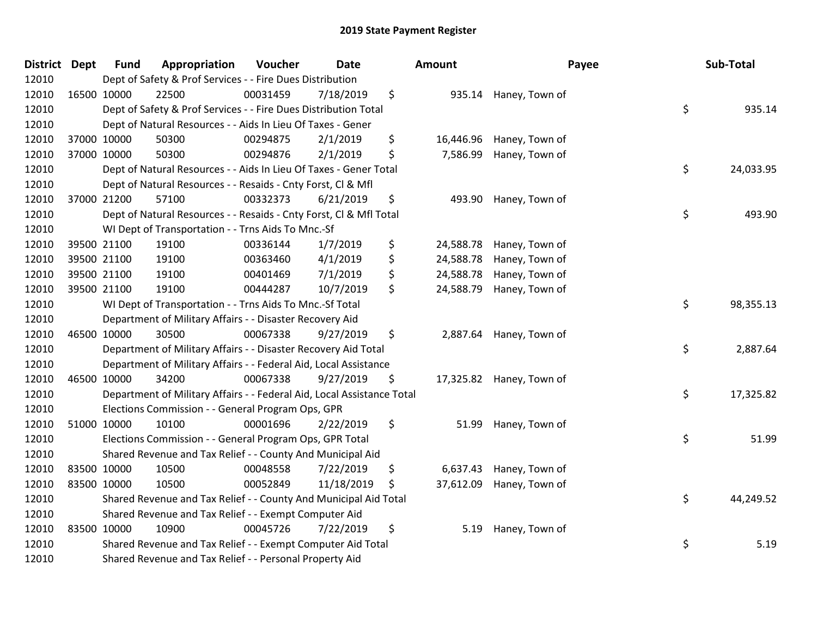| District Dept | <b>Fund</b> | Appropriation                                                          | Voucher  | <b>Date</b> |     | Amount    | Payee                    | Sub-Total       |
|---------------|-------------|------------------------------------------------------------------------|----------|-------------|-----|-----------|--------------------------|-----------------|
| 12010         |             | Dept of Safety & Prof Services - - Fire Dues Distribution              |          |             |     |           |                          |                 |
| 12010         | 16500 10000 | 22500                                                                  | 00031459 | 7/18/2019   | \$  |           | 935.14 Haney, Town of    |                 |
| 12010         |             | Dept of Safety & Prof Services - - Fire Dues Distribution Total        |          |             |     |           |                          | \$<br>935.14    |
| 12010         |             | Dept of Natural Resources - - Aids In Lieu Of Taxes - Gener            |          |             |     |           |                          |                 |
| 12010         | 37000 10000 | 50300                                                                  | 00294875 | 2/1/2019    | \$  | 16,446.96 | Haney, Town of           |                 |
| 12010         | 37000 10000 | 50300                                                                  | 00294876 | 2/1/2019    | \$  | 7,586.99  | Haney, Town of           |                 |
| 12010         |             | Dept of Natural Resources - - Aids In Lieu Of Taxes - Gener Total      |          |             |     |           |                          | \$<br>24,033.95 |
| 12010         |             | Dept of Natural Resources - - Resaids - Cnty Forst, Cl & Mfl           |          |             |     |           |                          |                 |
| 12010         | 37000 21200 | 57100                                                                  | 00332373 | 6/21/2019   | \$  | 493.90    | Haney, Town of           |                 |
| 12010         |             | Dept of Natural Resources - - Resaids - Cnty Forst, Cl & Mfl Total     |          |             |     |           |                          | \$<br>493.90    |
| 12010         |             | WI Dept of Transportation - - Trns Aids To Mnc.-Sf                     |          |             |     |           |                          |                 |
| 12010         | 39500 21100 | 19100                                                                  | 00336144 | 1/7/2019    | \$  | 24,588.78 | Haney, Town of           |                 |
| 12010         | 39500 21100 | 19100                                                                  | 00363460 | 4/1/2019    | \$  | 24,588.78 | Haney, Town of           |                 |
| 12010         | 39500 21100 | 19100                                                                  | 00401469 | 7/1/2019    | \$  | 24,588.78 | Haney, Town of           |                 |
| 12010         | 39500 21100 | 19100                                                                  | 00444287 | 10/7/2019   | \$  | 24,588.79 | Haney, Town of           |                 |
| 12010         |             | WI Dept of Transportation - - Trns Aids To Mnc.-Sf Total               |          |             |     |           |                          | \$<br>98,355.13 |
| 12010         |             | Department of Military Affairs - - Disaster Recovery Aid               |          |             |     |           |                          |                 |
| 12010         | 46500 10000 | 30500                                                                  | 00067338 | 9/27/2019   | \$  |           | 2,887.64 Haney, Town of  |                 |
| 12010         |             | Department of Military Affairs - - Disaster Recovery Aid Total         |          |             |     |           |                          | \$<br>2,887.64  |
| 12010         |             | Department of Military Affairs - - Federal Aid, Local Assistance       |          |             |     |           |                          |                 |
| 12010         | 46500 10000 | 34200                                                                  | 00067338 | 9/27/2019   | \$  |           | 17,325.82 Haney, Town of |                 |
| 12010         |             | Department of Military Affairs - - Federal Aid, Local Assistance Total |          |             |     |           |                          | \$<br>17,325.82 |
| 12010         |             | Elections Commission - - General Program Ops, GPR                      |          |             |     |           |                          |                 |
| 12010         | 51000 10000 | 10100                                                                  | 00001696 | 2/22/2019   | \$  | 51.99     | Haney, Town of           |                 |
| 12010         |             | Elections Commission - - General Program Ops, GPR Total                |          |             |     |           |                          | \$<br>51.99     |
| 12010         |             | Shared Revenue and Tax Relief - - County And Municipal Aid             |          |             |     |           |                          |                 |
| 12010         | 83500 10000 | 10500                                                                  | 00048558 | 7/22/2019   | \$  | 6,637.43  | Haney, Town of           |                 |
| 12010         | 83500 10000 | 10500                                                                  | 00052849 | 11/18/2019  | \$. | 37,612.09 | Haney, Town of           |                 |
| 12010         |             | Shared Revenue and Tax Relief - - County And Municipal Aid Total       |          |             |     |           |                          | \$<br>44,249.52 |
| 12010         |             | Shared Revenue and Tax Relief - - Exempt Computer Aid                  |          |             |     |           |                          |                 |
| 12010         | 83500 10000 | 10900                                                                  | 00045726 | 7/22/2019   | \$  | 5.19      | Haney, Town of           |                 |
| 12010         |             | Shared Revenue and Tax Relief - - Exempt Computer Aid Total            |          |             |     |           |                          | \$<br>5.19      |
| 12010         |             | Shared Revenue and Tax Relief - - Personal Property Aid                |          |             |     |           |                          |                 |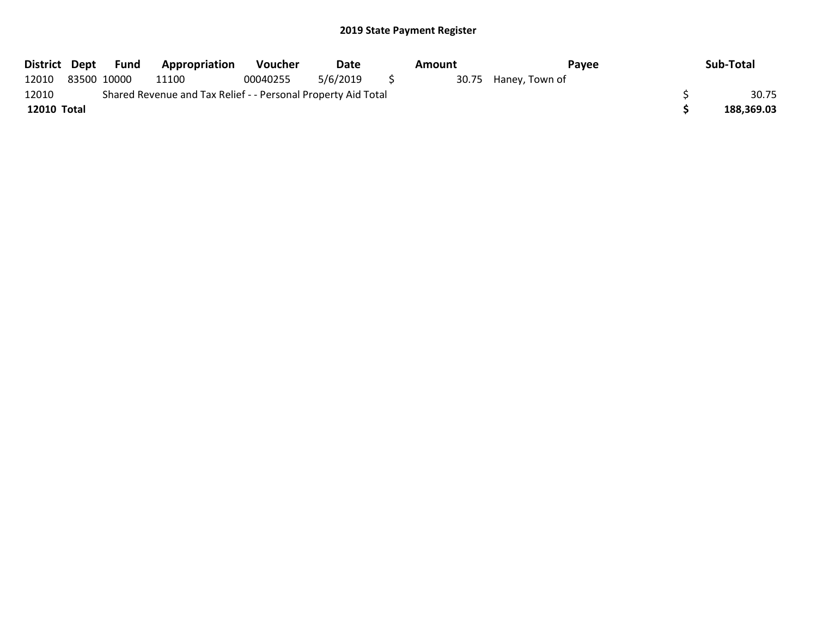| District Dept | Fund        | Appropriation                                                 | <b>Voucher</b> | Date     | Amount | Payee                | Sub-Total  |
|---------------|-------------|---------------------------------------------------------------|----------------|----------|--------|----------------------|------------|
| 12010         | 83500 10000 | 11100                                                         | 00040255       | 5/6/2019 |        | 30.75 Haney, Town of |            |
| 12010         |             | Shared Revenue and Tax Relief - - Personal Property Aid Total |                |          |        |                      | 30.75      |
| 12010 Total   |             |                                                               |                |          |        |                      | 188,369.03 |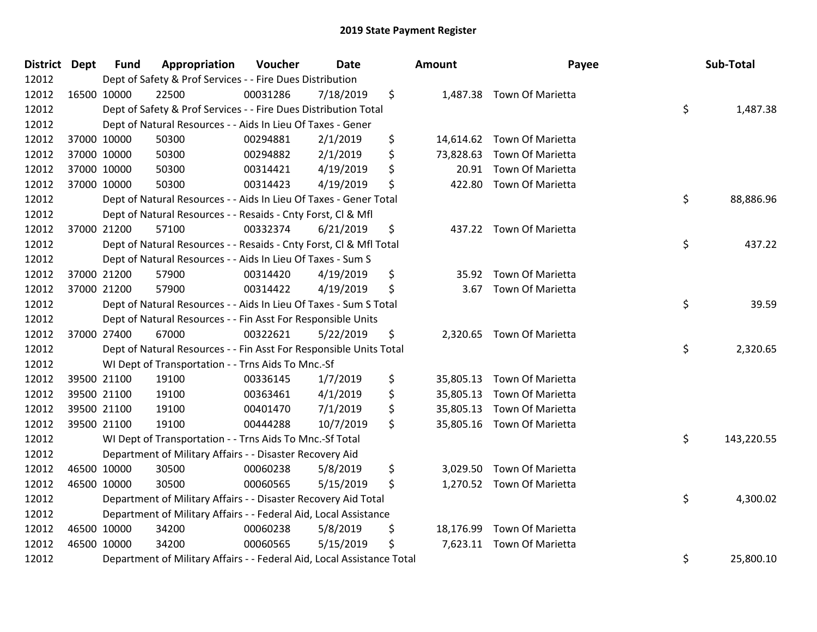| District Dept | <b>Fund</b> | Appropriation                                                          | Voucher  | Date      | <b>Amount</b>   | Payee                     | Sub-Total        |
|---------------|-------------|------------------------------------------------------------------------|----------|-----------|-----------------|---------------------------|------------------|
| 12012         |             | Dept of Safety & Prof Services - - Fire Dues Distribution              |          |           |                 |                           |                  |
| 12012         | 16500 10000 | 22500                                                                  | 00031286 | 7/18/2019 | \$              | 1,487.38 Town Of Marietta |                  |
| 12012         |             | Dept of Safety & Prof Services - - Fire Dues Distribution Total        |          |           |                 |                           | \$<br>1,487.38   |
| 12012         |             | Dept of Natural Resources - - Aids In Lieu Of Taxes - Gener            |          |           |                 |                           |                  |
| 12012         | 37000 10000 | 50300                                                                  | 00294881 | 2/1/2019  | \$<br>14,614.62 | Town Of Marietta          |                  |
| 12012         | 37000 10000 | 50300                                                                  | 00294882 | 2/1/2019  | \$<br>73,828.63 | Town Of Marietta          |                  |
| 12012         | 37000 10000 | 50300                                                                  | 00314421 | 4/19/2019 | \$<br>20.91     | Town Of Marietta          |                  |
| 12012         | 37000 10000 | 50300                                                                  | 00314423 | 4/19/2019 | \$<br>422.80    | Town Of Marietta          |                  |
| 12012         |             | Dept of Natural Resources - - Aids In Lieu Of Taxes - Gener Total      |          |           |                 |                           | \$<br>88,886.96  |
| 12012         |             | Dept of Natural Resources - - Resaids - Cnty Forst, Cl & Mfl           |          |           |                 |                           |                  |
| 12012         | 37000 21200 | 57100                                                                  | 00332374 | 6/21/2019 | \$              | 437.22 Town Of Marietta   |                  |
| 12012         |             | Dept of Natural Resources - - Resaids - Cnty Forst, Cl & Mfl Total     |          |           |                 |                           | \$<br>437.22     |
| 12012         |             | Dept of Natural Resources - - Aids In Lieu Of Taxes - Sum S            |          |           |                 |                           |                  |
| 12012         | 37000 21200 | 57900                                                                  | 00314420 | 4/19/2019 | \$<br>35.92     | Town Of Marietta          |                  |
| 12012         | 37000 21200 | 57900                                                                  | 00314422 | 4/19/2019 | \$<br>3.67      | Town Of Marietta          |                  |
| 12012         |             | Dept of Natural Resources - - Aids In Lieu Of Taxes - Sum S Total      |          |           |                 |                           | \$<br>39.59      |
| 12012         |             | Dept of Natural Resources - - Fin Asst For Responsible Units           |          |           |                 |                           |                  |
| 12012         | 37000 27400 | 67000                                                                  | 00322621 | 5/22/2019 | \$<br>2,320.65  | Town Of Marietta          |                  |
| 12012         |             | Dept of Natural Resources - - Fin Asst For Responsible Units Total     |          |           |                 |                           | \$<br>2,320.65   |
| 12012         |             | WI Dept of Transportation - - Trns Aids To Mnc.-Sf                     |          |           |                 |                           |                  |
| 12012         | 39500 21100 | 19100                                                                  | 00336145 | 1/7/2019  | \$<br>35,805.13 | Town Of Marietta          |                  |
| 12012         | 39500 21100 | 19100                                                                  | 00363461 | 4/1/2019  | \$<br>35,805.13 | Town Of Marietta          |                  |
| 12012         | 39500 21100 | 19100                                                                  | 00401470 | 7/1/2019  | \$<br>35,805.13 | Town Of Marietta          |                  |
| 12012         | 39500 21100 | 19100                                                                  | 00444288 | 10/7/2019 | \$<br>35,805.16 | Town Of Marietta          |                  |
| 12012         |             | WI Dept of Transportation - - Trns Aids To Mnc.-Sf Total               |          |           |                 |                           | \$<br>143,220.55 |
| 12012         |             | Department of Military Affairs - - Disaster Recovery Aid               |          |           |                 |                           |                  |
| 12012         | 46500 10000 | 30500                                                                  | 00060238 | 5/8/2019  | \$<br>3,029.50  | Town Of Marietta          |                  |
| 12012         | 46500 10000 | 30500                                                                  | 00060565 | 5/15/2019 | \$<br>1,270.52  | Town Of Marietta          |                  |
| 12012         |             | Department of Military Affairs - - Disaster Recovery Aid Total         |          |           |                 |                           | \$<br>4,300.02   |
| 12012         |             | Department of Military Affairs - - Federal Aid, Local Assistance       |          |           |                 |                           |                  |
| 12012         | 46500 10000 | 34200                                                                  | 00060238 | 5/8/2019  | \$<br>18,176.99 | Town Of Marietta          |                  |
| 12012         | 46500 10000 | 34200                                                                  | 00060565 | 5/15/2019 | \$<br>7,623.11  | Town Of Marietta          |                  |
| 12012         |             | Department of Military Affairs - - Federal Aid, Local Assistance Total |          |           |                 |                           | \$<br>25,800.10  |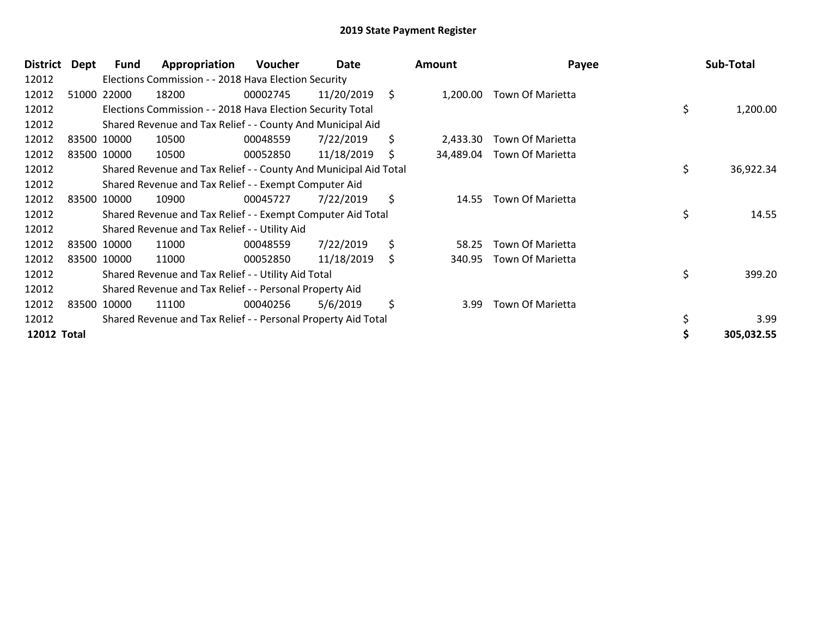| District           | Dept | Fund        | Appropriation                                                    | <b>Voucher</b> | Date       | Amount          | Payee            | Sub-Total       |
|--------------------|------|-------------|------------------------------------------------------------------|----------------|------------|-----------------|------------------|-----------------|
| 12012              |      |             | Elections Commission - - 2018 Hava Election Security             |                |            |                 |                  |                 |
| 12012              |      | 51000 22000 | 18200                                                            | 00002745       | 11/20/2019 | \$<br>1,200.00  | Town Of Marietta |                 |
| 12012              |      |             | Elections Commission - - 2018 Hava Election Security Total       |                |            |                 |                  | \$<br>1,200.00  |
| 12012              |      |             | Shared Revenue and Tax Relief - - County And Municipal Aid       |                |            |                 |                  |                 |
| 12012              |      | 83500 10000 | 10500                                                            | 00048559       | 7/22/2019  | \$<br>2,433.30  | Town Of Marietta |                 |
| 12012              |      | 83500 10000 | 10500                                                            | 00052850       | 11/18/2019 | \$<br>34,489.04 | Town Of Marietta |                 |
| 12012              |      |             | Shared Revenue and Tax Relief - - County And Municipal Aid Total |                |            |                 |                  | \$<br>36,922.34 |
| 12012              |      |             | Shared Revenue and Tax Relief - - Exempt Computer Aid            |                |            |                 |                  |                 |
| 12012              |      | 83500 10000 | 10900                                                            | 00045727       | 7/22/2019  | \$<br>14.55     | Town Of Marietta |                 |
| 12012              |      |             | Shared Revenue and Tax Relief - - Exempt Computer Aid Total      |                |            |                 |                  | \$<br>14.55     |
| 12012              |      |             | Shared Revenue and Tax Relief - - Utility Aid                    |                |            |                 |                  |                 |
| 12012              |      | 83500 10000 | 11000                                                            | 00048559       | 7/22/2019  | \$<br>58.25     | Town Of Marietta |                 |
| 12012              |      | 83500 10000 | 11000                                                            | 00052850       | 11/18/2019 | \$<br>340.95    | Town Of Marietta |                 |
| 12012              |      |             | Shared Revenue and Tax Relief - - Utility Aid Total              |                |            |                 |                  | \$<br>399.20    |
| 12012              |      |             | Shared Revenue and Tax Relief - - Personal Property Aid          |                |            |                 |                  |                 |
| 12012              |      | 83500 10000 | 11100                                                            | 00040256       | 5/6/2019   | \$<br>3.99      | Town Of Marietta |                 |
| 12012              |      |             | Shared Revenue and Tax Relief - - Personal Property Aid Total    |                |            |                 |                  | \$<br>3.99      |
| <b>12012 Total</b> |      |             |                                                                  |                |            |                 |                  | 305,032.55      |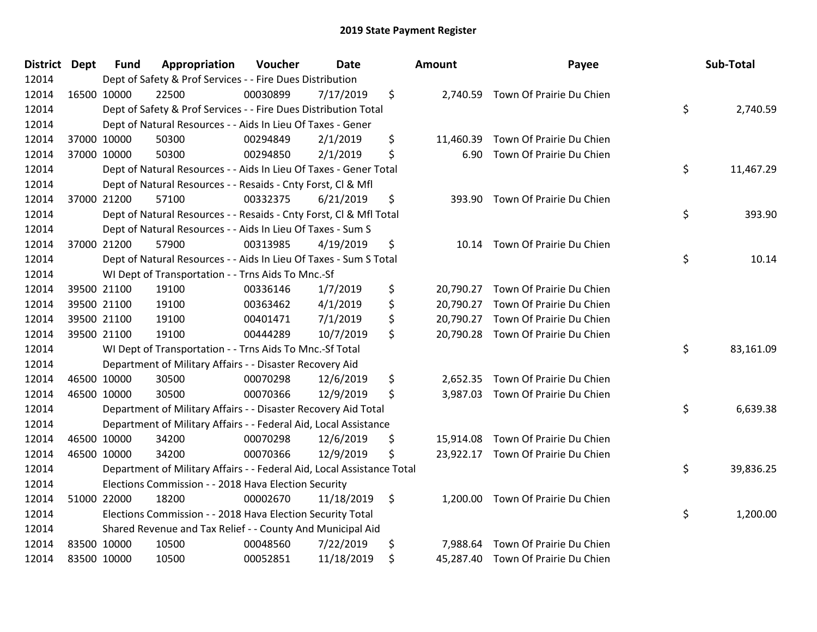| <b>District Dept</b> | <b>Fund</b> | Appropriation                                                          | Voucher  | <b>Date</b> | <b>Amount</b>   | Payee                              | Sub-Total       |
|----------------------|-------------|------------------------------------------------------------------------|----------|-------------|-----------------|------------------------------------|-----------------|
| 12014                |             | Dept of Safety & Prof Services - - Fire Dues Distribution              |          |             |                 |                                    |                 |
| 12014                | 16500 10000 | 22500                                                                  | 00030899 | 7/17/2019   | \$              | 2,740.59 Town Of Prairie Du Chien  |                 |
| 12014                |             | Dept of Safety & Prof Services - - Fire Dues Distribution Total        |          |             |                 |                                    | \$<br>2,740.59  |
| 12014                |             | Dept of Natural Resources - - Aids In Lieu Of Taxes - Gener            |          |             |                 |                                    |                 |
| 12014                | 37000 10000 | 50300                                                                  | 00294849 | 2/1/2019    | \$<br>11,460.39 | Town Of Prairie Du Chien           |                 |
| 12014                | 37000 10000 | 50300                                                                  | 00294850 | 2/1/2019    | \$<br>6.90      | Town Of Prairie Du Chien           |                 |
| 12014                |             | Dept of Natural Resources - - Aids In Lieu Of Taxes - Gener Total      |          |             |                 |                                    | \$<br>11,467.29 |
| 12014                |             | Dept of Natural Resources - - Resaids - Cnty Forst, Cl & Mfl           |          |             |                 |                                    |                 |
| 12014                | 37000 21200 | 57100                                                                  | 00332375 | 6/21/2019   | \$<br>393.90    | Town Of Prairie Du Chien           |                 |
| 12014                |             | Dept of Natural Resources - - Resaids - Cnty Forst, Cl & Mfl Total     |          |             |                 |                                    | \$<br>393.90    |
| 12014                |             | Dept of Natural Resources - - Aids In Lieu Of Taxes - Sum S            |          |             |                 |                                    |                 |
| 12014                | 37000 21200 | 57900                                                                  | 00313985 | 4/19/2019   | \$<br>10.14     | Town Of Prairie Du Chien           |                 |
| 12014                |             | Dept of Natural Resources - - Aids In Lieu Of Taxes - Sum S Total      |          |             |                 |                                    | \$<br>10.14     |
| 12014                |             | WI Dept of Transportation - - Trns Aids To Mnc.-Sf                     |          |             |                 |                                    |                 |
| 12014                | 39500 21100 | 19100                                                                  | 00336146 | 1/7/2019    | \$<br>20,790.27 | Town Of Prairie Du Chien           |                 |
| 12014                | 39500 21100 | 19100                                                                  | 00363462 | 4/1/2019    | \$<br>20,790.27 | Town Of Prairie Du Chien           |                 |
| 12014                | 39500 21100 | 19100                                                                  | 00401471 | 7/1/2019    | \$<br>20,790.27 | Town Of Prairie Du Chien           |                 |
| 12014                | 39500 21100 | 19100                                                                  | 00444289 | 10/7/2019   | \$              | 20,790.28 Town Of Prairie Du Chien |                 |
| 12014                |             | WI Dept of Transportation - - Trns Aids To Mnc.-Sf Total               |          |             |                 |                                    | \$<br>83,161.09 |
| 12014                |             | Department of Military Affairs - - Disaster Recovery Aid               |          |             |                 |                                    |                 |
| 12014                | 46500 10000 | 30500                                                                  | 00070298 | 12/6/2019   | \$              | 2,652.35 Town Of Prairie Du Chien  |                 |
| 12014                | 46500 10000 | 30500                                                                  | 00070366 | 12/9/2019   | \$<br>3,987.03  | Town Of Prairie Du Chien           |                 |
| 12014                |             | Department of Military Affairs - - Disaster Recovery Aid Total         |          |             |                 |                                    | \$<br>6,639.38  |
| 12014                |             | Department of Military Affairs - - Federal Aid, Local Assistance       |          |             |                 |                                    |                 |
| 12014                | 46500 10000 | 34200                                                                  | 00070298 | 12/6/2019   | \$<br>15,914.08 | Town Of Prairie Du Chien           |                 |
| 12014                | 46500 10000 | 34200                                                                  | 00070366 | 12/9/2019   | \$              | 23,922.17 Town Of Prairie Du Chien |                 |
| 12014                |             | Department of Military Affairs - - Federal Aid, Local Assistance Total |          |             |                 |                                    | \$<br>39,836.25 |
| 12014                |             | Elections Commission - - 2018 Hava Election Security                   |          |             |                 |                                    |                 |
| 12014                | 51000 22000 | 18200                                                                  | 00002670 | 11/18/2019  | \$<br>1,200.00  | Town Of Prairie Du Chien           |                 |
| 12014                |             | Elections Commission - - 2018 Hava Election Security Total             |          |             |                 |                                    | \$<br>1,200.00  |
| 12014                |             | Shared Revenue and Tax Relief - - County And Municipal Aid             |          |             |                 |                                    |                 |
| 12014                | 83500 10000 | 10500                                                                  | 00048560 | 7/22/2019   | \$<br>7,988.64  | Town Of Prairie Du Chien           |                 |
| 12014                | 83500 10000 | 10500                                                                  | 00052851 | 11/18/2019  | \$              | 45,287.40 Town Of Prairie Du Chien |                 |

| Payee<br>Sub-Total                                                                                                                                                             |        |
|--------------------------------------------------------------------------------------------------------------------------------------------------------------------------------|--------|
| 2,740.59 Town Of Prairie Du Chien<br>\$<br>2,740.59                                                                                                                            |        |
| Town Of Prairie Du Chien                                                                                                                                                       |        |
| Town Of Prairie Du Chien                                                                                                                                                       |        |
| \$<br>11,467.29                                                                                                                                                                |        |
| Town Of Prairie Du Chien                                                                                                                                                       |        |
| \$                                                                                                                                                                             | 393.90 |
| Town Of Prairie Du Chien                                                                                                                                                       |        |
| \$                                                                                                                                                                             | 10.14  |
| Town Of Prairie Du Chien                                                                                                                                                       |        |
|                                                                                                                                                                                |        |
|                                                                                                                                                                                |        |
|                                                                                                                                                                                |        |
| \$<br>83,161.09                                                                                                                                                                |        |
|                                                                                                                                                                                |        |
|                                                                                                                                                                                |        |
| \$<br>6,639.38                                                                                                                                                                 |        |
|                                                                                                                                                                                |        |
| Town Of Prairie Du Chien                                                                                                                                                       |        |
| \$<br>39,836.25                                                                                                                                                                |        |
| Town Of Prairie Du Chien                                                                                                                                                       |        |
| \$<br>1,200.00                                                                                                                                                                 |        |
| Town Of Prairie Du Chien                                                                                                                                                       |        |
| Town Of Prairie Du Chien                                                                                                                                                       |        |
| Town Of Prairie Du Chien<br>Town Of Prairie Du Chien<br>Town Of Prairie Du Chien<br>Town Of Prairie Du Chien<br>Town Of Prairie Du Chien<br>15,914.08 Town Of Prairie Du Chien |        |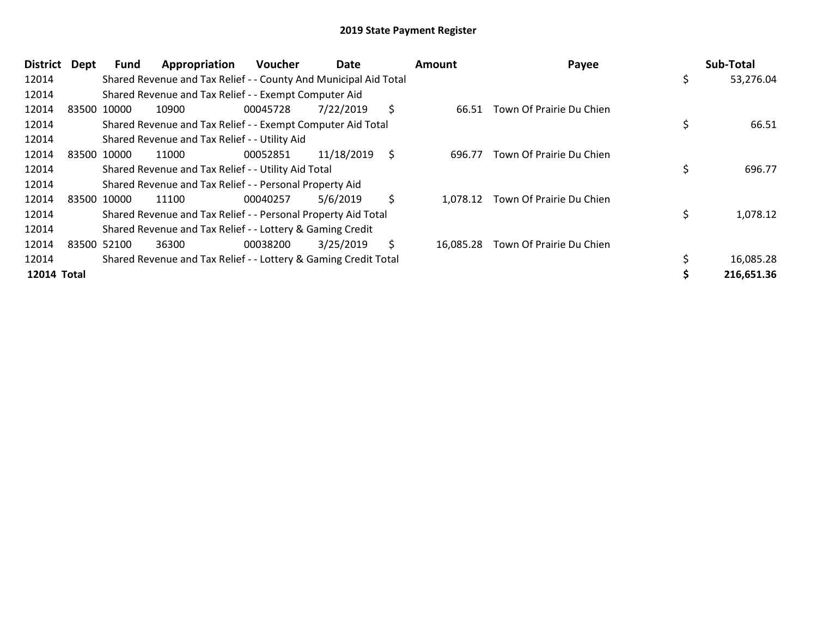| <b>District</b> | Dept | Fund        | Appropriation                                                    | <b>Voucher</b> | Date       |    | Amount    | Payee                    | Sub-Total  |
|-----------------|------|-------------|------------------------------------------------------------------|----------------|------------|----|-----------|--------------------------|------------|
| 12014           |      |             | Shared Revenue and Tax Relief - - County And Municipal Aid Total |                |            |    |           |                          | 53,276.04  |
| 12014           |      |             | Shared Revenue and Tax Relief - - Exempt Computer Aid            |                |            |    |           |                          |            |
| 12014           |      | 83500 10000 | 10900                                                            | 00045728       | 7/22/2019  | \$ | 66.51     | Town Of Prairie Du Chien |            |
| 12014           |      |             | Shared Revenue and Tax Relief - - Exempt Computer Aid Total      |                |            |    |           |                          | 66.51      |
| 12014           |      |             | Shared Revenue and Tax Relief - - Utility Aid                    |                |            |    |           |                          |            |
| 12014           |      | 83500 10000 | 11000                                                            | 00052851       | 11/18/2019 | \$ | 696.77    | Town Of Prairie Du Chien |            |
| 12014           |      |             | Shared Revenue and Tax Relief - - Utility Aid Total              |                |            |    |           |                          | 696.77     |
| 12014           |      |             | Shared Revenue and Tax Relief - - Personal Property Aid          |                |            |    |           |                          |            |
| 12014           |      | 83500 10000 | 11100                                                            | 00040257       | 5/6/2019   | \$ | 1.078.12  | Town Of Prairie Du Chien |            |
| 12014           |      |             | Shared Revenue and Tax Relief - - Personal Property Aid Total    |                |            |    |           |                          | 1,078.12   |
| 12014           |      |             | Shared Revenue and Tax Relief - - Lottery & Gaming Credit        |                |            |    |           |                          |            |
| 12014           |      | 83500 52100 | 36300                                                            | 00038200       | 3/25/2019  | S. | 16.085.28 | Town Of Prairie Du Chien |            |
| 12014           |      |             | Shared Revenue and Tax Relief - - Lottery & Gaming Credit Total  |                |            |    |           |                          | 16,085.28  |
| 12014 Total     |      |             |                                                                  |                |            |    |           |                          | 216,651.36 |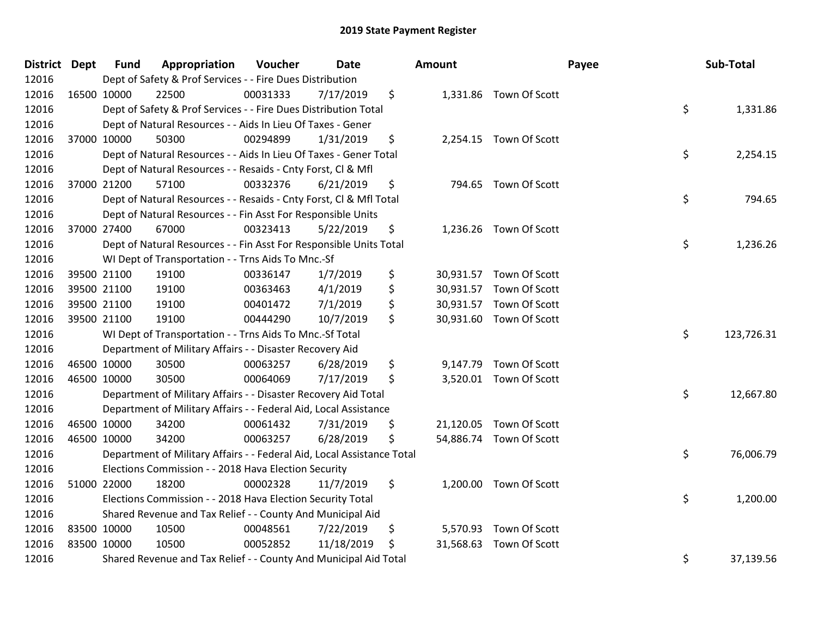| District Dept |             | <b>Fund</b> | Appropriation                                                          | Voucher  | Date       | Amount          |                         | Payee | Sub-Total  |
|---------------|-------------|-------------|------------------------------------------------------------------------|----------|------------|-----------------|-------------------------|-------|------------|
| 12016         |             |             | Dept of Safety & Prof Services - - Fire Dues Distribution              |          |            |                 |                         |       |            |
| 12016         | 16500 10000 |             | 22500                                                                  | 00031333 | 7/17/2019  | \$              | 1,331.86 Town Of Scott  |       |            |
| 12016         |             |             | Dept of Safety & Prof Services - - Fire Dues Distribution Total        |          |            |                 |                         | \$    | 1,331.86   |
| 12016         |             |             | Dept of Natural Resources - - Aids In Lieu Of Taxes - Gener            |          |            |                 |                         |       |            |
| 12016         | 37000 10000 |             | 50300                                                                  | 00294899 | 1/31/2019  | \$              | 2,254.15 Town Of Scott  |       |            |
| 12016         |             |             | Dept of Natural Resources - - Aids In Lieu Of Taxes - Gener Total      |          |            |                 |                         | \$    | 2,254.15   |
| 12016         |             |             | Dept of Natural Resources - - Resaids - Cnty Forst, Cl & Mfl           |          |            |                 |                         |       |            |
| 12016         |             | 37000 21200 | 57100                                                                  | 00332376 | 6/21/2019  | \$<br>794.65    | Town Of Scott           |       |            |
| 12016         |             |             | Dept of Natural Resources - - Resaids - Cnty Forst, Cl & Mfl Total     |          |            |                 |                         | \$    | 794.65     |
| 12016         |             |             | Dept of Natural Resources - - Fin Asst For Responsible Units           |          |            |                 |                         |       |            |
| 12016         | 37000 27400 |             | 67000                                                                  | 00323413 | 5/22/2019  | \$              | 1,236.26 Town Of Scott  |       |            |
| 12016         |             |             | Dept of Natural Resources - - Fin Asst For Responsible Units Total     |          |            |                 |                         | \$    | 1,236.26   |
| 12016         |             |             | WI Dept of Transportation - - Trns Aids To Mnc.-Sf                     |          |            |                 |                         |       |            |
| 12016         |             | 39500 21100 | 19100                                                                  | 00336147 | 1/7/2019   | \$              | 30,931.57 Town Of Scott |       |            |
| 12016         | 39500 21100 |             | 19100                                                                  | 00363463 | 4/1/2019   | \$              | 30,931.57 Town Of Scott |       |            |
| 12016         | 39500 21100 |             | 19100                                                                  | 00401472 | 7/1/2019   | \$              | 30,931.57 Town Of Scott |       |            |
| 12016         | 39500 21100 |             | 19100                                                                  | 00444290 | 10/7/2019  | \$              | 30,931.60 Town Of Scott |       |            |
| 12016         |             |             | WI Dept of Transportation - - Trns Aids To Mnc.-Sf Total               |          |            |                 |                         | \$    | 123,726.31 |
| 12016         |             |             | Department of Military Affairs - - Disaster Recovery Aid               |          |            |                 |                         |       |            |
| 12016         | 46500 10000 |             | 30500                                                                  | 00063257 | 6/28/2019  | \$              | 9,147.79 Town Of Scott  |       |            |
| 12016         | 46500 10000 |             | 30500                                                                  | 00064069 | 7/17/2019  | \$              | 3,520.01 Town Of Scott  |       |            |
| 12016         |             |             | Department of Military Affairs - - Disaster Recovery Aid Total         |          |            |                 |                         | \$    | 12,667.80  |
| 12016         |             |             | Department of Military Affairs - - Federal Aid, Local Assistance       |          |            |                 |                         |       |            |
| 12016         |             | 46500 10000 | 34200                                                                  | 00061432 | 7/31/2019  | \$              | 21,120.05 Town Of Scott |       |            |
| 12016         | 46500 10000 |             | 34200                                                                  | 00063257 | 6/28/2019  | \$              | 54,886.74 Town Of Scott |       |            |
| 12016         |             |             | Department of Military Affairs - - Federal Aid, Local Assistance Total |          |            |                 |                         | \$    | 76,006.79  |
| 12016         |             |             | Elections Commission - - 2018 Hava Election Security                   |          |            |                 |                         |       |            |
| 12016         | 51000 22000 |             | 18200                                                                  | 00002328 | 11/7/2019  | \$              | 1,200.00 Town Of Scott  |       |            |
| 12016         |             |             | Elections Commission - - 2018 Hava Election Security Total             |          |            |                 |                         | \$    | 1,200.00   |
| 12016         |             |             | Shared Revenue and Tax Relief - - County And Municipal Aid             |          |            |                 |                         |       |            |
| 12016         | 83500 10000 |             | 10500                                                                  | 00048561 | 7/22/2019  | \$              | 5,570.93 Town Of Scott  |       |            |
| 12016         | 83500 10000 |             | 10500                                                                  | 00052852 | 11/18/2019 | \$<br>31,568.63 | Town Of Scott           |       |            |
| 12016         |             |             | Shared Revenue and Tax Relief - - County And Municipal Aid Total       |          |            |                 |                         | \$    | 37,139.56  |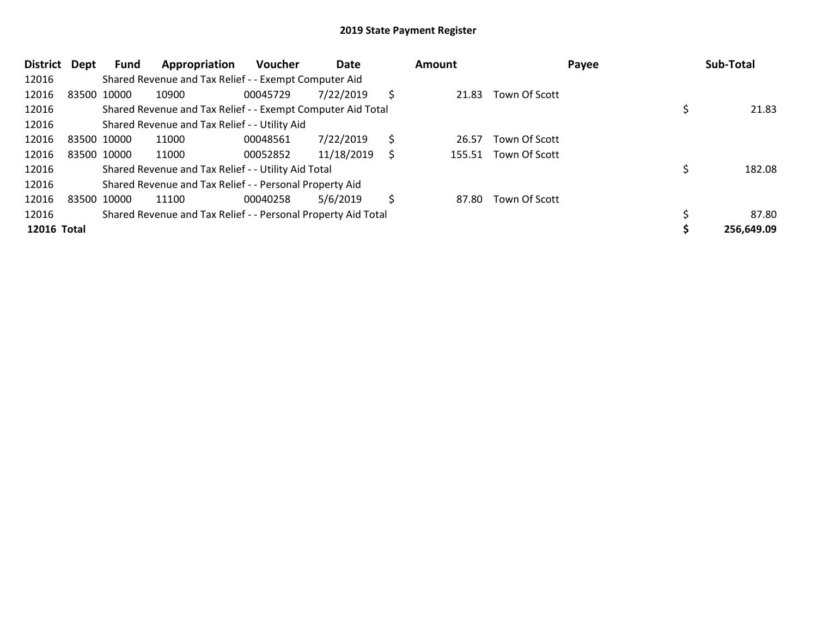| <b>District</b> | Dept        | Fund        | Appropriation                                                 | <b>Voucher</b> | Date       |    | Amount |               | Payee | Sub-Total  |
|-----------------|-------------|-------------|---------------------------------------------------------------|----------------|------------|----|--------|---------------|-------|------------|
| 12016           |             |             | Shared Revenue and Tax Relief - - Exempt Computer Aid         |                |            |    |        |               |       |            |
| 12016           | 83500 10000 |             | 10900                                                         | 00045729       | 7/22/2019  | S  | 21.83  | Town Of Scott |       |            |
| 12016           |             |             | Shared Revenue and Tax Relief - - Exempt Computer Aid Total   |                |            |    |        |               |       | 21.83      |
| 12016           |             |             | Shared Revenue and Tax Relief - - Utility Aid                 |                |            |    |        |               |       |            |
| 12016           | 83500 10000 |             | 11000                                                         | 00048561       | 7/22/2019  | \$ | 26.57  | Town Of Scott |       |            |
| 12016           |             | 83500 10000 | 11000                                                         | 00052852       | 11/18/2019 | S  | 155.51 | Town Of Scott |       |            |
| 12016           |             |             | Shared Revenue and Tax Relief - - Utility Aid Total           |                |            |    |        |               |       | 182.08     |
| 12016           |             |             | Shared Revenue and Tax Relief - - Personal Property Aid       |                |            |    |        |               |       |            |
| 12016           |             | 83500 10000 | 11100                                                         | 00040258       | 5/6/2019   | Ś  | 87.80  | Town Of Scott |       |            |
| 12016           |             |             | Shared Revenue and Tax Relief - - Personal Property Aid Total |                |            |    |        |               |       | 87.80      |
| 12016 Total     |             |             |                                                               |                |            |    |        |               |       | 256,649.09 |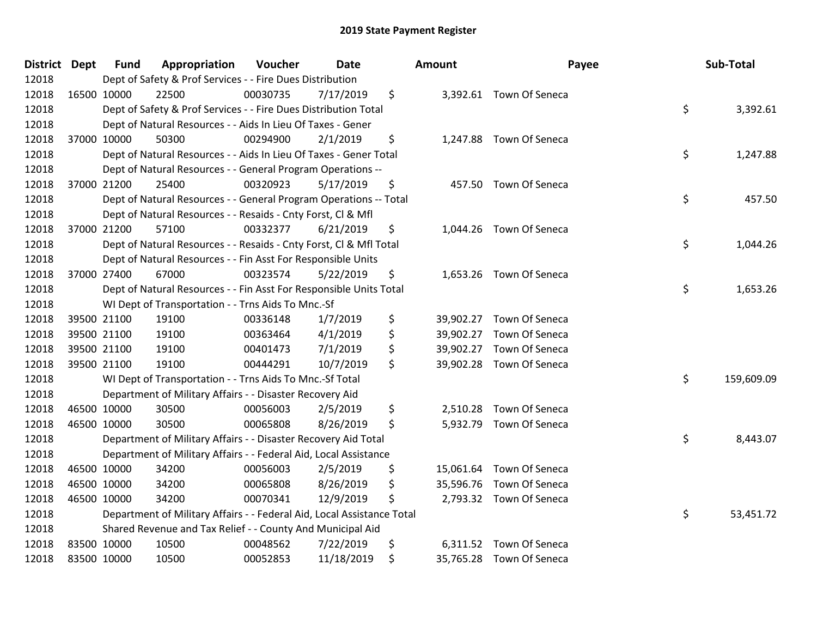| District Dept | <b>Fund</b> | Appropriation                                                          | Voucher  | <b>Date</b> | Amount | Payee                    | Sub-Total        |
|---------------|-------------|------------------------------------------------------------------------|----------|-------------|--------|--------------------------|------------------|
| 12018         |             | Dept of Safety & Prof Services - - Fire Dues Distribution              |          |             |        |                          |                  |
| 12018         | 16500 10000 | 22500                                                                  | 00030735 | 7/17/2019   | \$     | 3,392.61 Town Of Seneca  |                  |
| 12018         |             | Dept of Safety & Prof Services - - Fire Dues Distribution Total        |          |             |        |                          | \$<br>3,392.61   |
| 12018         |             | Dept of Natural Resources - - Aids In Lieu Of Taxes - Gener            |          |             |        |                          |                  |
| 12018         | 37000 10000 | 50300                                                                  | 00294900 | 2/1/2019    | \$     | 1,247.88 Town Of Seneca  |                  |
| 12018         |             | Dept of Natural Resources - - Aids In Lieu Of Taxes - Gener Total      |          |             |        |                          | \$<br>1,247.88   |
| 12018         |             | Dept of Natural Resources - - General Program Operations --            |          |             |        |                          |                  |
| 12018         | 37000 21200 | 25400                                                                  | 00320923 | 5/17/2019   | \$     | 457.50 Town Of Seneca    |                  |
| 12018         |             | Dept of Natural Resources - - General Program Operations -- Total      |          |             |        |                          | \$<br>457.50     |
| 12018         |             | Dept of Natural Resources - - Resaids - Cnty Forst, CI & Mfl           |          |             |        |                          |                  |
| 12018         | 37000 21200 | 57100                                                                  | 00332377 | 6/21/2019   | \$     | 1,044.26 Town Of Seneca  |                  |
| 12018         |             | Dept of Natural Resources - - Resaids - Cnty Forst, Cl & Mfl Total     |          |             |        |                          | \$<br>1,044.26   |
| 12018         |             | Dept of Natural Resources - - Fin Asst For Responsible Units           |          |             |        |                          |                  |
| 12018         | 37000 27400 | 67000                                                                  | 00323574 | 5/22/2019   | \$     | 1,653.26 Town Of Seneca  |                  |
| 12018         |             | Dept of Natural Resources - - Fin Asst For Responsible Units Total     |          |             |        |                          | \$<br>1,653.26   |
| 12018         |             | WI Dept of Transportation - - Trns Aids To Mnc.-Sf                     |          |             |        |                          |                  |
| 12018         | 39500 21100 | 19100                                                                  | 00336148 | 1/7/2019    | \$     | 39,902.27 Town Of Seneca |                  |
| 12018         | 39500 21100 | 19100                                                                  | 00363464 | 4/1/2019    | \$     | 39,902.27 Town Of Seneca |                  |
| 12018         | 39500 21100 | 19100                                                                  | 00401473 | 7/1/2019    | \$     | 39,902.27 Town Of Seneca |                  |
| 12018         | 39500 21100 | 19100                                                                  | 00444291 | 10/7/2019   | \$     | 39,902.28 Town Of Seneca |                  |
| 12018         |             | WI Dept of Transportation - - Trns Aids To Mnc.-Sf Total               |          |             |        |                          | \$<br>159,609.09 |
| 12018         |             | Department of Military Affairs - - Disaster Recovery Aid               |          |             |        |                          |                  |
| 12018         | 46500 10000 | 30500                                                                  | 00056003 | 2/5/2019    | \$     | 2,510.28 Town Of Seneca  |                  |
| 12018         | 46500 10000 | 30500                                                                  | 00065808 | 8/26/2019   | \$     | 5,932.79 Town Of Seneca  |                  |
| 12018         |             | Department of Military Affairs - - Disaster Recovery Aid Total         |          |             |        |                          | \$<br>8,443.07   |
| 12018         |             | Department of Military Affairs - - Federal Aid, Local Assistance       |          |             |        |                          |                  |
| 12018         | 46500 10000 | 34200                                                                  | 00056003 | 2/5/2019    | \$     | 15,061.64 Town Of Seneca |                  |
| 12018         | 46500 10000 | 34200                                                                  | 00065808 | 8/26/2019   | \$     | 35,596.76 Town Of Seneca |                  |
| 12018         | 46500 10000 | 34200                                                                  | 00070341 | 12/9/2019   | \$     | 2,793.32 Town Of Seneca  |                  |
| 12018         |             | Department of Military Affairs - - Federal Aid, Local Assistance Total |          |             |        |                          | \$<br>53,451.72  |
| 12018         |             | Shared Revenue and Tax Relief - - County And Municipal Aid             |          |             |        |                          |                  |
| 12018         | 83500 10000 | 10500                                                                  | 00048562 | 7/22/2019   | \$     | 6,311.52 Town Of Seneca  |                  |
| 12018         | 83500 10000 | 10500                                                                  | 00052853 | 11/18/2019  | \$     | 35,765.28 Town Of Seneca |                  |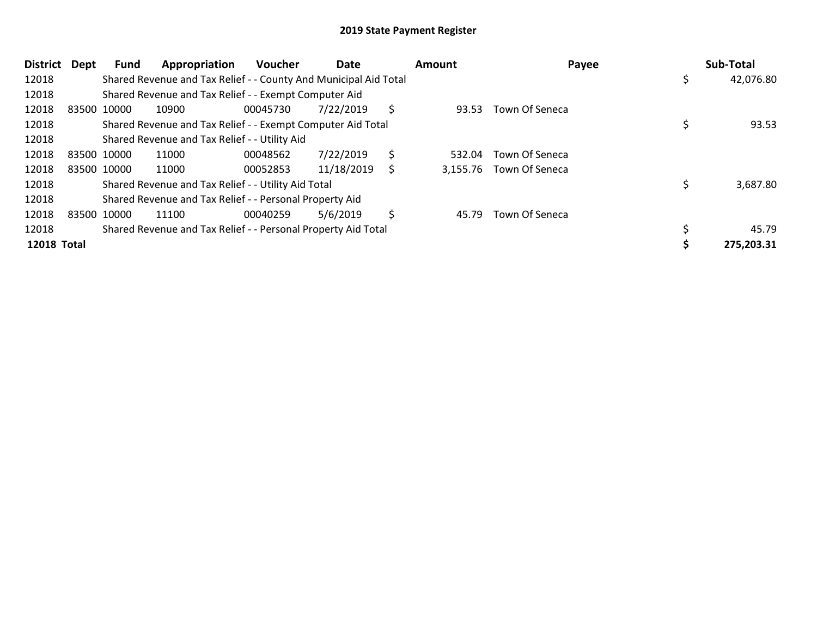| District Dept      |             | Fund | Appropriation                                                    | <b>Voucher</b> | Date       |     | <b>Amount</b> | Payee                   | Sub-Total  |
|--------------------|-------------|------|------------------------------------------------------------------|----------------|------------|-----|---------------|-------------------------|------------|
| 12018              |             |      | Shared Revenue and Tax Relief - - County And Municipal Aid Total |                |            |     |               |                         | 42,076.80  |
| 12018              |             |      | Shared Revenue and Tax Relief - - Exempt Computer Aid            |                |            |     |               |                         |            |
| 12018              | 83500 10000 |      | 10900                                                            | 00045730       | 7/22/2019  | \$. | 93.53         | Town Of Seneca          |            |
| 12018              |             |      | Shared Revenue and Tax Relief - - Exempt Computer Aid Total      |                |            |     |               |                         | 93.53      |
| 12018              |             |      | Shared Revenue and Tax Relief - - Utility Aid                    |                |            |     |               |                         |            |
| 12018              | 83500 10000 |      | 11000                                                            | 00048562       | 7/22/2019  | \$  | 532.04        | Town Of Seneca          |            |
| 12018              | 83500 10000 |      | 11000                                                            | 00052853       | 11/18/2019 | S   |               | 3,155.76 Town Of Seneca |            |
| 12018              |             |      | Shared Revenue and Tax Relief - - Utility Aid Total              |                |            |     |               |                         | 3,687.80   |
| 12018              |             |      | Shared Revenue and Tax Relief - - Personal Property Aid          |                |            |     |               |                         |            |
| 12018              | 83500 10000 |      | 11100                                                            | 00040259       | 5/6/2019   | S   | 45.79         | Town Of Seneca          |            |
| 12018              |             |      | Shared Revenue and Tax Relief - - Personal Property Aid Total    |                |            |     |               |                         | 45.79      |
| <b>12018 Total</b> |             |      |                                                                  |                |            |     |               |                         | 275,203.31 |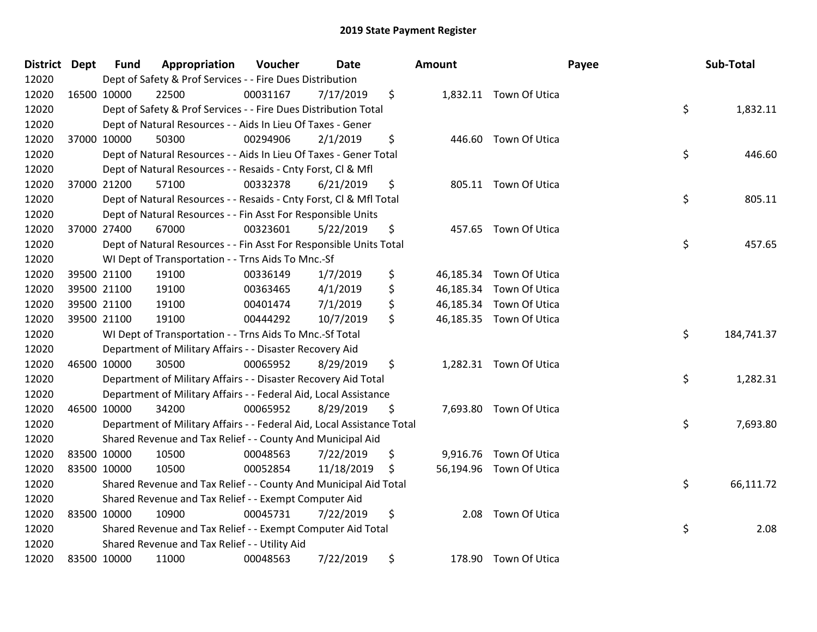| District Dept |             | <b>Fund</b> | Appropriation                                                          | Voucher  | <b>Date</b> |    | Amount    |                         | Payee | Sub-Total  |  |
|---------------|-------------|-------------|------------------------------------------------------------------------|----------|-------------|----|-----------|-------------------------|-------|------------|--|
| 12020         |             |             | Dept of Safety & Prof Services - - Fire Dues Distribution              |          |             |    |           |                         |       |            |  |
| 12020         | 16500 10000 |             | 22500                                                                  | 00031167 | 7/17/2019   | \$ |           | 1,832.11 Town Of Utica  |       |            |  |
| 12020         |             |             | Dept of Safety & Prof Services - - Fire Dues Distribution Total        |          |             |    |           |                         | \$    | 1,832.11   |  |
| 12020         |             |             | Dept of Natural Resources - - Aids In Lieu Of Taxes - Gener            |          |             |    |           |                         |       |            |  |
| 12020         | 37000 10000 |             | 50300                                                                  | 00294906 | 2/1/2019    | \$ | 446.60    | Town Of Utica           |       |            |  |
| 12020         |             |             | Dept of Natural Resources - - Aids In Lieu Of Taxes - Gener Total      |          |             |    |           |                         | \$    | 446.60     |  |
| 12020         |             |             | Dept of Natural Resources - - Resaids - Cnty Forst, Cl & Mfl           |          |             |    |           |                         |       |            |  |
| 12020         |             | 37000 21200 | 57100                                                                  | 00332378 | 6/21/2019   | \$ |           | 805.11 Town Of Utica    |       |            |  |
| 12020         |             |             | Dept of Natural Resources - - Resaids - Cnty Forst, Cl & Mfl Total     |          |             |    |           |                         | \$    | 805.11     |  |
| 12020         |             |             | Dept of Natural Resources - - Fin Asst For Responsible Units           |          |             |    |           |                         |       |            |  |
| 12020         |             | 37000 27400 | 67000                                                                  | 00323601 | 5/22/2019   | \$ |           | 457.65 Town Of Utica    |       |            |  |
| 12020         |             |             | Dept of Natural Resources - - Fin Asst For Responsible Units Total     |          |             |    |           |                         | \$    | 457.65     |  |
| 12020         |             |             | WI Dept of Transportation - - Trns Aids To Mnc.-Sf                     |          |             |    |           |                         |       |            |  |
| 12020         |             | 39500 21100 | 19100                                                                  | 00336149 | 1/7/2019    | \$ | 46,185.34 | Town Of Utica           |       |            |  |
| 12020         |             | 39500 21100 | 19100                                                                  | 00363465 | 4/1/2019    | \$ | 46,185.34 | Town Of Utica           |       |            |  |
| 12020         |             | 39500 21100 | 19100                                                                  | 00401474 | 7/1/2019    | \$ | 46,185.34 | Town Of Utica           |       |            |  |
| 12020         |             | 39500 21100 | 19100                                                                  | 00444292 | 10/7/2019   | \$ |           | 46,185.35 Town Of Utica |       |            |  |
| 12020         |             |             | WI Dept of Transportation - - Trns Aids To Mnc.-Sf Total               |          |             |    |           |                         | \$    | 184,741.37 |  |
| 12020         |             |             | Department of Military Affairs - - Disaster Recovery Aid               |          |             |    |           |                         |       |            |  |
| 12020         | 46500 10000 |             | 30500                                                                  | 00065952 | 8/29/2019   | \$ |           | 1,282.31 Town Of Utica  |       |            |  |
| 12020         |             |             | Department of Military Affairs - - Disaster Recovery Aid Total         |          |             |    |           |                         | \$    | 1,282.31   |  |
| 12020         |             |             | Department of Military Affairs - - Federal Aid, Local Assistance       |          |             |    |           |                         |       |            |  |
| 12020         |             | 46500 10000 | 34200                                                                  | 00065952 | 8/29/2019   | \$ |           | 7,693.80 Town Of Utica  |       |            |  |
| 12020         |             |             | Department of Military Affairs - - Federal Aid, Local Assistance Total |          |             |    |           |                         | \$    | 7,693.80   |  |
| 12020         |             |             | Shared Revenue and Tax Relief - - County And Municipal Aid             |          |             |    |           |                         |       |            |  |
| 12020         |             | 83500 10000 | 10500                                                                  | 00048563 | 7/22/2019   | \$ | 9,916.76  | Town Of Utica           |       |            |  |
| 12020         |             | 83500 10000 | 10500                                                                  | 00052854 | 11/18/2019  | \$ |           | 56,194.96 Town Of Utica |       |            |  |
| 12020         |             |             | Shared Revenue and Tax Relief - - County And Municipal Aid Total       |          |             |    |           |                         | \$    | 66,111.72  |  |
| 12020         |             |             | Shared Revenue and Tax Relief - - Exempt Computer Aid                  |          |             |    |           |                         |       |            |  |
| 12020         | 83500 10000 |             | 10900                                                                  | 00045731 | 7/22/2019   | \$ | 2.08      | Town Of Utica           |       |            |  |
| 12020         |             |             | Shared Revenue and Tax Relief - - Exempt Computer Aid Total            |          |             |    |           |                         | \$    | 2.08       |  |
| 12020         |             |             | Shared Revenue and Tax Relief - - Utility Aid                          |          |             |    |           |                         |       |            |  |
| 12020         | 83500 10000 |             | 11000                                                                  | 00048563 | 7/22/2019   | \$ | 178.90    | Town Of Utica           |       |            |  |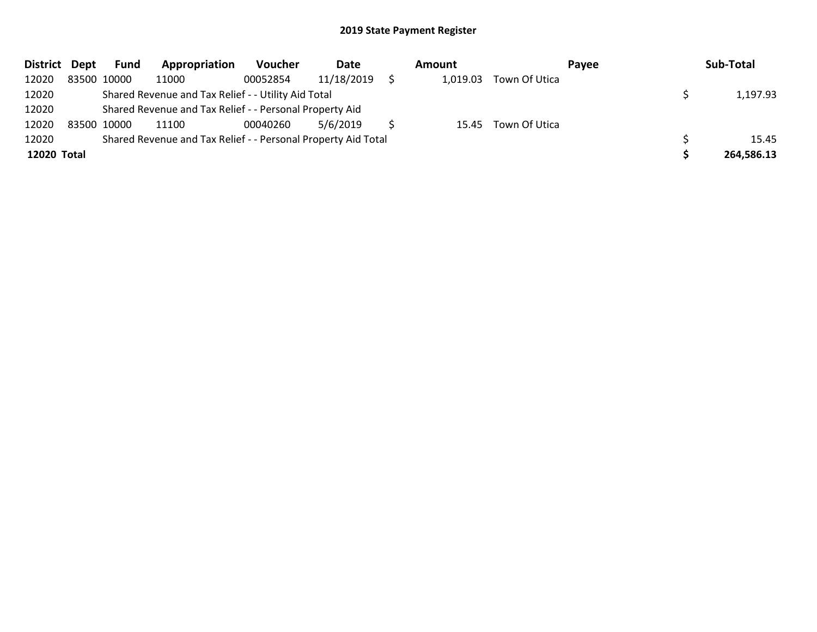| District Dept |             | <b>Fund</b> | Appropriation                                                 | Voucher  | Date       | Amount   |                     | Payee | Sub-Total  |
|---------------|-------------|-------------|---------------------------------------------------------------|----------|------------|----------|---------------------|-------|------------|
| 12020         |             | 83500 10000 | 11000                                                         | 00052854 | 11/18/2019 | 1,019.03 | Town Of Utica       |       |            |
| 12020         |             |             | Shared Revenue and Tax Relief - - Utility Aid Total           |          |            |          |                     |       | 1,197.93   |
| 12020         |             |             | Shared Revenue and Tax Relief - - Personal Property Aid       |          |            |          |                     |       |            |
| 12020         | 83500 10000 |             | 11100                                                         | 00040260 | 5/6/2019   |          | 15.45 Town Of Utica |       |            |
| 12020         |             |             | Shared Revenue and Tax Relief - - Personal Property Aid Total |          |            |          |                     |       | 15.45      |
| 12020 Total   |             |             |                                                               |          |            |          |                     |       | 264,586.13 |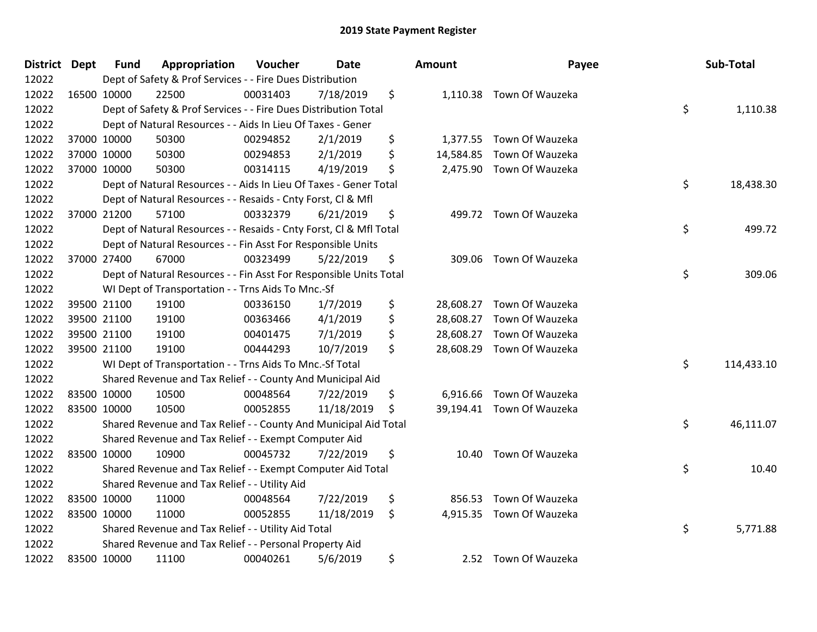| District | <b>Dept</b> | <b>Fund</b> | Appropriation                                                      | Voucher  | <b>Date</b> | <b>Amount</b>   | Payee                     | Sub-Total        |
|----------|-------------|-------------|--------------------------------------------------------------------|----------|-------------|-----------------|---------------------------|------------------|
| 12022    |             |             | Dept of Safety & Prof Services - - Fire Dues Distribution          |          |             |                 |                           |                  |
| 12022    |             | 16500 10000 | 22500                                                              | 00031403 | 7/18/2019   | \$              | 1,110.38 Town Of Wauzeka  |                  |
| 12022    |             |             | Dept of Safety & Prof Services - - Fire Dues Distribution Total    |          |             |                 |                           | \$<br>1,110.38   |
| 12022    |             |             | Dept of Natural Resources - - Aids In Lieu Of Taxes - Gener        |          |             |                 |                           |                  |
| 12022    |             | 37000 10000 | 50300                                                              | 00294852 | 2/1/2019    | \$<br>1,377.55  | Town Of Wauzeka           |                  |
| 12022    |             | 37000 10000 | 50300                                                              | 00294853 | 2/1/2019    | \$<br>14,584.85 | Town Of Wauzeka           |                  |
| 12022    |             | 37000 10000 | 50300                                                              | 00314115 | 4/19/2019   | \$<br>2,475.90  | Town Of Wauzeka           |                  |
| 12022    |             |             | Dept of Natural Resources - - Aids In Lieu Of Taxes - Gener Total  |          |             |                 |                           | \$<br>18,438.30  |
| 12022    |             |             | Dept of Natural Resources - - Resaids - Cnty Forst, Cl & Mfl       |          |             |                 |                           |                  |
| 12022    |             | 37000 21200 | 57100                                                              | 00332379 | 6/21/2019   | \$<br>499.72    | Town Of Wauzeka           |                  |
| 12022    |             |             | Dept of Natural Resources - - Resaids - Cnty Forst, Cl & Mfl Total |          |             |                 |                           | \$<br>499.72     |
| 12022    |             |             | Dept of Natural Resources - - Fin Asst For Responsible Units       |          |             |                 |                           |                  |
| 12022    |             | 37000 27400 | 67000                                                              | 00323499 | 5/22/2019   | \$<br>309.06    | Town Of Wauzeka           |                  |
| 12022    |             |             | Dept of Natural Resources - - Fin Asst For Responsible Units Total |          |             |                 |                           | \$<br>309.06     |
| 12022    |             |             | WI Dept of Transportation - - Trns Aids To Mnc.-Sf                 |          |             |                 |                           |                  |
| 12022    |             | 39500 21100 | 19100                                                              | 00336150 | 1/7/2019    | \$<br>28,608.27 | Town Of Wauzeka           |                  |
| 12022    |             | 39500 21100 | 19100                                                              | 00363466 | 4/1/2019    | \$<br>28,608.27 | Town Of Wauzeka           |                  |
| 12022    |             | 39500 21100 | 19100                                                              | 00401475 | 7/1/2019    | \$<br>28,608.27 | Town Of Wauzeka           |                  |
| 12022    |             | 39500 21100 | 19100                                                              | 00444293 | 10/7/2019   | \$              | 28,608.29 Town Of Wauzeka |                  |
| 12022    |             |             | WI Dept of Transportation - - Trns Aids To Mnc.-Sf Total           |          |             |                 |                           | \$<br>114,433.10 |
| 12022    |             |             | Shared Revenue and Tax Relief - - County And Municipal Aid         |          |             |                 |                           |                  |
| 12022    | 83500 10000 |             | 10500                                                              | 00048564 | 7/22/2019   | \$<br>6,916.66  | Town Of Wauzeka           |                  |
| 12022    | 83500 10000 |             | 10500                                                              | 00052855 | 11/18/2019  | \$              | 39,194.41 Town Of Wauzeka |                  |
| 12022    |             |             | Shared Revenue and Tax Relief - - County And Municipal Aid Total   |          |             |                 |                           | \$<br>46,111.07  |
| 12022    |             |             | Shared Revenue and Tax Relief - - Exempt Computer Aid              |          |             |                 |                           |                  |
| 12022    | 83500 10000 |             | 10900                                                              | 00045732 | 7/22/2019   | \$<br>10.40     | Town Of Wauzeka           |                  |
| 12022    |             |             | Shared Revenue and Tax Relief - - Exempt Computer Aid Total        |          |             |                 |                           | \$<br>10.40      |
| 12022    |             |             | Shared Revenue and Tax Relief - - Utility Aid                      |          |             |                 |                           |                  |
| 12022    | 83500 10000 |             | 11000                                                              | 00048564 | 7/22/2019   | \$<br>856.53    | Town Of Wauzeka           |                  |
| 12022    | 83500 10000 |             | 11000                                                              | 00052855 | 11/18/2019  | \$              | 4,915.35 Town Of Wauzeka  |                  |
| 12022    |             |             | Shared Revenue and Tax Relief - - Utility Aid Total                |          |             |                 |                           | \$<br>5,771.88   |
| 12022    |             |             | Shared Revenue and Tax Relief - - Personal Property Aid            |          |             |                 |                           |                  |
| 12022    | 83500 10000 |             | 11100                                                              | 00040261 | 5/6/2019    | \$              | 2.52 Town Of Wauzeka      |                  |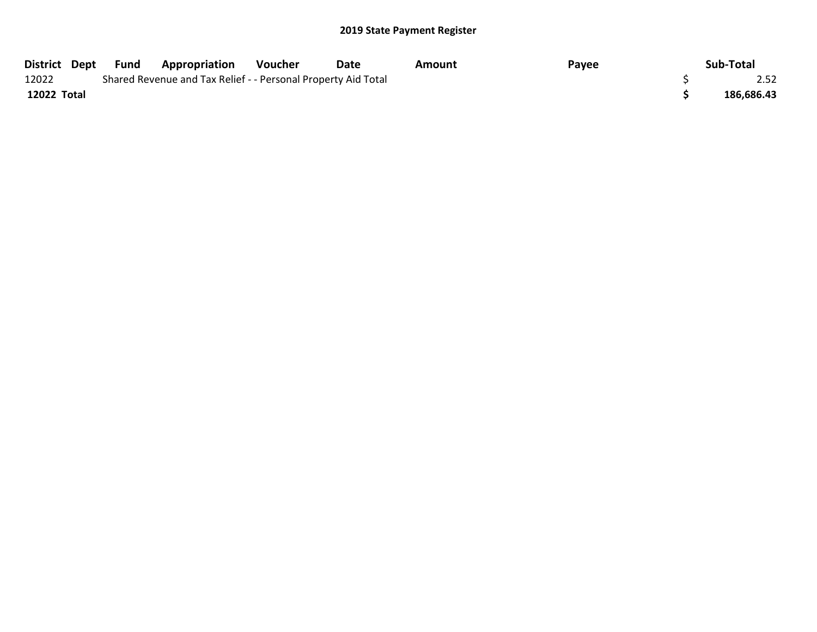|             | District Dept Fund | <b>Appropriation</b>                                          | Voucher | Date | Amount | Payee | Sub-Total  |
|-------------|--------------------|---------------------------------------------------------------|---------|------|--------|-------|------------|
| 12022       |                    | Shared Revenue and Tax Relief - - Personal Property Aid Total |         |      |        |       | 2.52       |
| 12022 Total |                    |                                                               |         |      |        |       | 186,686.43 |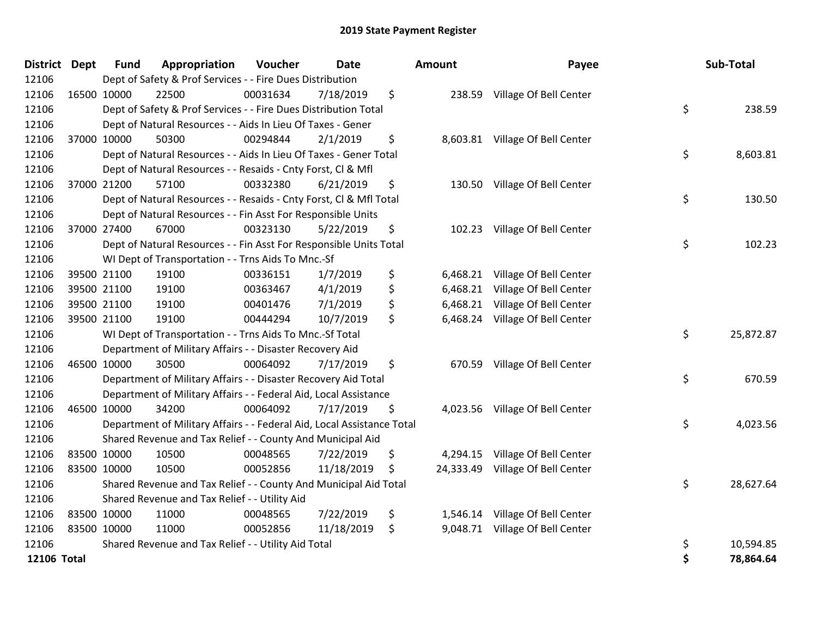| District Dept | <b>Fund</b> | Appropriation                                                          | Voucher  | <b>Date</b> | Amount          | Payee                           |    | Sub-Total |
|---------------|-------------|------------------------------------------------------------------------|----------|-------------|-----------------|---------------------------------|----|-----------|
| 12106         |             | Dept of Safety & Prof Services - - Fire Dues Distribution              |          |             |                 |                                 |    |           |
| 12106         | 16500 10000 | 22500                                                                  | 00031634 | 7/18/2019   | \$              | 238.59 Village Of Bell Center   |    |           |
| 12106         |             | Dept of Safety & Prof Services - - Fire Dues Distribution Total        |          |             |                 |                                 | \$ | 238.59    |
| 12106         |             | Dept of Natural Resources - - Aids In Lieu Of Taxes - Gener            |          |             |                 |                                 |    |           |
| 12106         | 37000 10000 | 50300                                                                  | 00294844 | 2/1/2019    | \$              | 8,603.81 Village Of Bell Center |    |           |
| 12106         |             | Dept of Natural Resources - - Aids In Lieu Of Taxes - Gener Total      |          |             |                 |                                 | \$ | 8,603.81  |
| 12106         |             | Dept of Natural Resources - - Resaids - Cnty Forst, CI & Mfl           |          |             |                 |                                 |    |           |
| 12106         | 37000 21200 | 57100                                                                  | 00332380 | 6/21/2019   | \$<br>130.50    | Village Of Bell Center          |    |           |
| 12106         |             | Dept of Natural Resources - - Resaids - Cnty Forst, Cl & Mfl Total     |          |             |                 |                                 | \$ | 130.50    |
| 12106         |             | Dept of Natural Resources - - Fin Asst For Responsible Units           |          |             |                 |                                 |    |           |
| 12106         | 37000 27400 | 67000                                                                  | 00323130 | 5/22/2019   | \$              | 102.23 Village Of Bell Center   |    |           |
| 12106         |             | Dept of Natural Resources - - Fin Asst For Responsible Units Total     |          |             |                 |                                 | \$ | 102.23    |
| 12106         |             | WI Dept of Transportation - - Trns Aids To Mnc.-Sf                     |          |             |                 |                                 |    |           |
| 12106         | 39500 21100 | 19100                                                                  | 00336151 | 1/7/2019    | \$<br>6,468.21  | Village Of Bell Center          |    |           |
| 12106         | 39500 21100 | 19100                                                                  | 00363467 | 4/1/2019    | \$<br>6,468.21  | Village Of Bell Center          |    |           |
| 12106         | 39500 21100 | 19100                                                                  | 00401476 | 7/1/2019    | \$              | 6,468.21 Village Of Bell Center |    |           |
| 12106         | 39500 21100 | 19100                                                                  | 00444294 | 10/7/2019   | \$              | 6,468.24 Village Of Bell Center |    |           |
| 12106         |             | WI Dept of Transportation - - Trns Aids To Mnc.-Sf Total               |          |             |                 |                                 | \$ | 25,872.87 |
| 12106         |             | Department of Military Affairs - - Disaster Recovery Aid               |          |             |                 |                                 |    |           |
| 12106         | 46500 10000 | 30500                                                                  | 00064092 | 7/17/2019   | \$              | 670.59 Village Of Bell Center   |    |           |
| 12106         |             | Department of Military Affairs - - Disaster Recovery Aid Total         |          |             |                 |                                 | \$ | 670.59    |
| 12106         |             | Department of Military Affairs - - Federal Aid, Local Assistance       |          |             |                 |                                 |    |           |
| 12106         | 46500 10000 | 34200                                                                  | 00064092 | 7/17/2019   | \$<br>4,023.56  | Village Of Bell Center          |    |           |
| 12106         |             | Department of Military Affairs - - Federal Aid, Local Assistance Total |          |             |                 |                                 | \$ | 4,023.56  |
| 12106         |             | Shared Revenue and Tax Relief - - County And Municipal Aid             |          |             |                 |                                 |    |           |
| 12106         | 83500 10000 | 10500                                                                  | 00048565 | 7/22/2019   | \$              | 4,294.15 Village Of Bell Center |    |           |
| 12106         | 83500 10000 | 10500                                                                  | 00052856 | 11/18/2019  | \$<br>24,333.49 | Village Of Bell Center          |    |           |
| 12106         |             | Shared Revenue and Tax Relief - - County And Municipal Aid Total       |          |             |                 |                                 | \$ | 28,627.64 |
| 12106         |             | Shared Revenue and Tax Relief - - Utility Aid                          |          |             |                 |                                 |    |           |
| 12106         | 83500 10000 | 11000                                                                  | 00048565 | 7/22/2019   | \$              | 1,546.14 Village Of Bell Center |    |           |
| 12106         | 83500 10000 | 11000                                                                  | 00052856 | 11/18/2019  | \$<br>9,048.71  | Village Of Bell Center          |    |           |
| 12106         |             | Shared Revenue and Tax Relief - - Utility Aid Total                    |          |             |                 |                                 | \$ | 10,594.85 |
| 12106 $Total$ |             |                                                                        |          |             |                 |                                 | Ś  | 78 864 64 |

| District Dept      |             | <b>Fund</b> | Appropriation                                                          | Voucher  | <b>Date</b> | <b>Amount</b>  | Payee                            | Sub-Total       |
|--------------------|-------------|-------------|------------------------------------------------------------------------|----------|-------------|----------------|----------------------------------|-----------------|
| 12106              |             |             | Dept of Safety & Prof Services - - Fire Dues Distribution              |          |             |                |                                  |                 |
| 12106              | 16500 10000 |             | 22500                                                                  | 00031634 | 7/18/2019   | \$             | 238.59 Village Of Bell Center    |                 |
| 12106              |             |             | Dept of Safety & Prof Services - - Fire Dues Distribution Total        |          |             |                |                                  | \$<br>238.59    |
| 12106              |             |             | Dept of Natural Resources - - Aids In Lieu Of Taxes - Gener            |          |             |                |                                  |                 |
| 12106              | 37000 10000 |             | 50300                                                                  | 00294844 | 2/1/2019    | \$             | 8,603.81 Village Of Bell Center  |                 |
| 12106              |             |             | Dept of Natural Resources - - Aids In Lieu Of Taxes - Gener Total      |          |             |                |                                  | \$<br>8,603.81  |
| 12106              |             |             | Dept of Natural Resources - - Resaids - Cnty Forst, Cl & Mfl           |          |             |                |                                  |                 |
| 12106              | 37000 21200 |             | 57100                                                                  | 00332380 | 6/21/2019   | \$             | 130.50 Village Of Bell Center    |                 |
| 12106              |             |             | Dept of Natural Resources - - Resaids - Cnty Forst, Cl & Mfl Total     |          |             |                |                                  | \$<br>130.50    |
| 12106              |             |             | Dept of Natural Resources - - Fin Asst For Responsible Units           |          |             |                |                                  |                 |
| 12106              | 37000 27400 |             | 67000                                                                  | 00323130 | 5/22/2019   | \$             | 102.23 Village Of Bell Center    |                 |
| 12106              |             |             | Dept of Natural Resources - - Fin Asst For Responsible Units Total     |          |             |                |                                  | \$<br>102.23    |
| 12106              |             |             | WI Dept of Transportation - - Trns Aids To Mnc.-Sf                     |          |             |                |                                  |                 |
| 12106              | 39500 21100 |             | 19100                                                                  | 00336151 | 1/7/2019    | \$             | 6,468.21 Village Of Bell Center  |                 |
| 12106              | 39500 21100 |             | 19100                                                                  | 00363467 | 4/1/2019    | \$             | 6,468.21 Village Of Bell Center  |                 |
| 12106              | 39500 21100 |             | 19100                                                                  | 00401476 | 7/1/2019    | \$<br>6,468.21 | Village Of Bell Center           |                 |
| 12106              | 39500 21100 |             | 19100                                                                  | 00444294 | 10/7/2019   | \$             | 6,468.24 Village Of Bell Center  |                 |
| 12106              |             |             | WI Dept of Transportation - - Trns Aids To Mnc.-Sf Total               |          |             |                |                                  | \$<br>25,872.87 |
| 12106              |             |             | Department of Military Affairs - - Disaster Recovery Aid               |          |             |                |                                  |                 |
| 12106              | 46500 10000 |             | 30500                                                                  | 00064092 | 7/17/2019   | \$             | 670.59 Village Of Bell Center    |                 |
| 12106              |             |             | Department of Military Affairs - - Disaster Recovery Aid Total         |          |             |                |                                  | \$<br>670.59    |
| 12106              |             |             | Department of Military Affairs - - Federal Aid, Local Assistance       |          |             |                |                                  |                 |
| 12106              | 46500 10000 |             | 34200                                                                  | 00064092 | 7/17/2019   | \$             | 4,023.56 Village Of Bell Center  |                 |
| 12106              |             |             | Department of Military Affairs - - Federal Aid, Local Assistance Total |          |             |                |                                  | \$<br>4,023.56  |
| 12106              |             |             | Shared Revenue and Tax Relief - - County And Municipal Aid             |          |             |                |                                  |                 |
| 12106              | 83500 10000 |             | 10500                                                                  | 00048565 | 7/22/2019   | \$             | 4,294.15 Village Of Bell Center  |                 |
| 12106              | 83500 10000 |             | 10500                                                                  | 00052856 | 11/18/2019  | \$             | 24,333.49 Village Of Bell Center |                 |
| 12106              |             |             | Shared Revenue and Tax Relief - - County And Municipal Aid Total       |          |             |                |                                  | \$<br>28,627.64 |
| 12106              |             |             | Shared Revenue and Tax Relief - - Utility Aid                          |          |             |                |                                  |                 |
| 12106              | 83500 10000 |             | 11000                                                                  | 00048565 | 7/22/2019   | \$             | 1,546.14 Village Of Bell Center  |                 |
| 12106              | 83500 10000 |             | 11000                                                                  | 00052856 | 11/18/2019  | \$             | 9,048.71 Village Of Bell Center  |                 |
| 12106              |             |             | Shared Revenue and Tax Relief - - Utility Aid Total                    |          |             |                |                                  | \$<br>10,594.85 |
| <b>12106 Total</b> |             |             |                                                                        |          |             |                |                                  | \$<br>78,864.64 |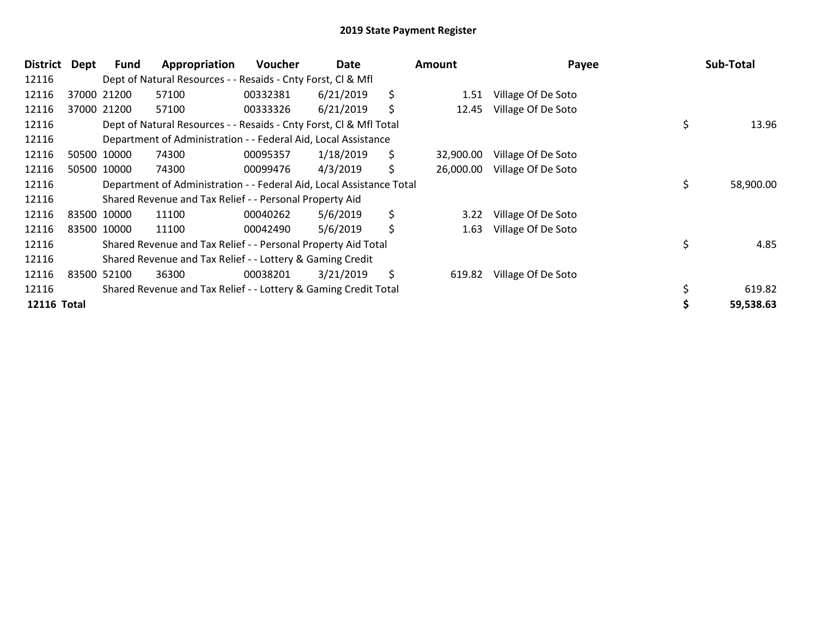| <b>District</b>    | <b>Dept</b> | <b>Fund</b> | Appropriation                                                        | <b>Voucher</b> | Date      | Amount          | Payee              | Sub-Total       |
|--------------------|-------------|-------------|----------------------------------------------------------------------|----------------|-----------|-----------------|--------------------|-----------------|
| 12116              |             |             | Dept of Natural Resources - - Resaids - Cnty Forst, CI & Mfl         |                |           |                 |                    |                 |
| 12116              |             | 37000 21200 | 57100                                                                | 00332381       | 6/21/2019 | \$<br>1.51      | Village Of De Soto |                 |
| 12116              |             | 37000 21200 | 57100                                                                | 00333326       | 6/21/2019 | \$<br>12.45     | Village Of De Soto |                 |
| 12116              |             |             | Dept of Natural Resources - - Resaids - Cnty Forst, Cl & Mfl Total   |                |           |                 |                    | \$<br>13.96     |
| 12116              |             |             | Department of Administration - - Federal Aid, Local Assistance       |                |           |                 |                    |                 |
| 12116              |             | 50500 10000 | 74300                                                                | 00095357       | 1/18/2019 | \$<br>32,900.00 | Village Of De Soto |                 |
| 12116              |             | 50500 10000 | 74300                                                                | 00099476       | 4/3/2019  | \$<br>26,000.00 | Village Of De Soto |                 |
| 12116              |             |             | Department of Administration - - Federal Aid, Local Assistance Total |                |           |                 |                    | \$<br>58,900.00 |
| 12116              |             |             | Shared Revenue and Tax Relief - - Personal Property Aid              |                |           |                 |                    |                 |
| 12116              |             | 83500 10000 | 11100                                                                | 00040262       | 5/6/2019  | \$<br>3.22      | Village Of De Soto |                 |
| 12116              |             | 83500 10000 | 11100                                                                | 00042490       | 5/6/2019  | \$<br>1.63      | Village Of De Soto |                 |
| 12116              |             |             | Shared Revenue and Tax Relief - - Personal Property Aid Total        |                |           |                 |                    | \$<br>4.85      |
| 12116              |             |             | Shared Revenue and Tax Relief - - Lottery & Gaming Credit            |                |           |                 |                    |                 |
| 12116              |             | 83500 52100 | 36300                                                                | 00038201       | 3/21/2019 | \$<br>619.82    | Village Of De Soto |                 |
| 12116              |             |             | Shared Revenue and Tax Relief - - Lottery & Gaming Credit Total      |                |           |                 |                    | 619.82          |
| <b>12116 Total</b> |             |             |                                                                      |                |           |                 |                    | 59,538.63       |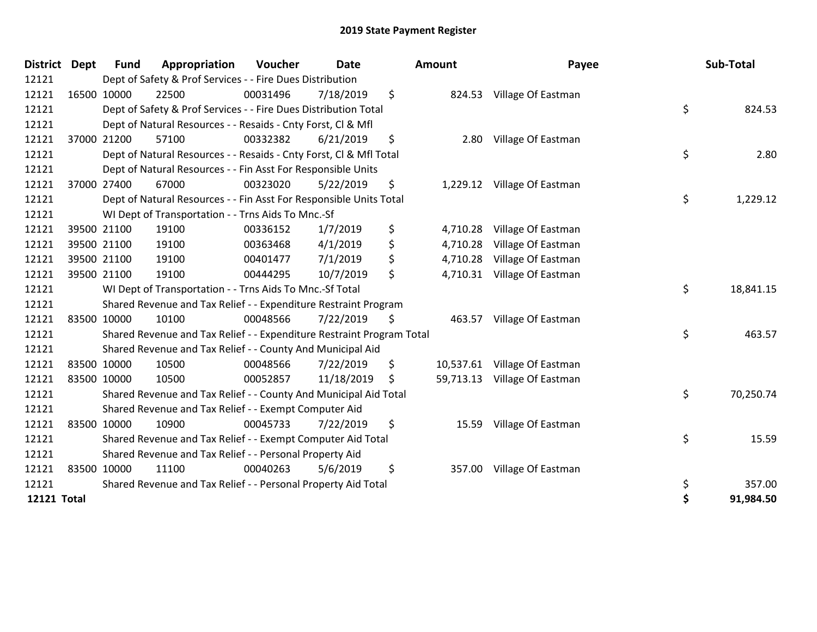| <b>District Dept</b> | <b>Fund</b> | Appropriation                                                         | Voucher  | <b>Date</b> |    | Amount   | Payee                        | Sub-Total       |
|----------------------|-------------|-----------------------------------------------------------------------|----------|-------------|----|----------|------------------------------|-----------------|
| 12121                |             | Dept of Safety & Prof Services - - Fire Dues Distribution             |          |             |    |          |                              |                 |
| 12121                | 16500 10000 | 22500                                                                 | 00031496 | 7/18/2019   | \$ | 824.53   | Village Of Eastman           |                 |
| 12121                |             | Dept of Safety & Prof Services - - Fire Dues Distribution Total       |          |             |    |          |                              | \$<br>824.53    |
| 12121                |             | Dept of Natural Resources - - Resaids - Cnty Forst, CI & Mfl          |          |             |    |          |                              |                 |
| 12121                | 37000 21200 | 57100                                                                 | 00332382 | 6/21/2019   | \$ | 2.80     | Village Of Eastman           |                 |
| 12121                |             | Dept of Natural Resources - - Resaids - Cnty Forst, Cl & Mfl Total    |          |             |    |          |                              | \$<br>2.80      |
| 12121                |             | Dept of Natural Resources - - Fin Asst For Responsible Units          |          |             |    |          |                              |                 |
| 12121                | 37000 27400 | 67000                                                                 | 00323020 | 5/22/2019   | \$ |          | 1,229.12 Village Of Eastman  |                 |
| 12121                |             | Dept of Natural Resources - - Fin Asst For Responsible Units Total    |          |             |    |          |                              | \$<br>1,229.12  |
| 12121                |             | WI Dept of Transportation - - Trns Aids To Mnc.-Sf                    |          |             |    |          |                              |                 |
| 12121                | 39500 21100 | 19100                                                                 | 00336152 | 1/7/2019    | \$ | 4,710.28 | Village Of Eastman           |                 |
| 12121                | 39500 21100 | 19100                                                                 | 00363468 | 4/1/2019    | \$ | 4,710.28 | Village Of Eastman           |                 |
| 12121                | 39500 21100 | 19100                                                                 | 00401477 | 7/1/2019    | \$ | 4,710.28 | Village Of Eastman           |                 |
| 12121                | 39500 21100 | 19100                                                                 | 00444295 | 10/7/2019   | \$ | 4,710.31 | Village Of Eastman           |                 |
| 12121                |             | WI Dept of Transportation - - Trns Aids To Mnc.-Sf Total              |          |             |    |          |                              | \$<br>18,841.15 |
| 12121                |             | Shared Revenue and Tax Relief - - Expenditure Restraint Program       |          |             |    |          |                              |                 |
| 12121                | 83500 10000 | 10100                                                                 | 00048566 | 7/22/2019   | \$ |          | 463.57 Village Of Eastman    |                 |
| 12121                |             | Shared Revenue and Tax Relief - - Expenditure Restraint Program Total |          |             |    |          |                              | \$<br>463.57    |
| 12121                |             | Shared Revenue and Tax Relief - - County And Municipal Aid            |          |             |    |          |                              |                 |
| 12121                | 83500 10000 | 10500                                                                 | 00048566 | 7/22/2019   | \$ |          | 10,537.61 Village Of Eastman |                 |
| 12121                | 83500 10000 | 10500                                                                 | 00052857 | 11/18/2019  | S  |          | 59,713.13 Village Of Eastman |                 |
| 12121                |             | Shared Revenue and Tax Relief - - County And Municipal Aid Total      |          |             |    |          |                              | \$<br>70,250.74 |
| 12121                |             | Shared Revenue and Tax Relief - - Exempt Computer Aid                 |          |             |    |          |                              |                 |
| 12121                | 83500 10000 | 10900                                                                 | 00045733 | 7/22/2019   | \$ | 15.59    | Village Of Eastman           |                 |
| 12121                |             | Shared Revenue and Tax Relief - - Exempt Computer Aid Total           |          |             |    |          |                              | \$<br>15.59     |
| 12121                |             | Shared Revenue and Tax Relief - - Personal Property Aid               |          |             |    |          |                              |                 |
| 12121                | 83500 10000 | 11100                                                                 | 00040263 | 5/6/2019    | \$ | 357.00   | Village Of Eastman           |                 |
| 12121                |             | Shared Revenue and Tax Relief - - Personal Property Aid Total         |          |             |    |          |                              | \$<br>357.00    |
| 12121 Total          |             |                                                                       |          |             |    |          |                              | \$<br>91,984.50 |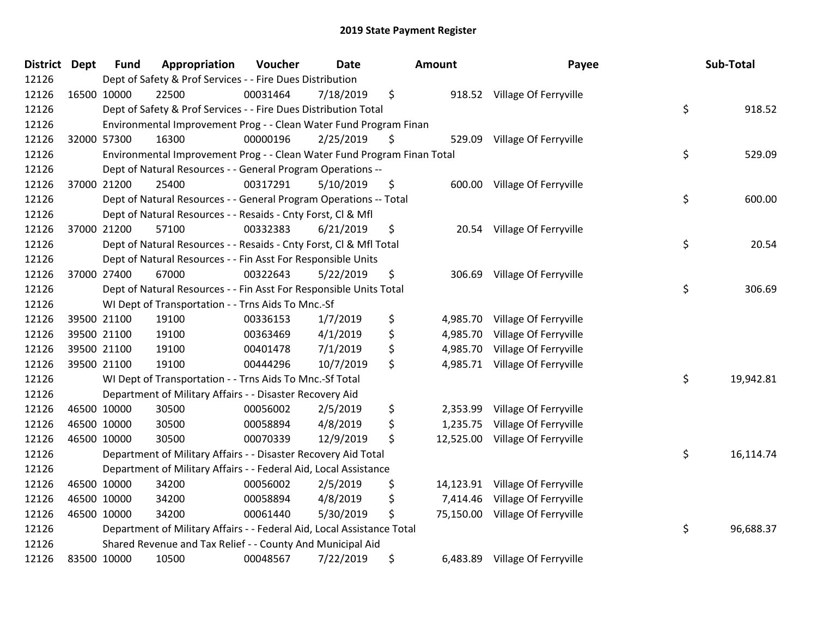| <b>District</b> | <b>Dept</b> | <b>Fund</b> | Appropriation                                                           | Voucher  | <b>Date</b> |    | <b>Amount</b> | Payee                           |    | Sub-Total |
|-----------------|-------------|-------------|-------------------------------------------------------------------------|----------|-------------|----|---------------|---------------------------------|----|-----------|
| 12126           |             |             | Dept of Safety & Prof Services - - Fire Dues Distribution               |          |             |    |               |                                 |    |           |
| 12126           |             | 16500 10000 | 22500                                                                   | 00031464 | 7/18/2019   | \$ |               | 918.52 Village Of Ferryville    |    |           |
| 12126           |             |             | Dept of Safety & Prof Services - - Fire Dues Distribution Total         |          |             |    |               |                                 | \$ | 918.52    |
| 12126           |             |             | Environmental Improvement Prog - - Clean Water Fund Program Finan       |          |             |    |               |                                 |    |           |
| 12126           |             | 32000 57300 | 16300                                                                   | 00000196 | 2/25/2019   | \$ | 529.09        | Village Of Ferryville           |    |           |
| 12126           |             |             | Environmental Improvement Prog - - Clean Water Fund Program Finan Total |          |             |    |               |                                 | \$ | 529.09    |
| 12126           |             |             | Dept of Natural Resources - - General Program Operations --             |          |             |    |               |                                 |    |           |
| 12126           |             | 37000 21200 | 25400                                                                   | 00317291 | 5/10/2019   | \$ | 600.00        | Village Of Ferryville           |    |           |
| 12126           |             |             | Dept of Natural Resources - - General Program Operations -- Total       |          |             |    |               |                                 | \$ | 600.00    |
| 12126           |             |             | Dept of Natural Resources - - Resaids - Cnty Forst, Cl & Mfl            |          |             |    |               |                                 |    |           |
| 12126           |             | 37000 21200 | 57100                                                                   | 00332383 | 6/21/2019   | \$ | 20.54         | Village Of Ferryville           |    |           |
| 12126           |             |             | Dept of Natural Resources - - Resaids - Cnty Forst, Cl & Mfl Total      |          |             |    |               |                                 | \$ | 20.54     |
| 12126           |             |             | Dept of Natural Resources - - Fin Asst For Responsible Units            |          |             |    |               |                                 |    |           |
| 12126           |             | 37000 27400 | 67000                                                                   | 00322643 | 5/22/2019   | \$ | 306.69        | Village Of Ferryville           |    |           |
| 12126           |             |             | Dept of Natural Resources - - Fin Asst For Responsible Units Total      |          |             |    |               |                                 | \$ | 306.69    |
| 12126           |             |             | WI Dept of Transportation - - Trns Aids To Mnc.-Sf                      |          |             |    |               |                                 |    |           |
| 12126           |             | 39500 21100 | 19100                                                                   | 00336153 | 1/7/2019    | \$ | 4,985.70      | Village Of Ferryville           |    |           |
| 12126           |             | 39500 21100 | 19100                                                                   | 00363469 | 4/1/2019    | \$ | 4,985.70      | Village Of Ferryville           |    |           |
| 12126           |             | 39500 21100 | 19100                                                                   | 00401478 | 7/1/2019    | \$ | 4,985.70      | Village Of Ferryville           |    |           |
| 12126           |             | 39500 21100 | 19100                                                                   | 00444296 | 10/7/2019   | \$ | 4,985.71      | Village Of Ferryville           |    |           |
| 12126           |             |             | WI Dept of Transportation - - Trns Aids To Mnc.-Sf Total                |          |             |    |               |                                 | \$ | 19,942.81 |
| 12126           |             |             | Department of Military Affairs - - Disaster Recovery Aid                |          |             |    |               |                                 |    |           |
| 12126           |             | 46500 10000 | 30500                                                                   | 00056002 | 2/5/2019    | \$ | 2,353.99      | Village Of Ferryville           |    |           |
| 12126           |             | 46500 10000 | 30500                                                                   | 00058894 | 4/8/2019    | \$ | 1,235.75      | Village Of Ferryville           |    |           |
| 12126           |             | 46500 10000 | 30500                                                                   | 00070339 | 12/9/2019   | \$ | 12,525.00     | Village Of Ferryville           |    |           |
| 12126           |             |             | Department of Military Affairs - - Disaster Recovery Aid Total          |          |             |    |               |                                 | \$ | 16,114.74 |
| 12126           |             |             | Department of Military Affairs - - Federal Aid, Local Assistance        |          |             |    |               |                                 |    |           |
| 12126           |             | 46500 10000 | 34200                                                                   | 00056002 | 2/5/2019    | \$ |               | 14,123.91 Village Of Ferryville |    |           |
| 12126           |             | 46500 10000 | 34200                                                                   | 00058894 | 4/8/2019    | \$ | 7,414.46      | Village Of Ferryville           |    |           |
| 12126           |             | 46500 10000 | 34200                                                                   | 00061440 | 5/30/2019   | \$ | 75,150.00     | Village Of Ferryville           |    |           |
| 12126           |             |             | Department of Military Affairs - - Federal Aid, Local Assistance Total  |          |             |    |               |                                 | \$ | 96,688.37 |
| 12126           |             |             | Shared Revenue and Tax Relief - - County And Municipal Aid              |          |             |    |               |                                 |    |           |
| 12126           |             | 83500 10000 | 10500                                                                   | 00048567 | 7/22/2019   | \$ | 6,483.89      | Village Of Ferryville           |    |           |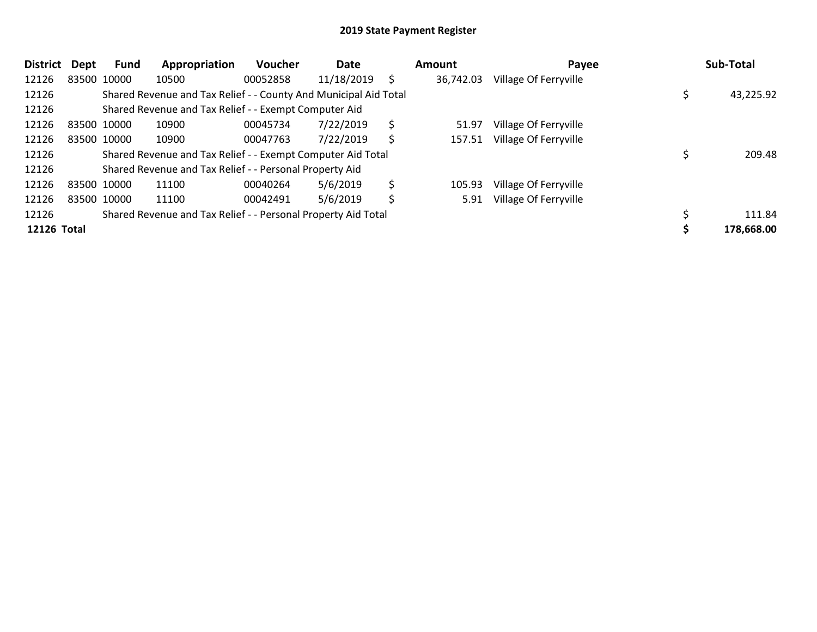| <b>District</b> | <b>Dept</b> | Fund        | Appropriation                                                    | Voucher  | Date       |    | <b>Amount</b> | Payee                 | Sub-Total  |
|-----------------|-------------|-------------|------------------------------------------------------------------|----------|------------|----|---------------|-----------------------|------------|
| 12126           |             | 83500 10000 | 10500                                                            | 00052858 | 11/18/2019 | S  | 36,742.03     | Village Of Ferryville |            |
| 12126           |             |             | Shared Revenue and Tax Relief - - County And Municipal Aid Total |          |            |    |               |                       | 43,225.92  |
| 12126           |             |             | Shared Revenue and Tax Relief - - Exempt Computer Aid            |          |            |    |               |                       |            |
| 12126           |             | 83500 10000 | 10900                                                            | 00045734 | 7/22/2019  | \$ | 51.97         | Village Of Ferryville |            |
| 12126           |             | 83500 10000 | 10900                                                            | 00047763 | 7/22/2019  | \$ | 157.51        | Village Of Ferryville |            |
| 12126           |             |             | Shared Revenue and Tax Relief - - Exempt Computer Aid Total      |          |            |    |               |                       | 209.48     |
| 12126           |             |             | Shared Revenue and Tax Relief - - Personal Property Aid          |          |            |    |               |                       |            |
| 12126           |             | 83500 10000 | 11100                                                            | 00040264 | 5/6/2019   | \$ | 105.93        | Village Of Ferryville |            |
| 12126           |             | 83500 10000 | 11100                                                            | 00042491 | 5/6/2019   | \$ | 5.91          | Village Of Ferryville |            |
| 12126           |             |             | Shared Revenue and Tax Relief - - Personal Property Aid Total    |          |            |    |               |                       | 111.84     |
| 12126 Total     |             |             |                                                                  |          |            |    |               |                       | 178,668.00 |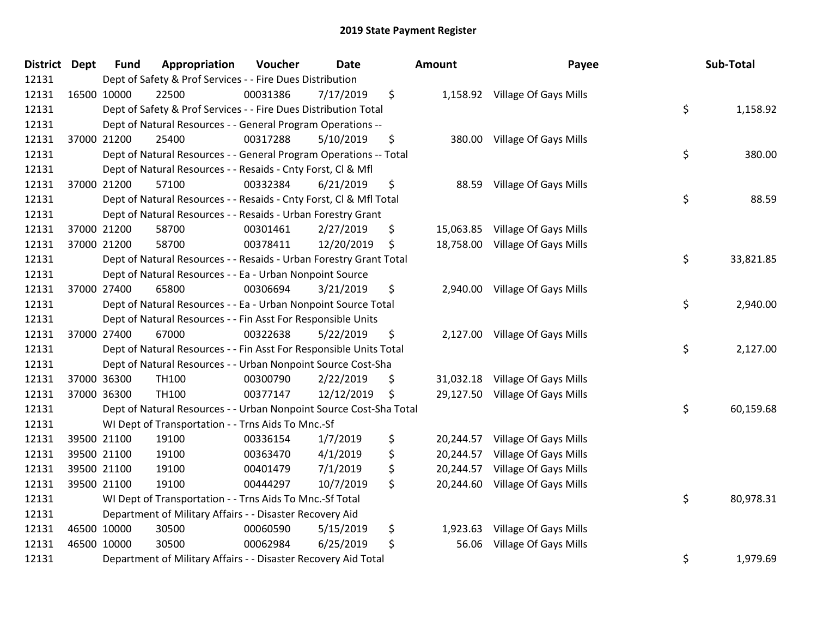| <b>District Dept</b> | <b>Fund</b> | Appropriation                                                      | Voucher  | <b>Date</b> | <b>Amount</b>   | Payee                           | Sub-Total       |
|----------------------|-------------|--------------------------------------------------------------------|----------|-------------|-----------------|---------------------------------|-----------------|
| 12131                |             | Dept of Safety & Prof Services - - Fire Dues Distribution          |          |             |                 |                                 |                 |
| 12131                | 16500 10000 | 22500                                                              | 00031386 | 7/17/2019   | \$              | 1,158.92 Village Of Gays Mills  |                 |
| 12131                |             | Dept of Safety & Prof Services - - Fire Dues Distribution Total    |          |             |                 |                                 | \$<br>1,158.92  |
| 12131                |             | Dept of Natural Resources - - General Program Operations --        |          |             |                 |                                 |                 |
| 12131                | 37000 21200 | 25400                                                              | 00317288 | 5/10/2019   | \$              | 380.00 Village Of Gays Mills    |                 |
| 12131                |             | Dept of Natural Resources - - General Program Operations -- Total  |          |             |                 |                                 | \$<br>380.00    |
| 12131                |             | Dept of Natural Resources - - Resaids - Cnty Forst, Cl & Mfl       |          |             |                 |                                 |                 |
| 12131                | 37000 21200 | 57100                                                              | 00332384 | 6/21/2019   | \$<br>88.59     | Village Of Gays Mills           |                 |
| 12131                |             | Dept of Natural Resources - - Resaids - Cnty Forst, CI & Mfl Total |          |             |                 |                                 | \$<br>88.59     |
| 12131                |             | Dept of Natural Resources - - Resaids - Urban Forestry Grant       |          |             |                 |                                 |                 |
| 12131                | 37000 21200 | 58700                                                              | 00301461 | 2/27/2019   | \$              | 15,063.85 Village Of Gays Mills |                 |
| 12131                | 37000 21200 | 58700                                                              | 00378411 | 12/20/2019  | \$              | 18,758.00 Village Of Gays Mills |                 |
| 12131                |             | Dept of Natural Resources - - Resaids - Urban Forestry Grant Total |          |             |                 |                                 | \$<br>33,821.85 |
| 12131                |             | Dept of Natural Resources - - Ea - Urban Nonpoint Source           |          |             |                 |                                 |                 |
| 12131                | 37000 27400 | 65800                                                              | 00306694 | 3/21/2019   | \$              | 2,940.00 Village Of Gays Mills  |                 |
| 12131                |             | Dept of Natural Resources - - Ea - Urban Nonpoint Source Total     |          |             |                 |                                 | \$<br>2,940.00  |
| 12131                |             | Dept of Natural Resources - - Fin Asst For Responsible Units       |          |             |                 |                                 |                 |
| 12131                | 37000 27400 | 67000                                                              | 00322638 | 5/22/2019   | \$              | 2,127.00 Village Of Gays Mills  |                 |
| 12131                |             | Dept of Natural Resources - - Fin Asst For Responsible Units Total |          |             |                 |                                 | \$<br>2,127.00  |
| 12131                |             | Dept of Natural Resources - - Urban Nonpoint Source Cost-Sha       |          |             |                 |                                 |                 |
| 12131                | 37000 36300 | TH100                                                              | 00300790 | 2/22/2019   | \$              | 31,032.18 Village Of Gays Mills |                 |
| 12131                | 37000 36300 | TH100                                                              | 00377147 | 12/12/2019  | \$              | 29,127.50 Village Of Gays Mills |                 |
| 12131                |             | Dept of Natural Resources - - Urban Nonpoint Source Cost-Sha Total |          |             |                 |                                 | \$<br>60,159.68 |
| 12131                |             | WI Dept of Transportation - - Trns Aids To Mnc.-Sf                 |          |             |                 |                                 |                 |
| 12131                | 39500 21100 | 19100                                                              | 00336154 | 1/7/2019    | \$<br>20,244.57 | Village Of Gays Mills           |                 |
| 12131                | 39500 21100 | 19100                                                              | 00363470 | 4/1/2019    | \$<br>20,244.57 | Village Of Gays Mills           |                 |
| 12131                | 39500 21100 | 19100                                                              | 00401479 | 7/1/2019    | \$<br>20,244.57 | Village Of Gays Mills           |                 |
| 12131                | 39500 21100 | 19100                                                              | 00444297 | 10/7/2019   | \$              | 20,244.60 Village Of Gays Mills |                 |
| 12131                |             | WI Dept of Transportation - - Trns Aids To Mnc.-Sf Total           |          |             |                 |                                 | \$<br>80,978.31 |
| 12131                |             | Department of Military Affairs - - Disaster Recovery Aid           |          |             |                 |                                 |                 |
| 12131                | 46500 10000 | 30500                                                              | 00060590 | 5/15/2019   | \$<br>1,923.63  | Village Of Gays Mills           |                 |
| 12131                | 46500 10000 | 30500                                                              | 00062984 | 6/25/2019   | \$<br>56.06     | <b>Village Of Gays Mills</b>    |                 |
| 12131                |             | Department of Military Affairs - - Disaster Recovery Aid Total     |          |             |                 |                                 | \$<br>1,979.69  |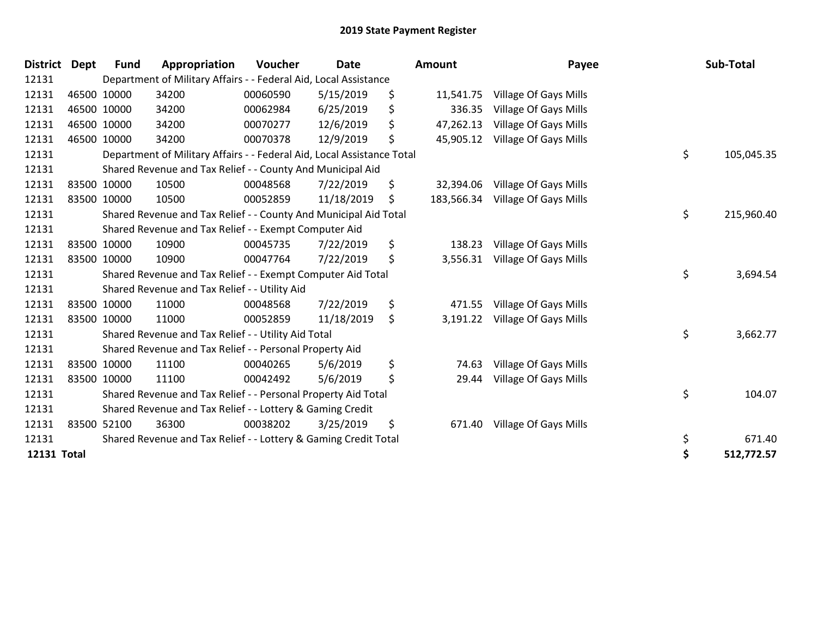| <b>District</b>    | <b>Dept</b> | <b>Fund</b> | Appropriation                                                          | Voucher  | <b>Date</b> | <b>Amount</b>    | Payee                        | Sub-Total        |
|--------------------|-------------|-------------|------------------------------------------------------------------------|----------|-------------|------------------|------------------------------|------------------|
| 12131              |             |             | Department of Military Affairs - - Federal Aid, Local Assistance       |          |             |                  |                              |                  |
| 12131              |             | 46500 10000 | 34200                                                                  | 00060590 | 5/15/2019   | \$<br>11,541.75  | Village Of Gays Mills        |                  |
| 12131              |             | 46500 10000 | 34200                                                                  | 00062984 | 6/25/2019   | \$<br>336.35     | Village Of Gays Mills        |                  |
| 12131              |             | 46500 10000 | 34200                                                                  | 00070277 | 12/6/2019   | \$<br>47,262.13  | Village Of Gays Mills        |                  |
| 12131              |             | 46500 10000 | 34200                                                                  | 00070378 | 12/9/2019   | \$<br>45,905.12  | Village Of Gays Mills        |                  |
| 12131              |             |             | Department of Military Affairs - - Federal Aid, Local Assistance Total |          |             |                  |                              | \$<br>105,045.35 |
| 12131              |             |             | Shared Revenue and Tax Relief - - County And Municipal Aid             |          |             |                  |                              |                  |
| 12131              |             | 83500 10000 | 10500                                                                  | 00048568 | 7/22/2019   | \$<br>32,394.06  | Village Of Gays Mills        |                  |
| 12131              |             | 83500 10000 | 10500                                                                  | 00052859 | 11/18/2019  | \$<br>183,566.34 | Village Of Gays Mills        |                  |
| 12131              |             |             | Shared Revenue and Tax Relief - - County And Municipal Aid Total       |          |             |                  |                              | \$<br>215,960.40 |
| 12131              |             |             | Shared Revenue and Tax Relief - - Exempt Computer Aid                  |          |             |                  |                              |                  |
| 12131              |             | 83500 10000 | 10900                                                                  | 00045735 | 7/22/2019   | \$<br>138.23     | Village Of Gays Mills        |                  |
| 12131              |             | 83500 10000 | 10900                                                                  | 00047764 | 7/22/2019   | \$<br>3,556.31   | <b>Village Of Gays Mills</b> |                  |
| 12131              |             |             | Shared Revenue and Tax Relief - - Exempt Computer Aid Total            |          |             |                  |                              | \$<br>3,694.54   |
| 12131              |             |             | Shared Revenue and Tax Relief - - Utility Aid                          |          |             |                  |                              |                  |
| 12131              |             | 83500 10000 | 11000                                                                  | 00048568 | 7/22/2019   | \$<br>471.55     | <b>Village Of Gays Mills</b> |                  |
| 12131              |             | 83500 10000 | 11000                                                                  | 00052859 | 11/18/2019  | \$<br>3,191.22   | <b>Village Of Gays Mills</b> |                  |
| 12131              |             |             | Shared Revenue and Tax Relief - - Utility Aid Total                    |          |             |                  |                              | \$<br>3,662.77   |
| 12131              |             |             | Shared Revenue and Tax Relief - - Personal Property Aid                |          |             |                  |                              |                  |
| 12131              |             | 83500 10000 | 11100                                                                  | 00040265 | 5/6/2019    | \$<br>74.63      | Village Of Gays Mills        |                  |
| 12131              |             | 83500 10000 | 11100                                                                  | 00042492 | 5/6/2019    | \$<br>29.44      | Village Of Gays Mills        |                  |
| 12131              |             |             | Shared Revenue and Tax Relief - - Personal Property Aid Total          |          |             |                  |                              | \$<br>104.07     |
| 12131              |             |             | Shared Revenue and Tax Relief - - Lottery & Gaming Credit              |          |             |                  |                              |                  |
| 12131              |             | 83500 52100 | 36300                                                                  | 00038202 | 3/25/2019   | \$<br>671.40     | Village Of Gays Mills        |                  |
| 12131              |             |             | Shared Revenue and Tax Relief - - Lottery & Gaming Credit Total        |          |             |                  |                              | \$<br>671.40     |
| <b>12131 Total</b> |             |             |                                                                        |          |             |                  |                              | \$<br>512,772.57 |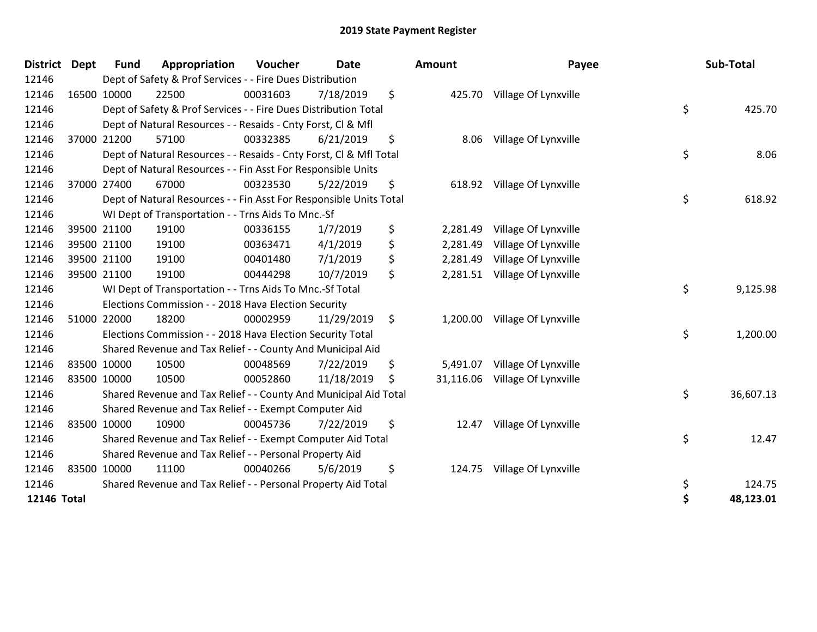| <b>District</b> | <b>Dept</b> | <b>Fund</b> | Appropriation                                                      | Voucher  | <b>Date</b> | Amount          | Payee                | Sub-Total       |
|-----------------|-------------|-------------|--------------------------------------------------------------------|----------|-------------|-----------------|----------------------|-----------------|
| 12146           |             |             | Dept of Safety & Prof Services - - Fire Dues Distribution          |          |             |                 |                      |                 |
| 12146           |             | 16500 10000 | 22500                                                              | 00031603 | 7/18/2019   | \$<br>425.70    | Village Of Lynxville |                 |
| 12146           |             |             | Dept of Safety & Prof Services - - Fire Dues Distribution Total    |          |             |                 |                      | \$<br>425.70    |
| 12146           |             |             | Dept of Natural Resources - - Resaids - Cnty Forst, Cl & Mfl       |          |             |                 |                      |                 |
| 12146           |             | 37000 21200 | 57100                                                              | 00332385 | 6/21/2019   | \$<br>8.06      | Village Of Lynxville |                 |
| 12146           |             |             | Dept of Natural Resources - - Resaids - Cnty Forst, Cl & Mfl Total |          |             |                 |                      | \$<br>8.06      |
| 12146           |             |             | Dept of Natural Resources - - Fin Asst For Responsible Units       |          |             |                 |                      |                 |
| 12146           |             | 37000 27400 | 67000                                                              | 00323530 | 5/22/2019   | \$<br>618.92    | Village Of Lynxville |                 |
| 12146           |             |             | Dept of Natural Resources - - Fin Asst For Responsible Units Total |          |             |                 |                      | \$<br>618.92    |
| 12146           |             |             | WI Dept of Transportation - - Trns Aids To Mnc.-Sf                 |          |             |                 |                      |                 |
| 12146           |             | 39500 21100 | 19100                                                              | 00336155 | 1/7/2019    | \$<br>2,281.49  | Village Of Lynxville |                 |
| 12146           |             | 39500 21100 | 19100                                                              | 00363471 | 4/1/2019    | \$<br>2,281.49  | Village Of Lynxville |                 |
| 12146           |             | 39500 21100 | 19100                                                              | 00401480 | 7/1/2019    | \$<br>2,281.49  | Village Of Lynxville |                 |
| 12146           |             | 39500 21100 | 19100                                                              | 00444298 | 10/7/2019   | \$<br>2,281.51  | Village Of Lynxville |                 |
| 12146           |             |             | WI Dept of Transportation - - Trns Aids To Mnc.-Sf Total           |          |             |                 |                      | \$<br>9,125.98  |
| 12146           |             |             | Elections Commission - - 2018 Hava Election Security               |          |             |                 |                      |                 |
| 12146           |             | 51000 22000 | 18200                                                              | 00002959 | 11/29/2019  | \$<br>1,200.00  | Village Of Lynxville |                 |
| 12146           |             |             | Elections Commission - - 2018 Hava Election Security Total         |          |             |                 |                      | \$<br>1,200.00  |
| 12146           |             |             | Shared Revenue and Tax Relief - - County And Municipal Aid         |          |             |                 |                      |                 |
| 12146           |             | 83500 10000 | 10500                                                              | 00048569 | 7/22/2019   | \$<br>5,491.07  | Village Of Lynxville |                 |
| 12146           |             | 83500 10000 | 10500                                                              | 00052860 | 11/18/2019  | \$<br>31,116.06 | Village Of Lynxville |                 |
| 12146           |             |             | Shared Revenue and Tax Relief - - County And Municipal Aid Total   |          |             |                 |                      | \$<br>36,607.13 |
| 12146           |             |             | Shared Revenue and Tax Relief - - Exempt Computer Aid              |          |             |                 |                      |                 |
| 12146           |             | 83500 10000 | 10900                                                              | 00045736 | 7/22/2019   | \$<br>12.47     | Village Of Lynxville |                 |
| 12146           |             |             | Shared Revenue and Tax Relief - - Exempt Computer Aid Total        |          |             |                 |                      | \$<br>12.47     |
| 12146           |             |             | Shared Revenue and Tax Relief - - Personal Property Aid            |          |             |                 |                      |                 |
| 12146           |             | 83500 10000 | 11100                                                              | 00040266 | 5/6/2019    | \$<br>124.75    | Village Of Lynxville |                 |
| 12146           |             |             | Shared Revenue and Tax Relief - - Personal Property Aid Total      |          |             |                 |                      | \$<br>124.75    |
| 12146 Total     |             |             |                                                                    |          |             |                 |                      | \$<br>48,123.01 |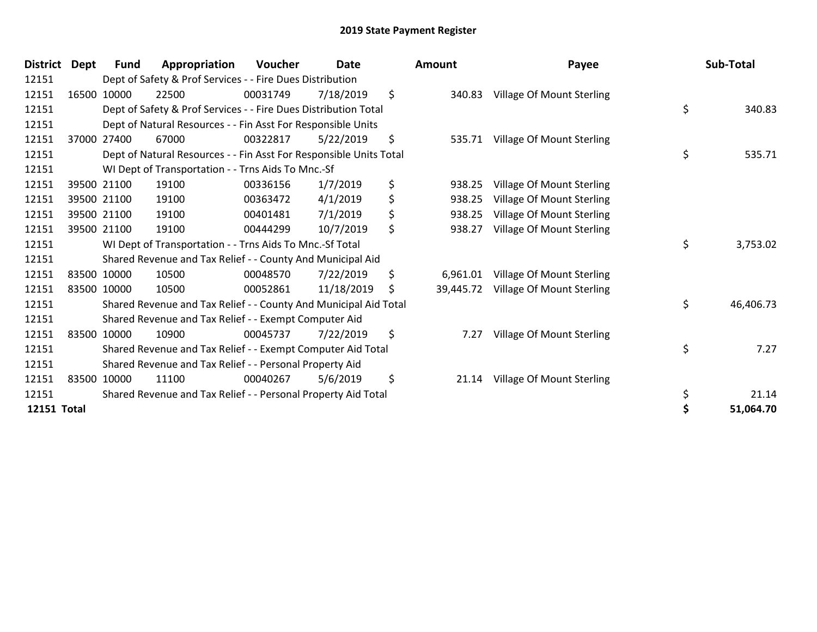| <b>District</b> | <b>Dept</b> | Fund        | Appropriation                                                      | Voucher  | <b>Date</b> | <b>Amount</b>   | Payee                            | Sub-Total       |
|-----------------|-------------|-------------|--------------------------------------------------------------------|----------|-------------|-----------------|----------------------------------|-----------------|
| 12151           |             |             | Dept of Safety & Prof Services - - Fire Dues Distribution          |          |             |                 |                                  |                 |
| 12151           |             | 16500 10000 | 22500                                                              | 00031749 | 7/18/2019   | \$<br>340.83    | Village Of Mount Sterling        |                 |
| 12151           |             |             | Dept of Safety & Prof Services - - Fire Dues Distribution Total    |          |             |                 |                                  | \$<br>340.83    |
| 12151           |             |             | Dept of Natural Resources - - Fin Asst For Responsible Units       |          |             |                 |                                  |                 |
| 12151           |             | 37000 27400 | 67000                                                              | 00322817 | 5/22/2019   | \$<br>535.71    | Village Of Mount Sterling        |                 |
| 12151           |             |             | Dept of Natural Resources - - Fin Asst For Responsible Units Total |          |             |                 |                                  | \$<br>535.71    |
| 12151           |             |             | WI Dept of Transportation - - Trns Aids To Mnc.-Sf                 |          |             |                 |                                  |                 |
| 12151           |             | 39500 21100 | 19100                                                              | 00336156 | 1/7/2019    | \$<br>938.25    | <b>Village Of Mount Sterling</b> |                 |
| 12151           |             | 39500 21100 | 19100                                                              | 00363472 | 4/1/2019    | \$<br>938.25    | Village Of Mount Sterling        |                 |
| 12151           |             | 39500 21100 | 19100                                                              | 00401481 | 7/1/2019    | \$<br>938.25    | Village Of Mount Sterling        |                 |
| 12151           |             | 39500 21100 | 19100                                                              | 00444299 | 10/7/2019   | \$<br>938.27    | Village Of Mount Sterling        |                 |
| 12151           |             |             | WI Dept of Transportation - - Trns Aids To Mnc.-Sf Total           |          |             |                 |                                  | \$<br>3,753.02  |
| 12151           |             |             | Shared Revenue and Tax Relief - - County And Municipal Aid         |          |             |                 |                                  |                 |
| 12151           |             | 83500 10000 | 10500                                                              | 00048570 | 7/22/2019   | \$<br>6,961.01  | Village Of Mount Sterling        |                 |
| 12151           |             | 83500 10000 | 10500                                                              | 00052861 | 11/18/2019  | \$<br>39,445.72 | Village Of Mount Sterling        |                 |
| 12151           |             |             | Shared Revenue and Tax Relief - - County And Municipal Aid Total   |          |             |                 |                                  | \$<br>46,406.73 |
| 12151           |             |             | Shared Revenue and Tax Relief - - Exempt Computer Aid              |          |             |                 |                                  |                 |
| 12151           |             | 83500 10000 | 10900                                                              | 00045737 | 7/22/2019   | \$<br>7.27      | Village Of Mount Sterling        |                 |
| 12151           |             |             | Shared Revenue and Tax Relief - - Exempt Computer Aid Total        |          |             |                 |                                  | \$<br>7.27      |
| 12151           |             |             | Shared Revenue and Tax Relief - - Personal Property Aid            |          |             |                 |                                  |                 |
| 12151           |             | 83500 10000 | 11100                                                              | 00040267 | 5/6/2019    | \$<br>21.14     | Village Of Mount Sterling        |                 |
| 12151           |             |             | Shared Revenue and Tax Relief - - Personal Property Aid Total      |          |             |                 |                                  | \$<br>21.14     |
| 12151 Total     |             |             |                                                                    |          |             |                 |                                  | \$<br>51,064.70 |

| Sub-Total          |          | Payee                                                                                                                          | Amount           |
|--------------------|----------|--------------------------------------------------------------------------------------------------------------------------------|------------------|
| 340.83             | \$       | Village Of Mount Sterling                                                                                                      | 340.83           |
| 535.71             | \$       | Village Of Mount Sterling                                                                                                      | 535.71           |
| 3,753.02           | \$       | Village Of Mount Sterling<br>938.25 Village Of Mount Sterling<br>938.25 Village Of Mount Sterling<br>Village Of Mount Sterling | 938.25<br>938.27 |
| 46,406.73          | \$       | Village Of Mount Sterling<br>39,445.72 Village Of Mount Sterling                                                               | 6,961.01         |
| 7.27               | \$       | Village Of Mount Sterling                                                                                                      | 7.27             |
| 21.14<br>51,064.70 | \$<br>\$ | Village Of Mount Sterling                                                                                                      | 21.14            |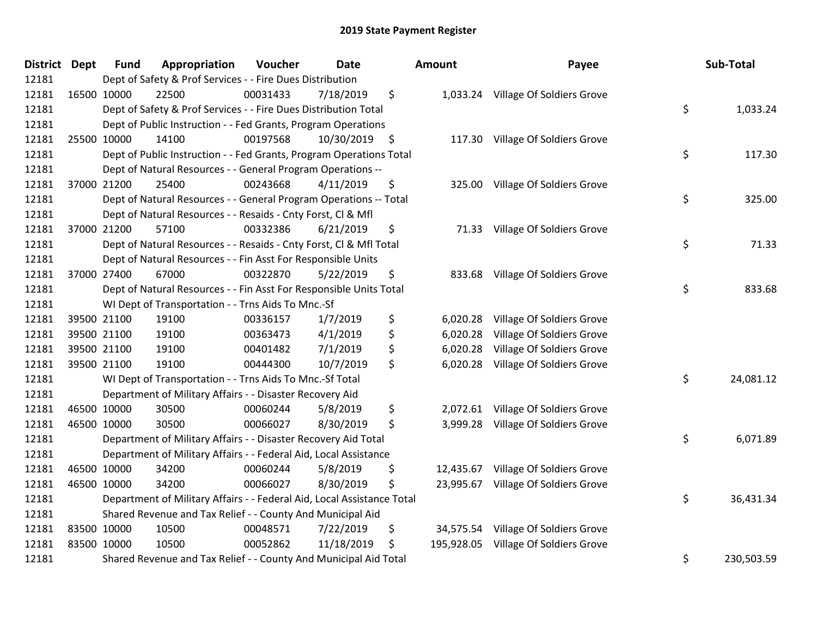| District Dept | <b>Fund</b> | Appropriation                                                          | Voucher  | <b>Date</b> |     | <b>Amount</b> | Payee                              |    | Sub-Total  |
|---------------|-------------|------------------------------------------------------------------------|----------|-------------|-----|---------------|------------------------------------|----|------------|
| 12181         |             | Dept of Safety & Prof Services - - Fire Dues Distribution              |          |             |     |               |                                    |    |            |
| 12181         | 16500 10000 | 22500                                                                  | 00031433 | 7/18/2019   | \$  |               | 1,033.24 Village Of Soldiers Grove |    |            |
| 12181         |             | Dept of Safety & Prof Services - - Fire Dues Distribution Total        |          |             |     |               |                                    | \$ | 1,033.24   |
| 12181         |             | Dept of Public Instruction - - Fed Grants, Program Operations          |          |             |     |               |                                    |    |            |
| 12181         | 25500 10000 | 14100                                                                  | 00197568 | 10/30/2019  | \$, | 117.30        | Village Of Soldiers Grove          |    |            |
| 12181         |             | Dept of Public Instruction - - Fed Grants, Program Operations Total    |          |             |     |               |                                    | \$ | 117.30     |
| 12181         |             | Dept of Natural Resources - - General Program Operations --            |          |             |     |               |                                    |    |            |
| 12181         | 37000 21200 | 25400                                                                  | 00243668 | 4/11/2019   | \$  | 325.00        | Village Of Soldiers Grove          |    |            |
| 12181         |             | Dept of Natural Resources - - General Program Operations -- Total      |          |             |     |               |                                    | \$ | 325.00     |
| 12181         |             | Dept of Natural Resources - - Resaids - Cnty Forst, Cl & Mfl           |          |             |     |               |                                    |    |            |
| 12181         | 37000 21200 | 57100                                                                  | 00332386 | 6/21/2019   | \$  | 71.33         | Village Of Soldiers Grove          |    |            |
| 12181         |             | Dept of Natural Resources - - Resaids - Cnty Forst, Cl & Mfl Total     |          |             |     |               |                                    | \$ | 71.33      |
| 12181         |             | Dept of Natural Resources - - Fin Asst For Responsible Units           |          |             |     |               |                                    |    |            |
| 12181         | 37000 27400 | 67000                                                                  | 00322870 | 5/22/2019   | \$  | 833.68        | Village Of Soldiers Grove          |    |            |
| 12181         |             | Dept of Natural Resources - - Fin Asst For Responsible Units Total     |          |             |     |               |                                    | \$ | 833.68     |
| 12181         |             | WI Dept of Transportation - - Trns Aids To Mnc.-Sf                     |          |             |     |               |                                    |    |            |
| 12181         | 39500 21100 | 19100                                                                  | 00336157 | 1/7/2019    | \$  | 6,020.28      | Village Of Soldiers Grove          |    |            |
| 12181         | 39500 21100 | 19100                                                                  | 00363473 | 4/1/2019    | \$  | 6,020.28      | <b>Village Of Soldiers Grove</b>   |    |            |
| 12181         | 39500 21100 | 19100                                                                  | 00401482 | 7/1/2019    | \$  | 6,020.28      | Village Of Soldiers Grove          |    |            |
| 12181         | 39500 21100 | 19100                                                                  | 00444300 | 10/7/2019   | \$  | 6,020.28      | Village Of Soldiers Grove          |    |            |
| 12181         |             | WI Dept of Transportation - - Trns Aids To Mnc.-Sf Total               |          |             |     |               |                                    | \$ | 24,081.12  |
| 12181         |             | Department of Military Affairs - - Disaster Recovery Aid               |          |             |     |               |                                    |    |            |
| 12181         | 46500 10000 | 30500                                                                  | 00060244 | 5/8/2019    | \$  |               | 2,072.61 Village Of Soldiers Grove |    |            |
| 12181         | 46500 10000 | 30500                                                                  | 00066027 | 8/30/2019   | \$  | 3,999.28      | Village Of Soldiers Grove          |    |            |
| 12181         |             | Department of Military Affairs - - Disaster Recovery Aid Total         |          |             |     |               |                                    | \$ | 6,071.89   |
| 12181         |             | Department of Military Affairs - - Federal Aid, Local Assistance       |          |             |     |               |                                    |    |            |
| 12181         | 46500 10000 | 34200                                                                  | 00060244 | 5/8/2019    | \$  | 12,435.67     | Village Of Soldiers Grove          |    |            |
| 12181         | 46500 10000 | 34200                                                                  | 00066027 | 8/30/2019   | \$  | 23,995.67     | Village Of Soldiers Grove          |    |            |
| 12181         |             | Department of Military Affairs - - Federal Aid, Local Assistance Total |          |             |     |               |                                    | \$ | 36,431.34  |
| 12181         |             | Shared Revenue and Tax Relief - - County And Municipal Aid             |          |             |     |               |                                    |    |            |
| 12181         | 83500 10000 | 10500                                                                  | 00048571 | 7/22/2019   | \$  | 34,575.54     | Village Of Soldiers Grove          |    |            |
| 12181         | 83500 10000 | 10500                                                                  | 00052862 | 11/18/2019  | \$  | 195,928.05    | Village Of Soldiers Grove          |    |            |
| 12181         |             | Shared Revenue and Tax Relief - - County And Municipal Aid Total       |          |             |     |               |                                    | \$ | 230,503.59 |

| ount      | Payee                              | Sub-Total        |
|-----------|------------------------------------|------------------|
|           | 1,033.24 Village Of Soldiers Grove | \$<br>1,033.24   |
| 117.30    | Village Of Soldiers Grove          | \$<br>117.30     |
| 325.00    | Village Of Soldiers Grove          | \$<br>325.00     |
| 71.33     | Village Of Soldiers Grove          | \$<br>71.33      |
| 833.68    | Village Of Soldiers Grove          | \$<br>833.68     |
| 6,020.28  | Village Of Soldiers Grove          |                  |
| 6,020.28  | Village Of Soldiers Grove          |                  |
| 6,020.28  | Village Of Soldiers Grove          |                  |
| 6,020.28  | Village Of Soldiers Grove          | \$<br>24,081.12  |
|           |                                    |                  |
| 3,999.28  | Village Of Soldiers Grove          |                  |
|           |                                    | \$<br>6,071.89   |
| 12,435.67 | Village Of Soldiers Grove          |                  |
| 23,995.67 | Village Of Soldiers Grove          | \$<br>36,431.34  |
| 34,575.54 | Village Of Soldiers Grove          |                  |
| 95,928.05 | Village Of Soldiers Grove          | \$<br>230,503.59 |
| 2,072.61  | Village Of Soldiers Grove          |                  |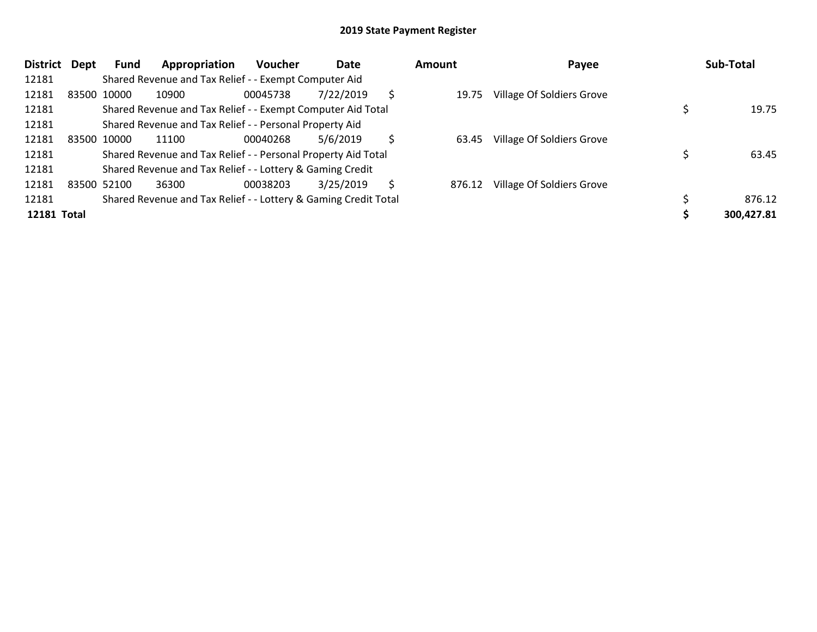| <b>District</b>    | Dept | Fund        | Appropriation                                                   | <b>Voucher</b> | Date      |   | Amount | Payee                     | Sub-Total  |
|--------------------|------|-------------|-----------------------------------------------------------------|----------------|-----------|---|--------|---------------------------|------------|
| 12181              |      |             | Shared Revenue and Tax Relief - - Exempt Computer Aid           |                |           |   |        |                           |            |
| 12181              |      | 83500 10000 | 10900                                                           | 00045738       | 7/22/2019 | Ś | 19.75  | Village Of Soldiers Grove |            |
| 12181              |      |             | Shared Revenue and Tax Relief - - Exempt Computer Aid Total     |                |           |   |        |                           | 19.75      |
| 12181              |      |             | Shared Revenue and Tax Relief - - Personal Property Aid         |                |           |   |        |                           |            |
| 12181              |      | 83500 10000 | 11100                                                           | 00040268       | 5/6/2019  | Ś | 63.45  | Village Of Soldiers Grove |            |
| 12181              |      |             | Shared Revenue and Tax Relief - - Personal Property Aid Total   |                |           |   |        |                           | 63.45      |
| 12181              |      |             | Shared Revenue and Tax Relief - - Lottery & Gaming Credit       |                |           |   |        |                           |            |
| 12181              |      | 83500 52100 | 36300                                                           | 00038203       | 3/25/2019 | S | 876.12 | Village Of Soldiers Grove |            |
| 12181              |      |             | Shared Revenue and Tax Relief - - Lottery & Gaming Credit Total |                |           |   |        |                           | 876.12     |
| <b>12181 Total</b> |      |             |                                                                 |                |           |   |        |                           | 300,427.81 |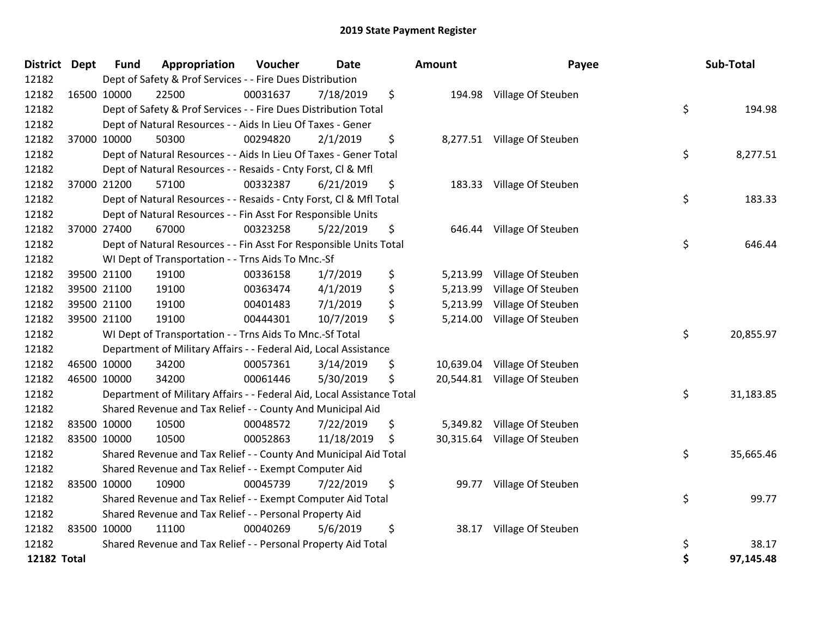| <b>District Dept</b> | <b>Fund</b> | Appropriation                                                          | Voucher  | <b>Date</b> | Amount          | Payee                        | Sub-Total       |
|----------------------|-------------|------------------------------------------------------------------------|----------|-------------|-----------------|------------------------------|-----------------|
| 12182                |             | Dept of Safety & Prof Services - - Fire Dues Distribution              |          |             |                 |                              |                 |
| 12182                | 16500 10000 | 22500                                                                  | 00031637 | 7/18/2019   | \$              | 194.98 Village Of Steuben    |                 |
| 12182                |             | Dept of Safety & Prof Services - - Fire Dues Distribution Total        |          |             |                 |                              | \$<br>194.98    |
| 12182                |             | Dept of Natural Resources - - Aids In Lieu Of Taxes - Gener            |          |             |                 |                              |                 |
| 12182                | 37000 10000 | 50300                                                                  | 00294820 | 2/1/2019    | \$              | 8,277.51 Village Of Steuben  |                 |
| 12182                |             | Dept of Natural Resources - - Aids In Lieu Of Taxes - Gener Total      |          |             |                 |                              | \$<br>8,277.51  |
| 12182                |             | Dept of Natural Resources - - Resaids - Cnty Forst, Cl & Mfl           |          |             |                 |                              |                 |
| 12182                | 37000 21200 | 57100                                                                  | 00332387 | 6/21/2019   | \$              | 183.33 Village Of Steuben    |                 |
| 12182                |             | Dept of Natural Resources - - Resaids - Cnty Forst, CI & Mfl Total     |          |             |                 |                              | \$<br>183.33    |
| 12182                |             | Dept of Natural Resources - - Fin Asst For Responsible Units           |          |             |                 |                              |                 |
| 12182                | 37000 27400 | 67000                                                                  | 00323258 | 5/22/2019   | \$<br>646.44    | Village Of Steuben           |                 |
| 12182                |             | Dept of Natural Resources - - Fin Asst For Responsible Units Total     |          |             |                 |                              | \$<br>646.44    |
| 12182                |             | WI Dept of Transportation - - Trns Aids To Mnc.-Sf                     |          |             |                 |                              |                 |
| 12182                | 39500 21100 | 19100                                                                  | 00336158 | 1/7/2019    | \$<br>5,213.99  | Village Of Steuben           |                 |
| 12182                | 39500 21100 | 19100                                                                  | 00363474 | 4/1/2019    | \$<br>5,213.99  | Village Of Steuben           |                 |
| 12182                | 39500 21100 | 19100                                                                  | 00401483 | 7/1/2019    | \$<br>5,213.99  | Village Of Steuben           |                 |
| 12182                | 39500 21100 | 19100                                                                  | 00444301 | 10/7/2019   | \$<br>5,214.00  | Village Of Steuben           |                 |
| 12182                |             | WI Dept of Transportation - - Trns Aids To Mnc.-Sf Total               |          |             |                 |                              | \$<br>20,855.97 |
| 12182                |             | Department of Military Affairs - - Federal Aid, Local Assistance       |          |             |                 |                              |                 |
| 12182                | 46500 10000 | 34200                                                                  | 00057361 | 3/14/2019   | \$<br>10,639.04 | Village Of Steuben           |                 |
| 12182                | 46500 10000 | 34200                                                                  | 00061446 | 5/30/2019   | \$              | 20,544.81 Village Of Steuben |                 |
| 12182                |             | Department of Military Affairs - - Federal Aid, Local Assistance Total |          |             |                 |                              | \$<br>31,183.85 |
| 12182                |             | Shared Revenue and Tax Relief - - County And Municipal Aid             |          |             |                 |                              |                 |
| 12182                | 83500 10000 | 10500                                                                  | 00048572 | 7/22/2019   | \$<br>5,349.82  | Village Of Steuben           |                 |
| 12182                | 83500 10000 | 10500                                                                  | 00052863 | 11/18/2019  | \$<br>30,315.64 | Village Of Steuben           |                 |
| 12182                |             | Shared Revenue and Tax Relief - - County And Municipal Aid Total       |          |             |                 |                              | \$<br>35,665.46 |
| 12182                |             | Shared Revenue and Tax Relief - - Exempt Computer Aid                  |          |             |                 |                              |                 |
| 12182                | 83500 10000 | 10900                                                                  | 00045739 | 7/22/2019   | \$<br>99.77     | Village Of Steuben           |                 |
| 12182                |             | Shared Revenue and Tax Relief - - Exempt Computer Aid Total            |          |             |                 |                              | \$<br>99.77     |
| 12182                |             | Shared Revenue and Tax Relief - - Personal Property Aid                |          |             |                 |                              |                 |
| 12182                | 83500 10000 | 11100                                                                  | 00040269 | 5/6/2019    | \$<br>38.17     | Village Of Steuben           |                 |
| 12182                |             | Shared Revenue and Tax Relief - - Personal Property Aid Total          |          |             |                 |                              | \$<br>38.17     |
| <b>12182 Total</b>   |             |                                                                        |          |             |                 |                              | 97,145.48       |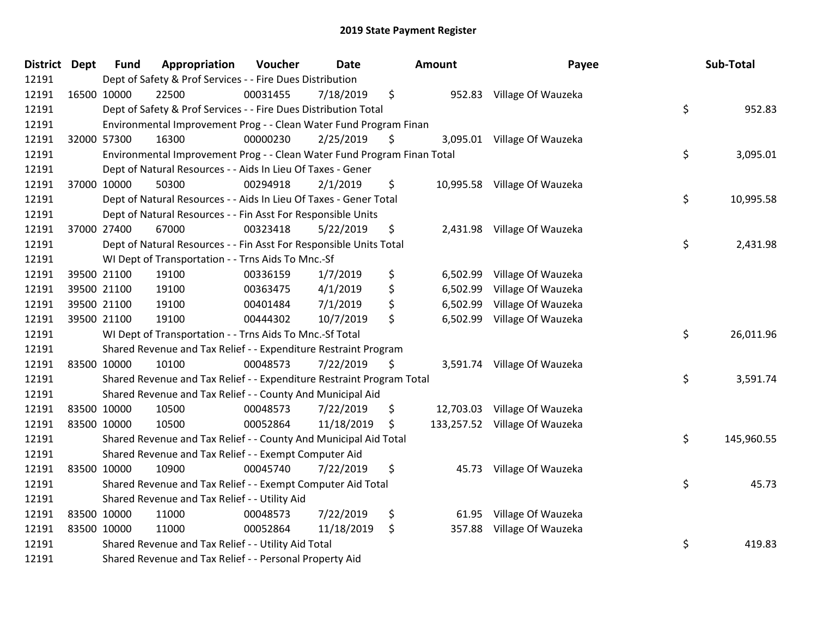| <b>District Dept</b> | <b>Fund</b> | Appropriation                                                           | Voucher  | <b>Date</b> | <b>Amount</b>  | Payee                         | Sub-Total        |
|----------------------|-------------|-------------------------------------------------------------------------|----------|-------------|----------------|-------------------------------|------------------|
| 12191                |             | Dept of Safety & Prof Services - - Fire Dues Distribution               |          |             |                |                               |                  |
| 12191                | 16500 10000 | 22500                                                                   | 00031455 | 7/18/2019   | \$             | 952.83 Village Of Wauzeka     |                  |
| 12191                |             | Dept of Safety & Prof Services - - Fire Dues Distribution Total         |          |             |                |                               | \$<br>952.83     |
| 12191                |             | Environmental Improvement Prog - - Clean Water Fund Program Finan       |          |             |                |                               |                  |
| 12191                | 32000 57300 | 16300                                                                   | 00000230 | 2/25/2019   | \$             | 3,095.01 Village Of Wauzeka   |                  |
| 12191                |             | Environmental Improvement Prog - - Clean Water Fund Program Finan Total |          |             |                |                               | \$<br>3,095.01   |
| 12191                |             | Dept of Natural Resources - - Aids In Lieu Of Taxes - Gener             |          |             |                |                               |                  |
| 12191                | 37000 10000 | 50300                                                                   | 00294918 | 2/1/2019    | \$             | 10,995.58 Village Of Wauzeka  |                  |
| 12191                |             | Dept of Natural Resources - - Aids In Lieu Of Taxes - Gener Total       |          |             |                |                               | \$<br>10,995.58  |
| 12191                |             | Dept of Natural Resources - - Fin Asst For Responsible Units            |          |             |                |                               |                  |
| 12191                | 37000 27400 | 67000                                                                   | 00323418 | 5/22/2019   | \$             | 2,431.98 Village Of Wauzeka   |                  |
| 12191                |             | Dept of Natural Resources - - Fin Asst For Responsible Units Total      |          |             |                |                               | \$<br>2,431.98   |
| 12191                |             | WI Dept of Transportation - - Trns Aids To Mnc.-Sf                      |          |             |                |                               |                  |
| 12191                | 39500 21100 | 19100                                                                   | 00336159 | 1/7/2019    | \$<br>6,502.99 | Village Of Wauzeka            |                  |
| 12191                | 39500 21100 | 19100                                                                   | 00363475 | 4/1/2019    | \$<br>6,502.99 | Village Of Wauzeka            |                  |
| 12191                | 39500 21100 | 19100                                                                   | 00401484 | 7/1/2019    | \$<br>6,502.99 | Village Of Wauzeka            |                  |
| 12191                | 39500 21100 | 19100                                                                   | 00444302 | 10/7/2019   | \$             | 6,502.99 Village Of Wauzeka   |                  |
| 12191                |             | WI Dept of Transportation - - Trns Aids To Mnc.-Sf Total                |          |             |                |                               | \$<br>26,011.96  |
| 12191                |             | Shared Revenue and Tax Relief - - Expenditure Restraint Program         |          |             |                |                               |                  |
| 12191                | 83500 10000 | 10100                                                                   | 00048573 | 7/22/2019   | \$             | 3,591.74 Village Of Wauzeka   |                  |
| 12191                |             | Shared Revenue and Tax Relief - - Expenditure Restraint Program Total   |          |             |                |                               | \$<br>3,591.74   |
| 12191                |             | Shared Revenue and Tax Relief - - County And Municipal Aid              |          |             |                |                               |                  |
| 12191                | 83500 10000 | 10500                                                                   | 00048573 | 7/22/2019   | \$             | 12,703.03 Village Of Wauzeka  |                  |
| 12191                | 83500 10000 | 10500                                                                   | 00052864 | 11/18/2019  | \$             | 133,257.52 Village Of Wauzeka |                  |
| 12191                |             | Shared Revenue and Tax Relief - - County And Municipal Aid Total        |          |             |                |                               | \$<br>145,960.55 |
| 12191                |             | Shared Revenue and Tax Relief - - Exempt Computer Aid                   |          |             |                |                               |                  |
| 12191                | 83500 10000 | 10900                                                                   | 00045740 | 7/22/2019   | \$             | 45.73 Village Of Wauzeka      |                  |
| 12191                |             | Shared Revenue and Tax Relief - - Exempt Computer Aid Total             |          |             |                |                               | \$<br>45.73      |
| 12191                |             | Shared Revenue and Tax Relief - - Utility Aid                           |          |             |                |                               |                  |
| 12191                | 83500 10000 | 11000                                                                   | 00048573 | 7/22/2019   | \$<br>61.95    | Village Of Wauzeka            |                  |
| 12191                | 83500 10000 | 11000                                                                   | 00052864 | 11/18/2019  | \$<br>357.88   | Village Of Wauzeka            |                  |
| 12191                |             | Shared Revenue and Tax Relief - - Utility Aid Total                     |          |             |                |                               | \$<br>419.83     |
| 12191                |             | Shared Revenue and Tax Relief - - Personal Property Aid                 |          |             |                |                               |                  |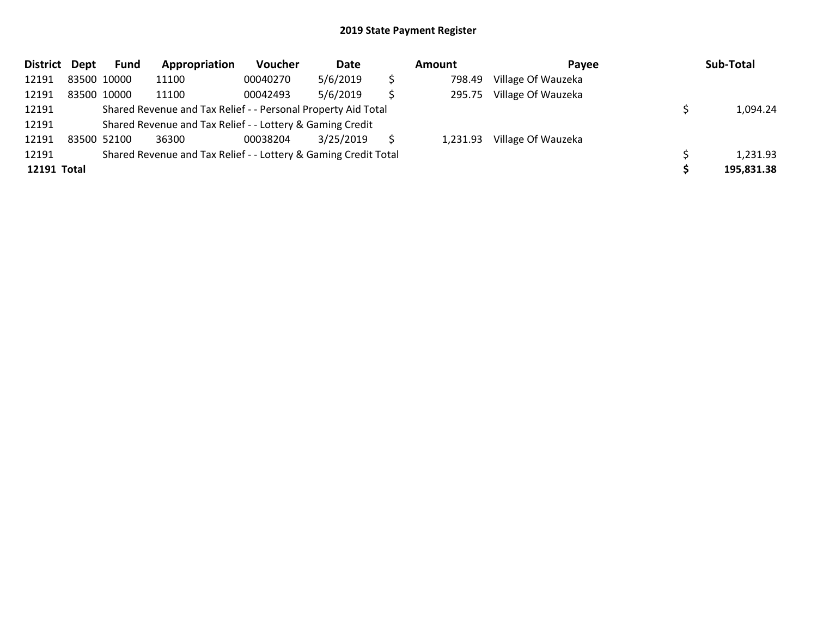| <b>District</b> | Dept | <b>Fund</b> | Appropriation                                                   | Voucher  | Date      |    | Amount   | Payee              | Sub-Total  |
|-----------------|------|-------------|-----------------------------------------------------------------|----------|-----------|----|----------|--------------------|------------|
| 12191           |      | 83500 10000 | 11100                                                           | 00040270 | 5/6/2019  | \$ | 798.49   | Village Of Wauzeka |            |
| 12191           |      | 83500 10000 | 11100                                                           | 00042493 | 5/6/2019  | Ś  | 295.75   | Village Of Wauzeka |            |
| 12191           |      |             | Shared Revenue and Tax Relief - - Personal Property Aid Total   |          |           |    |          |                    | 1,094.24   |
| 12191           |      |             | Shared Revenue and Tax Relief - - Lottery & Gaming Credit       |          |           |    |          |                    |            |
| 12191           |      | 83500 52100 | 36300                                                           | 00038204 | 3/25/2019 |    | 1,231.93 | Village Of Wauzeka |            |
| 12191           |      |             | Shared Revenue and Tax Relief - - Lottery & Gaming Credit Total |          |           |    |          |                    | 1,231.93   |
| 12191 Total     |      |             |                                                                 |          |           |    |          |                    | 195,831.38 |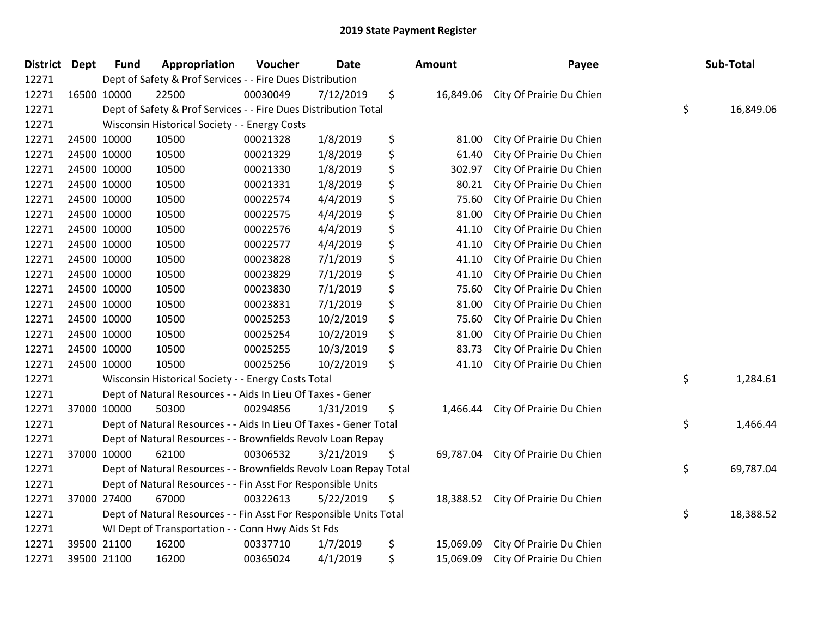| <b>District Dept</b> |             | <b>Fund</b> | Appropriation                                                      | Voucher  | Date      | <b>Amount</b>   | Payee                              | Sub-Total       |
|----------------------|-------------|-------------|--------------------------------------------------------------------|----------|-----------|-----------------|------------------------------------|-----------------|
| 12271                |             |             | Dept of Safety & Prof Services - - Fire Dues Distribution          |          |           |                 |                                    |                 |
| 12271                |             | 16500 10000 | 22500                                                              | 00030049 | 7/12/2019 | \$              | 16,849.06 City Of Prairie Du Chien |                 |
| 12271                |             |             | Dept of Safety & Prof Services - - Fire Dues Distribution Total    |          |           |                 |                                    | \$<br>16,849.06 |
| 12271                |             |             | Wisconsin Historical Society - - Energy Costs                      |          |           |                 |                                    |                 |
| 12271                |             | 24500 10000 | 10500                                                              | 00021328 | 1/8/2019  | \$<br>81.00     | City Of Prairie Du Chien           |                 |
| 12271                |             | 24500 10000 | 10500                                                              | 00021329 | 1/8/2019  | \$<br>61.40     | City Of Prairie Du Chien           |                 |
| 12271                |             | 24500 10000 | 10500                                                              | 00021330 | 1/8/2019  | \$<br>302.97    | City Of Prairie Du Chien           |                 |
| 12271                |             | 24500 10000 | 10500                                                              | 00021331 | 1/8/2019  | \$<br>80.21     | City Of Prairie Du Chien           |                 |
| 12271                | 24500 10000 |             | 10500                                                              | 00022574 | 4/4/2019  | \$<br>75.60     | City Of Prairie Du Chien           |                 |
| 12271                |             | 24500 10000 | 10500                                                              | 00022575 | 4/4/2019  | \$<br>81.00     | City Of Prairie Du Chien           |                 |
| 12271                |             | 24500 10000 | 10500                                                              | 00022576 | 4/4/2019  | \$<br>41.10     | City Of Prairie Du Chien           |                 |
| 12271                |             | 24500 10000 | 10500                                                              | 00022577 | 4/4/2019  | \$<br>41.10     | City Of Prairie Du Chien           |                 |
| 12271                |             | 24500 10000 | 10500                                                              | 00023828 | 7/1/2019  | \$<br>41.10     | City Of Prairie Du Chien           |                 |
| 12271                | 24500 10000 |             | 10500                                                              | 00023829 | 7/1/2019  | \$<br>41.10     | City Of Prairie Du Chien           |                 |
| 12271                | 24500 10000 |             | 10500                                                              | 00023830 | 7/1/2019  | \$<br>75.60     | City Of Prairie Du Chien           |                 |
| 12271                | 24500 10000 |             | 10500                                                              | 00023831 | 7/1/2019  | \$<br>81.00     | City Of Prairie Du Chien           |                 |
| 12271                |             | 24500 10000 | 10500                                                              | 00025253 | 10/2/2019 | \$<br>75.60     | City Of Prairie Du Chien           |                 |
| 12271                |             | 24500 10000 | 10500                                                              | 00025254 | 10/2/2019 | \$<br>81.00     | City Of Prairie Du Chien           |                 |
| 12271                | 24500 10000 |             | 10500                                                              | 00025255 | 10/3/2019 | \$<br>83.73     | City Of Prairie Du Chien           |                 |
| 12271                | 24500 10000 |             | 10500                                                              | 00025256 | 10/2/2019 | \$<br>41.10     | City Of Prairie Du Chien           |                 |
| 12271                |             |             | Wisconsin Historical Society - - Energy Costs Total                |          |           |                 |                                    | \$<br>1,284.61  |
| 12271                |             |             | Dept of Natural Resources - - Aids In Lieu Of Taxes - Gener        |          |           |                 |                                    |                 |
| 12271                |             | 37000 10000 | 50300                                                              | 00294856 | 1/31/2019 | \$<br>1,466.44  | City Of Prairie Du Chien           |                 |
| 12271                |             |             | Dept of Natural Resources - - Aids In Lieu Of Taxes - Gener Total  |          |           |                 |                                    | \$<br>1,466.44  |
| 12271                |             |             | Dept of Natural Resources - - Brownfields Revolv Loan Repay        |          |           |                 |                                    |                 |
| 12271                |             | 37000 10000 | 62100                                                              | 00306532 | 3/21/2019 | \$<br>69,787.04 | City Of Prairie Du Chien           |                 |
| 12271                |             |             | Dept of Natural Resources - - Brownfields Revolv Loan Repay Total  |          |           |                 |                                    | \$<br>69,787.04 |
| 12271                |             |             | Dept of Natural Resources - - Fin Asst For Responsible Units       |          |           |                 |                                    |                 |
| 12271                |             | 37000 27400 | 67000                                                              | 00322613 | 5/22/2019 | \$<br>18,388.52 | City Of Prairie Du Chien           |                 |
| 12271                |             |             | Dept of Natural Resources - - Fin Asst For Responsible Units Total |          |           |                 |                                    | \$<br>18,388.52 |
| 12271                |             |             | WI Dept of Transportation - - Conn Hwy Aids St Fds                 |          |           |                 |                                    |                 |
| 12271                |             | 39500 21100 | 16200                                                              | 00337710 | 1/7/2019  | \$<br>15,069.09 | City Of Prairie Du Chien           |                 |
| 12271                |             | 39500 21100 | 16200                                                              | 00365024 | 4/1/2019  | \$<br>15,069.09 | City Of Prairie Du Chien           |                 |
|                      |             |             |                                                                    |          |           |                 |                                    |                 |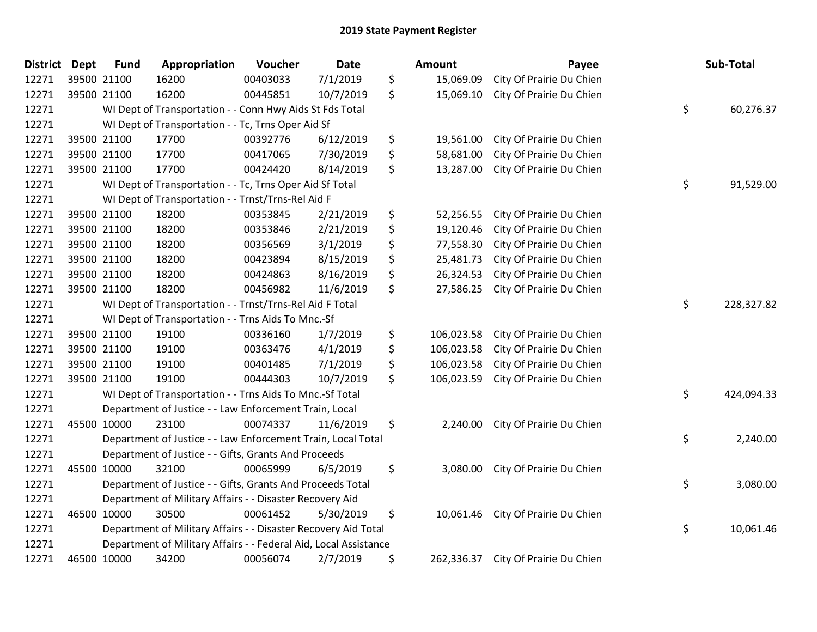| <b>District</b> | <b>Dept</b> | <b>Fund</b> | Appropriation                                                    | Voucher  | <b>Date</b> | Amount           | Payee                              | Sub-Total        |
|-----------------|-------------|-------------|------------------------------------------------------------------|----------|-------------|------------------|------------------------------------|------------------|
| 12271           |             | 39500 21100 | 16200                                                            | 00403033 | 7/1/2019    | \$<br>15,069.09  | City Of Prairie Du Chien           |                  |
| 12271           |             | 39500 21100 | 16200                                                            | 00445851 | 10/7/2019   | \$<br>15,069.10  | City Of Prairie Du Chien           |                  |
| 12271           |             |             | WI Dept of Transportation - - Conn Hwy Aids St Fds Total         |          |             |                  |                                    | \$<br>60,276.37  |
| 12271           |             |             | WI Dept of Transportation - - Tc, Trns Oper Aid Sf               |          |             |                  |                                    |                  |
| 12271           |             | 39500 21100 | 17700                                                            | 00392776 | 6/12/2019   | \$<br>19,561.00  | City Of Prairie Du Chien           |                  |
| 12271           |             | 39500 21100 | 17700                                                            | 00417065 | 7/30/2019   | \$<br>58,681.00  | City Of Prairie Du Chien           |                  |
| 12271           |             | 39500 21100 | 17700                                                            | 00424420 | 8/14/2019   | \$<br>13,287.00  | City Of Prairie Du Chien           |                  |
| 12271           |             |             | WI Dept of Transportation - - Tc, Trns Oper Aid Sf Total         |          |             |                  |                                    | \$<br>91,529.00  |
| 12271           |             |             | WI Dept of Transportation - - Trnst/Trns-Rel Aid F               |          |             |                  |                                    |                  |
| 12271           |             | 39500 21100 | 18200                                                            | 00353845 | 2/21/2019   | \$<br>52,256.55  | City Of Prairie Du Chien           |                  |
| 12271           |             | 39500 21100 | 18200                                                            | 00353846 | 2/21/2019   | \$<br>19,120.46  | City Of Prairie Du Chien           |                  |
| 12271           |             | 39500 21100 | 18200                                                            | 00356569 | 3/1/2019    | \$<br>77,558.30  | City Of Prairie Du Chien           |                  |
| 12271           |             | 39500 21100 | 18200                                                            | 00423894 | 8/15/2019   | \$<br>25,481.73  | City Of Prairie Du Chien           |                  |
| 12271           |             | 39500 21100 | 18200                                                            | 00424863 | 8/16/2019   | \$<br>26,324.53  | City Of Prairie Du Chien           |                  |
| 12271           |             | 39500 21100 | 18200                                                            | 00456982 | 11/6/2019   | \$<br>27,586.25  | City Of Prairie Du Chien           |                  |
| 12271           |             |             | WI Dept of Transportation - - Trnst/Trns-Rel Aid F Total         |          |             |                  |                                    | \$<br>228,327.82 |
| 12271           |             |             | WI Dept of Transportation - - Trns Aids To Mnc.-Sf               |          |             |                  |                                    |                  |
| 12271           |             | 39500 21100 | 19100                                                            | 00336160 | 1/7/2019    | \$<br>106,023.58 | City Of Prairie Du Chien           |                  |
| 12271           |             | 39500 21100 | 19100                                                            | 00363476 | 4/1/2019    | \$<br>106,023.58 | City Of Prairie Du Chien           |                  |
| 12271           |             | 39500 21100 | 19100                                                            | 00401485 | 7/1/2019    | \$<br>106,023.58 | City Of Prairie Du Chien           |                  |
| 12271           |             | 39500 21100 | 19100                                                            | 00444303 | 10/7/2019   | \$<br>106,023.59 | City Of Prairie Du Chien           |                  |
| 12271           |             |             | WI Dept of Transportation - - Trns Aids To Mnc.-Sf Total         |          |             |                  |                                    | \$<br>424,094.33 |
| 12271           |             |             | Department of Justice - - Law Enforcement Train, Local           |          |             |                  |                                    |                  |
| 12271           |             | 45500 10000 | 23100                                                            | 00074337 | 11/6/2019   | \$<br>2,240.00   | City Of Prairie Du Chien           |                  |
| 12271           |             |             | Department of Justice - - Law Enforcement Train, Local Total     |          |             |                  |                                    | \$<br>2,240.00   |
| 12271           |             |             | Department of Justice - - Gifts, Grants And Proceeds             |          |             |                  |                                    |                  |
| 12271           |             | 45500 10000 | 32100                                                            | 00065999 | 6/5/2019    | \$<br>3,080.00   | City Of Prairie Du Chien           |                  |
| 12271           |             |             | Department of Justice - - Gifts, Grants And Proceeds Total       |          |             |                  |                                    | \$<br>3,080.00   |
| 12271           |             |             | Department of Military Affairs - - Disaster Recovery Aid         |          |             |                  |                                    |                  |
| 12271           |             | 46500 10000 | 30500                                                            | 00061452 | 5/30/2019   | \$               | 10,061.46 City Of Prairie Du Chien |                  |
| 12271           |             |             | Department of Military Affairs - - Disaster Recovery Aid Total   |          |             |                  |                                    | \$<br>10,061.46  |
| 12271           |             |             | Department of Military Affairs - - Federal Aid, Local Assistance |          |             |                  |                                    |                  |
| 12271           |             | 46500 10000 | 34200                                                            | 00056074 | 2/7/2019    | \$<br>262,336.37 | City Of Prairie Du Chien           |                  |